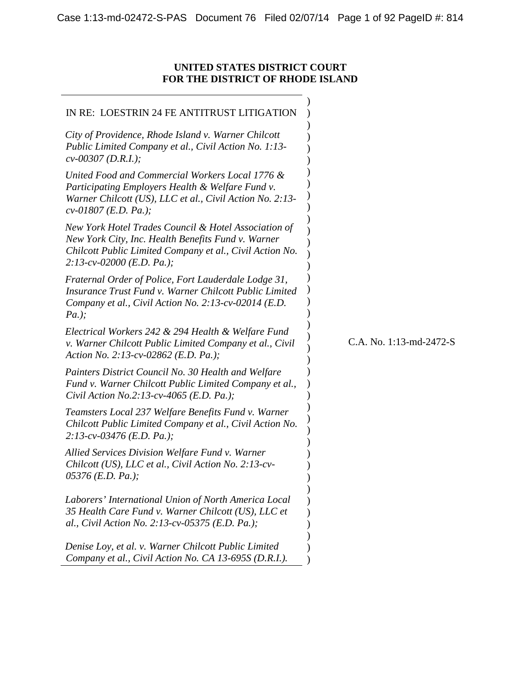# <span id="page-0-0"></span>**UNITED STATES DISTRICT COURT FOR THE DISTRICT OF RHODE ISLAND**

| IN RE: LOESTRIN 24 FE ANTITRUST LITIGATION                                                                                                                                                             |                         |
|--------------------------------------------------------------------------------------------------------------------------------------------------------------------------------------------------------|-------------------------|
| City of Providence, Rhode Island v. Warner Chilcott<br>Public Limited Company et al., Civil Action No. 1:13-<br>$cv$ -00307 (D.R.I.);                                                                  |                         |
| United Food and Commercial Workers Local 1776 &<br>Participating Employers Health & Welfare Fund v.<br>Warner Chilcott (US), LLC et al., Civil Action No. 2:13-<br>$cv-01807$ (E.D. Pa.);              |                         |
| New York Hotel Trades Council & Hotel Association of<br>New York City, Inc. Health Benefits Fund v. Warner<br>Chilcott Public Limited Company et al., Civil Action No.<br>$2:13$ -cv-02000 (E.D. Pa.); |                         |
| Fraternal Order of Police, Fort Lauderdale Lodge 31,<br>Insurance Trust Fund v. Warner Chilcott Public Limited<br>Company et al., Civil Action No. 2:13-cv-02014 (E.D.<br>$Pa.$ );                     |                         |
| Electrical Workers 242 & 294 Health & Welfare Fund<br>v. Warner Chilcott Public Limited Company et al., Civil<br>Action No. 2:13-cv-02862 (E.D. Pa.);                                                  | C.A. No. 1:13-md-2472-S |
| Painters District Council No. 30 Health and Welfare<br>Fund v. Warner Chilcott Public Limited Company et al.,<br>Civil Action No.2:13-cv-4065 (E.D. Pa.);                                              |                         |
| Teamsters Local 237 Welfare Benefits Fund v. Warner<br>Chilcott Public Limited Company et al., Civil Action No.<br>$2:13$ -cv-03476 (E.D. Pa.);                                                        |                         |
| Allied Services Division Welfare Fund v. Warner<br>Chilcott (US), LLC et al., Civil Action No. 2:13-cv-<br>$05376$ (E.D. Pa.);                                                                         |                         |
| Laborers' International Union of North America Local<br>35 Health Care Fund v. Warner Chilcott (US), LLC et<br>al., Civil Action No. 2:13-cv-05375 (E.D. Pa.);                                         |                         |
| Denise Loy, et al. v. Warner Chilcott Public Limited<br>Company et al., Civil Action No. CA 13-695S (D.R.I.).                                                                                          |                         |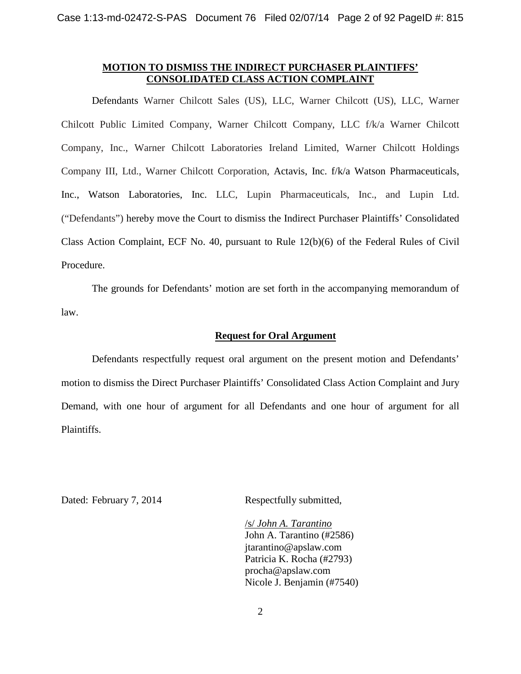## **MOTION TO DISMISS THE INDIRECT PURCHASER PLAINTIFFS' CONSOLIDATED CLASS ACTION COMPLAINT**

Defendants Warner Chilcott Sales (US), LLC, Warner Chilcott (US), LLC, Warner Chilcott Public Limited Company, Warner Chilcott Company, LLC f/k/a Warner Chilcott Company, Inc., Warner Chilcott Laboratories Ireland Limited, Warner Chilcott Holdings Company III, Ltd., Warner Chilcott Corporation, Actavis, Inc. f/k/a Watson Pharmaceuticals, Inc., Watson Laboratories, Inc. LLC, Lupin Pharmaceuticals, Inc., and Lupin Ltd. ("Defendants") hereby move the Court to dismiss the Indirect Purchaser Plaintiffs' Consolidated Class Action Complaint, ECF No. 40, pursuant to Rule 12(b)(6) of the Federal Rules of Civil Procedure.

The grounds for Defendants' motion are set forth in the accompanying memorandum of law.

## **Request for Oral Argument**

Defendants respectfully request oral argument on the present motion and Defendants' motion to dismiss the Direct Purchaser Plaintiffs' Consolidated Class Action Complaint and Jury Demand, with one hour of argument for all Defendants and one hour of argument for all Plaintiffs.

Dated: February 7, 2014 Respectfully submitted,

/s/ *John A. Tarantino* John A. Tarantino (#2586) jtarantino@apslaw.com Patricia K. Rocha (#2793) procha@apslaw.com Nicole J. Benjamin (#7540)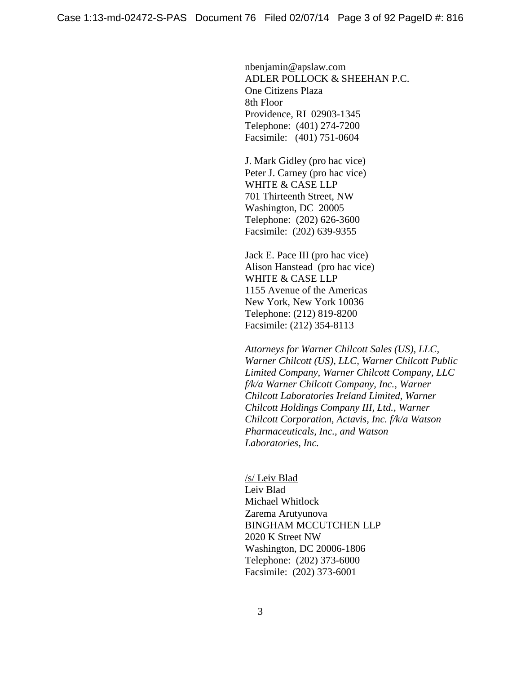nbenjamin@apslaw.com ADLER POLLOCK & SHEEHAN P.C. One Citizens Plaza 8th Floor Providence, RI 02903-1345 Telephone: (401) 274-7200 Facsimile: (401) 751-0604

J. Mark Gidley (pro hac vice) Peter J. Carney (pro hac vice) WHITE & CASE LLP 701 Thirteenth Street, NW Washington, DC 20005 Telephone: (202) 626-3600 Facsimile: (202) 639-9355

Jack E. Pace III (pro hac vice) Alison Hanstead (pro hac vice) WHITE & CASE LLP 1155 Avenue of the Americas New York, New York 10036 Telephone: (212) 819-8200 Facsimile: (212) 354-8113

*Attorneys for Warner Chilcott Sales (US), LLC, Warner Chilcott (US), LLC, Warner Chilcott Public Limited Company, Warner Chilcott Company, LLC f/k/a Warner Chilcott Company, Inc., Warner Chilcott Laboratories Ireland Limited, Warner Chilcott Holdings Company III, Ltd., Warner Chilcott Corporation, Actavis, Inc. f/k/a Watson Pharmaceuticals, Inc., and Watson Laboratories, Inc.*

/s/ Leiv Blad Leiv Blad Michael Whitlock Zarema Arutyunova BINGHAM MCCUTCHEN LLP 2020 K Street NW Washington, DC 20006-1806 Telephone: (202) 373-6000 Facsimile: (202) 373-6001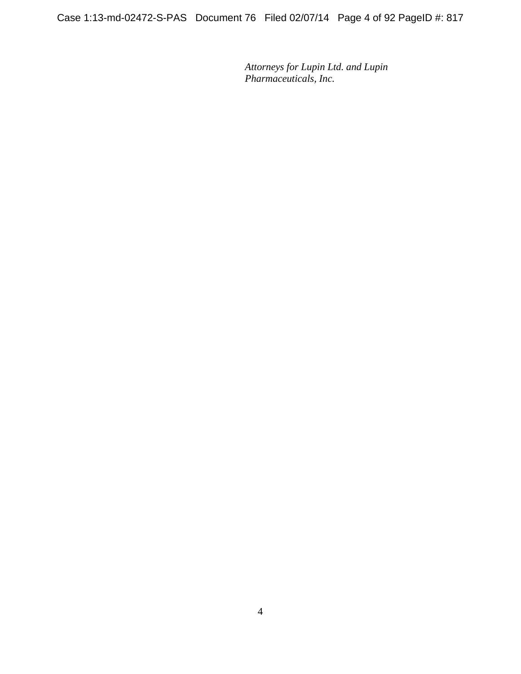Case 1:13-md-02472-S-PAS Document 76 Filed 02/07/14 Page 4 of 92 PageID #: 817

*Attorneys for Lupin Ltd. and Lupin Pharmaceuticals, Inc.*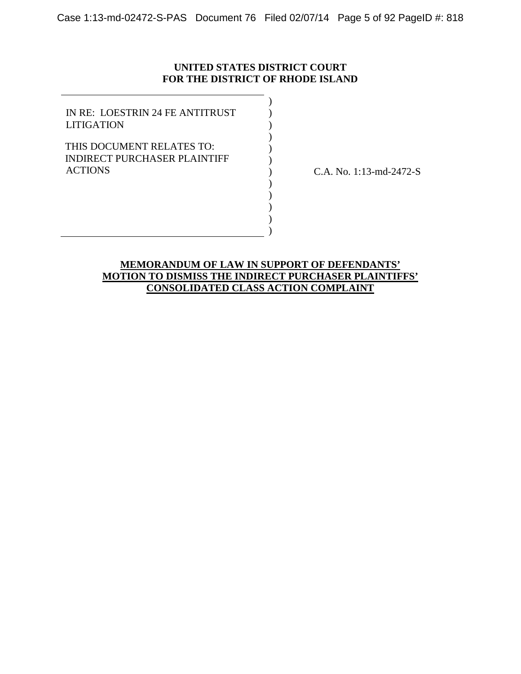## **UNITED STATES DISTRICT COURT FOR THE DISTRICT OF RHODE ISLAND**

) ) ) ) ) ) ) ) ) ) ) )

IN RE: LOESTRIN 24 FE ANTITRUST LITIGATION

THIS DOCUMENT RELATES TO: INDIRECT PURCHASER PLAINTIFF ACTIONS

C.A. No. 1:13-md-2472-S

# **MEMORANDUM OF LAW IN SUPPORT OF DEFENDANTS' MOTION TO DISMISS THE INDIRECT PURCHASER PLAINTIFFS' CONSOLIDATED CLASS ACTION COMPLAINT**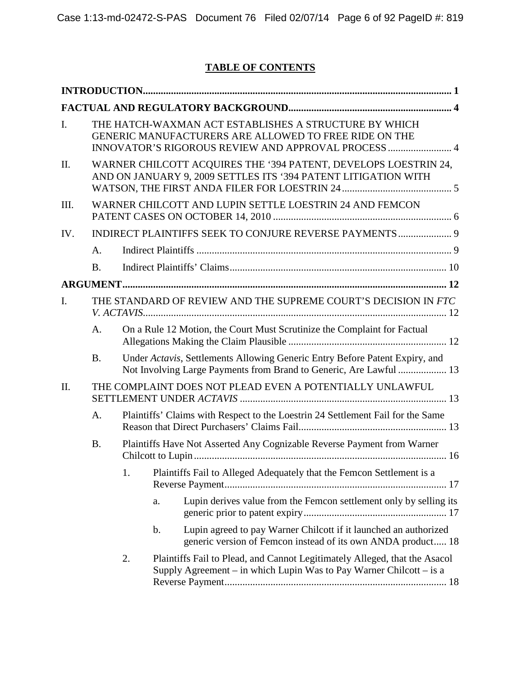# **TABLE OF CONTENTS**

| I.             | THE HATCH-WAXMAN ACT ESTABLISHES A STRUCTURE BY WHICH<br>GENERIC MANUFACTURERS ARE ALLOWED TO FREE RIDE ON THE<br>INNOVATOR'S RIGOROUS REVIEW AND APPROVAL PROCESS  4 |                                                         |               |                                                                                                                                                   |
|----------------|-----------------------------------------------------------------------------------------------------------------------------------------------------------------------|---------------------------------------------------------|---------------|---------------------------------------------------------------------------------------------------------------------------------------------------|
| II.            | WARNER CHILCOTT ACQUIRES THE '394 PATENT, DEVELOPS LOESTRIN 24,<br>AND ON JANUARY 9, 2009 SETTLES ITS '394 PATENT LITIGATION WITH                                     |                                                         |               |                                                                                                                                                   |
| III.           |                                                                                                                                                                       | WARNER CHILCOTT AND LUPIN SETTLE LOESTRIN 24 AND FEMCON |               |                                                                                                                                                   |
| IV.            |                                                                                                                                                                       |                                                         |               |                                                                                                                                                   |
|                | A.                                                                                                                                                                    |                                                         |               |                                                                                                                                                   |
|                | <b>B.</b>                                                                                                                                                             |                                                         |               |                                                                                                                                                   |
|                |                                                                                                                                                                       |                                                         |               |                                                                                                                                                   |
| $\mathbf{I}$ . | THE STANDARD OF REVIEW AND THE SUPREME COURT'S DECISION IN FTC                                                                                                        |                                                         |               |                                                                                                                                                   |
|                | A.                                                                                                                                                                    |                                                         |               | On a Rule 12 Motion, the Court Must Scrutinize the Complaint for Factual                                                                          |
|                | <b>B.</b>                                                                                                                                                             |                                                         |               | Under Actavis, Settlements Allowing Generic Entry Before Patent Expiry, and<br>Not Involving Large Payments from Brand to Generic, Are Lawful  13 |
| $\Pi$ .        |                                                                                                                                                                       |                                                         |               | THE COMPLAINT DOES NOT PLEAD EVEN A POTENTIALLY UNLAWFUL                                                                                          |
|                | A.                                                                                                                                                                    |                                                         |               | Plaintiffs' Claims with Respect to the Loestrin 24 Settlement Fail for the Same                                                                   |
|                | <b>B.</b>                                                                                                                                                             |                                                         |               | Plaintiffs Have Not Asserted Any Cognizable Reverse Payment from Warner                                                                           |
|                |                                                                                                                                                                       | 1.                                                      |               | Plaintiffs Fail to Alleged Adequately that the Femcon Settlement is a                                                                             |
|                |                                                                                                                                                                       |                                                         | a.            | Lupin derives value from the Femcon settlement only by selling its                                                                                |
|                |                                                                                                                                                                       |                                                         | $\mathbf b$ . | Lupin agreed to pay Warner Chilcott if it launched an authorized<br>generic version of Femcon instead of its own ANDA product 18                  |
|                |                                                                                                                                                                       | 2.                                                      |               | Plaintiffs Fail to Plead, and Cannot Legitimately Alleged, that the Asacol<br>Supply Agreement – in which Lupin Was to Pay Warner Chilcott – is a |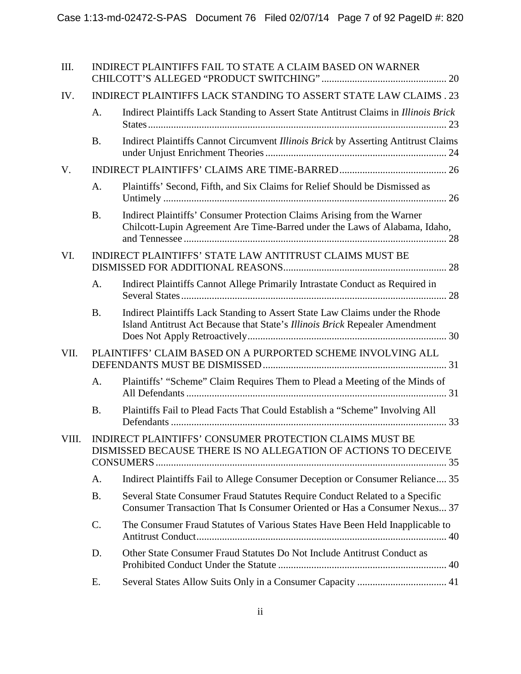| III.  |                 | <b>INDIRECT PLAINTIFFS FAIL TO STATE A CLAIM BASED ON WARNER</b>                                                                                            |
|-------|-----------------|-------------------------------------------------------------------------------------------------------------------------------------------------------------|
| IV.   |                 | <b>INDIRECT PLAINTIFFS LACK STANDING TO ASSERT STATE LAW CLAIMS . 23</b>                                                                                    |
|       | A.              | Indirect Plaintiffs Lack Standing to Assert State Antitrust Claims in Illinois Brick                                                                        |
|       | <b>B.</b>       | Indirect Plaintiffs Cannot Circumvent Illinois Brick by Asserting Antitrust Claims                                                                          |
| V.    |                 |                                                                                                                                                             |
|       | A.              | Plaintiffs' Second, Fifth, and Six Claims for Relief Should be Dismissed as                                                                                 |
|       | <b>B.</b>       | Indirect Plaintiffs' Consumer Protection Claims Arising from the Warner<br>Chilcott-Lupin Agreement Are Time-Barred under the Laws of Alabama, Idaho,       |
| VI.   |                 | INDIRECT PLAINTIFFS' STATE LAW ANTITRUST CLAIMS MUST BE                                                                                                     |
|       | A.              | Indirect Plaintiffs Cannot Allege Primarily Intrastate Conduct as Required in                                                                               |
|       | <b>B.</b>       | Indirect Plaintiffs Lack Standing to Assert State Law Claims under the Rhode<br>Island Antitrust Act Because that State's Illinois Brick Repealer Amendment |
| VII.  |                 | PLAINTIFFS' CLAIM BASED ON A PURPORTED SCHEME INVOLVING ALL                                                                                                 |
|       | A.              | Plaintiffs' "Scheme" Claim Requires Them to Plead a Meeting of the Minds of                                                                                 |
|       | <b>B.</b>       | Plaintiffs Fail to Plead Facts That Could Establish a "Scheme" Involving All                                                                                |
| VIII. |                 | <b>INDIRECT PLAINTIFFS' CONSUMER PROTECTION CLAIMS MUST BE</b><br>DISMISSED BECAUSE THERE IS NO ALLEGATION OF ACTIONS TO DECEIVE                            |
|       | A.              | Indirect Plaintiffs Fail to Allege Consumer Deception or Consumer Reliance 35                                                                               |
|       | <b>B.</b>       | Several State Consumer Fraud Statutes Require Conduct Related to a Specific<br>Consumer Transaction That Is Consumer Oriented or Has a Consumer Nexus 37    |
|       | $\mathcal{C}$ . | The Consumer Fraud Statutes of Various States Have Been Held Inapplicable to                                                                                |
|       | D.              | Other State Consumer Fraud Statutes Do Not Include Antitrust Conduct as                                                                                     |
|       | Е.              |                                                                                                                                                             |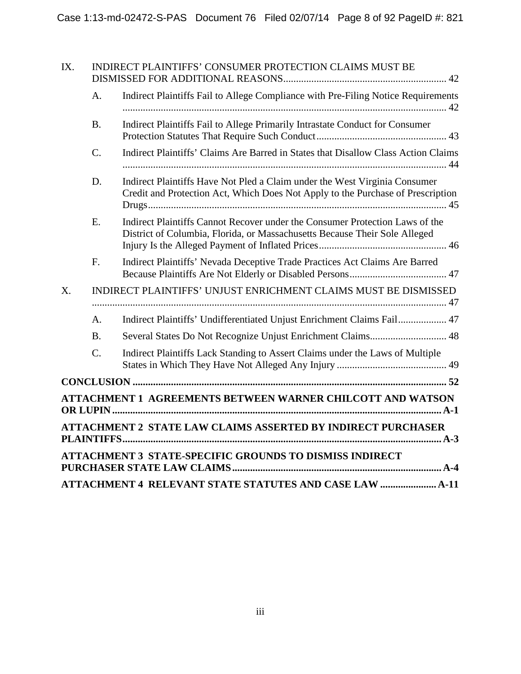| IX.         |                | <b>INDIRECT PLAINTIFFS' CONSUMER PROTECTION CLAIMS MUST BE</b>                                                                                                |  |  |  |  |
|-------------|----------------|---------------------------------------------------------------------------------------------------------------------------------------------------------------|--|--|--|--|
|             | A <sub>1</sub> | Indirect Plaintiffs Fail to Allege Compliance with Pre-Filing Notice Requirements                                                                             |  |  |  |  |
|             | <b>B.</b>      | Indirect Plaintiffs Fail to Allege Primarily Intrastate Conduct for Consumer                                                                                  |  |  |  |  |
|             | $C$ .          | Indirect Plaintiffs' Claims Are Barred in States that Disallow Class Action Claims                                                                            |  |  |  |  |
|             | D.             | Indirect Plaintiffs Have Not Pled a Claim under the West Virginia Consumer<br>Credit and Protection Act, Which Does Not Apply to the Purchase of Prescription |  |  |  |  |
|             | E.             | Indirect Plaintiffs Cannot Recover under the Consumer Protection Laws of the<br>District of Columbia, Florida, or Massachusetts Because Their Sole Alleged    |  |  |  |  |
|             | F.             | Indirect Plaintiffs' Nevada Deceptive Trade Practices Act Claims Are Barred                                                                                   |  |  |  |  |
| $X_{\cdot}$ |                | INDIRECT PLAINTIFFS' UNJUST ENRICHMENT CLAIMS MUST BE DISMISSED                                                                                               |  |  |  |  |
|             | A <sub>1</sub> | Indirect Plaintiffs' Undifferentiated Unjust Enrichment Claims Fail 47                                                                                        |  |  |  |  |
|             | B <sub>1</sub> |                                                                                                                                                               |  |  |  |  |
|             | $C$ .          | Indirect Plaintiffs Lack Standing to Assert Claims under the Laws of Multiple                                                                                 |  |  |  |  |
|             |                |                                                                                                                                                               |  |  |  |  |
|             |                | ATTACHMENT 1 AGREEMENTS BETWEEN WARNER CHILCOTT AND WATSON                                                                                                    |  |  |  |  |
|             |                | <b>ATTACHMENT 2 STATE LAW CLAIMS ASSERTED BY INDIRECT PURCHASER</b>                                                                                           |  |  |  |  |
|             |                | ATTACHMENT 3 STATE-SPECIFIC GROUNDS TO DISMISS INDIRECT                                                                                                       |  |  |  |  |
|             |                | ATTACHMENT 4 RELEVANT STATE STATUTES AND CASE LAW  A-11                                                                                                       |  |  |  |  |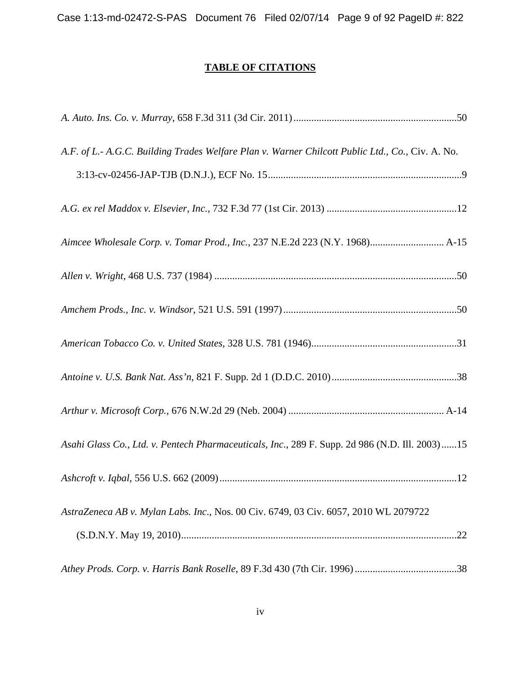Case 1:13-md-02472-S-PAS Document 76 Filed 02/07/14 Page 9 of 92 PageID #: 822

# **TABLE OF CITATIONS**

| A.F. of L.- A.G.C. Building Trades Welfare Plan v. Warner Chilcott Public Ltd., Co., Civ. A. No. |
|--------------------------------------------------------------------------------------------------|
|                                                                                                  |
|                                                                                                  |
| Aimcee Wholesale Corp. v. Tomar Prod., Inc., 237 N.E.2d 223 (N.Y. 1968) A-15                     |
|                                                                                                  |
|                                                                                                  |
|                                                                                                  |
|                                                                                                  |
|                                                                                                  |
| Asahi Glass Co., Ltd. v. Pentech Pharmaceuticals, Inc., 289 F. Supp. 2d 986 (N.D. Ill. 2003)15   |
|                                                                                                  |
| AstraZeneca AB v. Mylan Labs. Inc., Nos. 00 Civ. 6749, 03 Civ. 6057, 2010 WL 2079722             |
|                                                                                                  |
|                                                                                                  |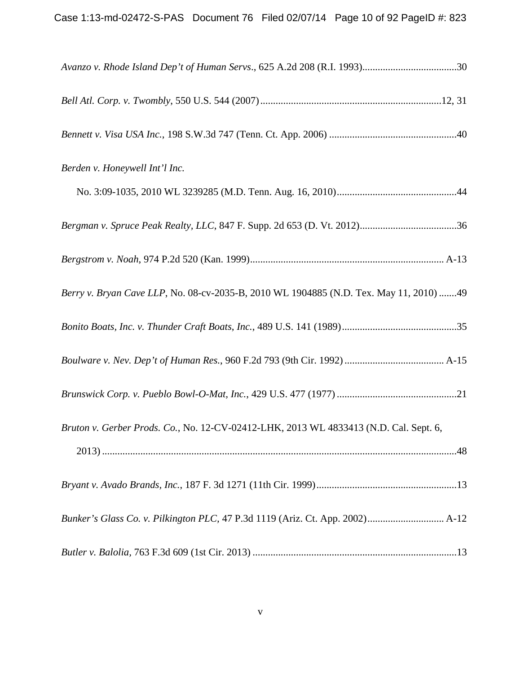| Berden v. Honeywell Int'l Inc.                                                         |
|----------------------------------------------------------------------------------------|
|                                                                                        |
|                                                                                        |
|                                                                                        |
| Berry v. Bryan Cave LLP, No. 08-cv-2035-B, 2010 WL 1904885 (N.D. Tex. May 11, 2010) 49 |
|                                                                                        |
|                                                                                        |
|                                                                                        |
| Bruton v. Gerber Prods. Co., No. 12-CV-02412-LHK, 2013 WL 4833413 (N.D. Cal. Sept. 6,  |
|                                                                                        |
|                                                                                        |
|                                                                                        |
|                                                                                        |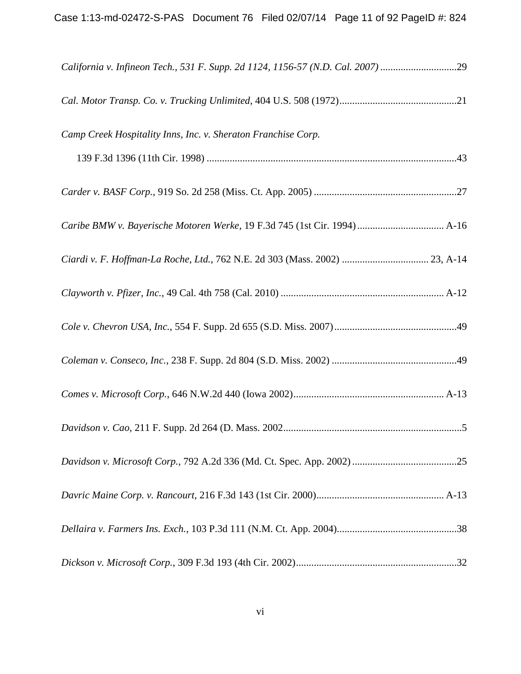| California v. Infineon Tech., 531 F. Supp. 2d 1124, 1156-57 (N.D. Cal. 2007) 29 |
|---------------------------------------------------------------------------------|
|                                                                                 |
| Camp Creek Hospitality Inns, Inc. v. Sheraton Franchise Corp.                   |
|                                                                                 |
|                                                                                 |
| Caribe BMW v. Bayerische Motoren Werke, 19 F.3d 745 (1st Cir. 1994)  A-16       |
|                                                                                 |
|                                                                                 |
|                                                                                 |
|                                                                                 |
|                                                                                 |
|                                                                                 |
|                                                                                 |
|                                                                                 |
|                                                                                 |
|                                                                                 |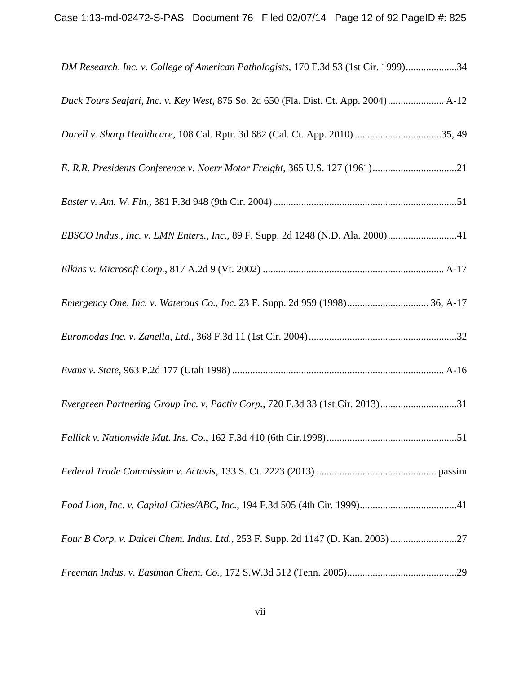| DM Research, Inc. v. College of American Pathologists, 170 F.3d 53 (1st Cir. 1999)34 |
|--------------------------------------------------------------------------------------|
| Duck Tours Seafari, Inc. v. Key West, 875 So. 2d 650 (Fla. Dist. Ct. App. 2004) A-12 |
| Durell v. Sharp Healthcare, 108 Cal. Rptr. 3d 682 (Cal. Ct. App. 2010) 35, 49        |
|                                                                                      |
|                                                                                      |
| EBSCO Indus., Inc. v. LMN Enters., Inc., 89 F. Supp. 2d 1248 (N.D. Ala. 2000)41      |
|                                                                                      |
| Emergency One, Inc. v. Waterous Co., Inc. 23 F. Supp. 2d 959 (1998) 36, A-17         |
|                                                                                      |
|                                                                                      |
| Evergreen Partnering Group Inc. v. Pactiv Corp., 720 F.3d 33 (1st Cir. 2013)31       |
|                                                                                      |
|                                                                                      |
|                                                                                      |
| Four B Corp. v. Daicel Chem. Indus. Ltd., 253 F. Supp. 2d 1147 (D. Kan. 2003) 27     |
|                                                                                      |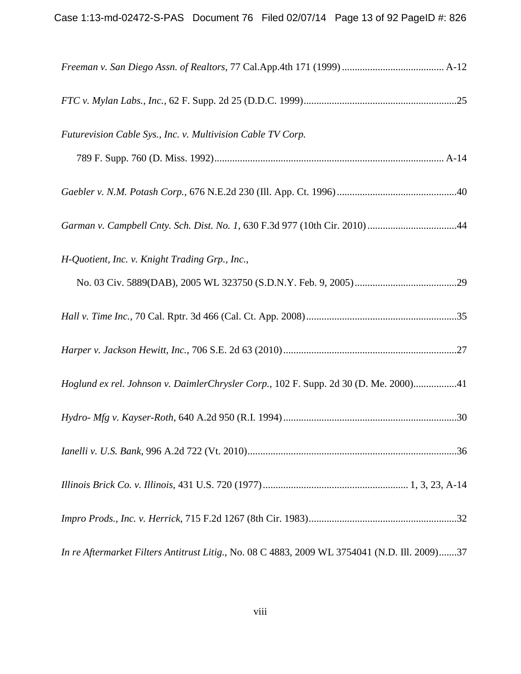| Futurevision Cable Sys., Inc. v. Multivision Cable TV Corp.                                   |
|-----------------------------------------------------------------------------------------------|
|                                                                                               |
|                                                                                               |
| Garman v. Campbell Cnty. Sch. Dist. No. 1, 630 F.3d 977 (10th Cir. 2010) 44                   |
| H-Quotient, Inc. v. Knight Trading Grp., Inc.,                                                |
|                                                                                               |
|                                                                                               |
|                                                                                               |
| Hoglund ex rel. Johnson v. DaimlerChrysler Corp., 102 F. Supp. 2d 30 (D. Me. 2000)41          |
|                                                                                               |
|                                                                                               |
|                                                                                               |
|                                                                                               |
| In re Aftermarket Filters Antitrust Litig., No. 08 C 4883, 2009 WL 3754041 (N.D. Ill. 2009)37 |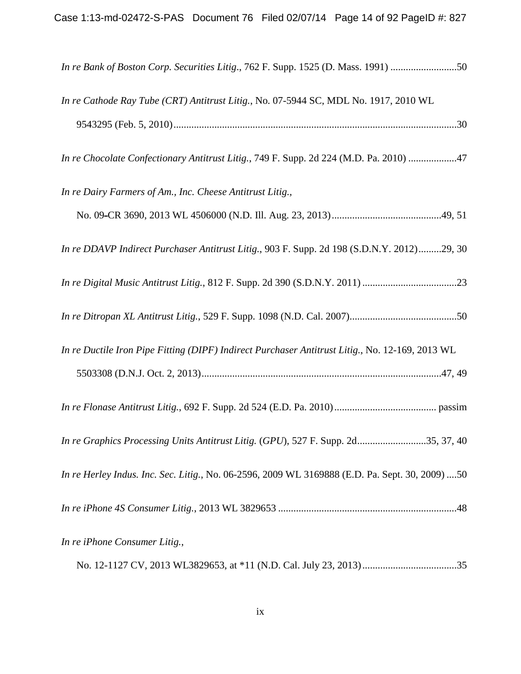| In re Bank of Boston Corp. Securities Litig., 762 F. Supp. 1525 (D. Mass. 1991) 50              |
|-------------------------------------------------------------------------------------------------|
| In re Cathode Ray Tube (CRT) Antitrust Litig., No. 07-5944 SC, MDL No. 1917, 2010 WL            |
| In re Chocolate Confectionary Antitrust Litig., 749 F. Supp. 2d 224 (M.D. Pa. 2010) 47          |
| In re Dairy Farmers of Am., Inc. Cheese Antitrust Litig.,                                       |
|                                                                                                 |
| In re DDAVP Indirect Purchaser Antitrust Litig., 903 F. Supp. 2d 198 (S.D.N.Y. 2012)29, 30      |
|                                                                                                 |
|                                                                                                 |
| In re Ductile Iron Pipe Fitting (DIPF) Indirect Purchaser Antitrust Litig., No. 12-169, 2013 WL |
|                                                                                                 |
| In re Graphics Processing Units Antitrust Litig. (GPU), 527 F. Supp. 2d35, 37, 40               |
| In re Herley Indus. Inc. Sec. Litig., No. 06-2596, 2009 WL 3169888 (E.D. Pa. Sept. 30, 2009) 50 |
|                                                                                                 |
| In re iPhone Consumer Litig.,                                                                   |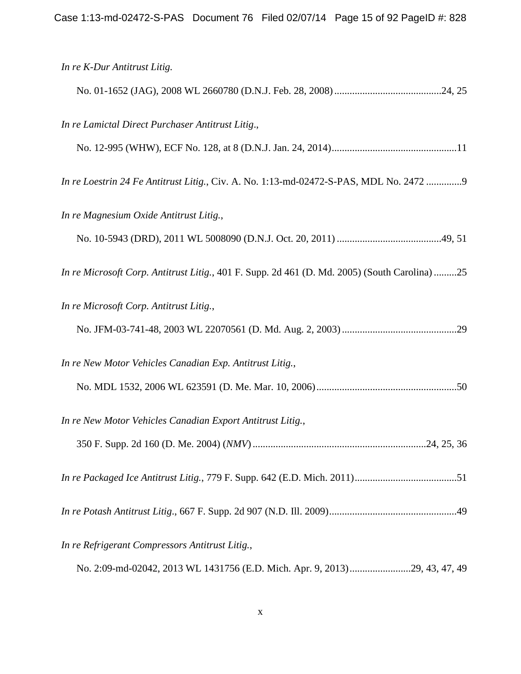| In re K-Dur Antitrust Litig.                                                                  |
|-----------------------------------------------------------------------------------------------|
|                                                                                               |
| In re Lamictal Direct Purchaser Antitrust Litig.,                                             |
|                                                                                               |
| In re Loestrin 24 Fe Antitrust Litig., Civ. A. No. 1:13-md-02472-S-PAS, MDL No. 2472 9        |
| In re Magnesium Oxide Antitrust Litig.,                                                       |
|                                                                                               |
| In re Microsoft Corp. Antitrust Litig., 401 F. Supp. 2d 461 (D. Md. 2005) (South Carolina) 25 |
| In re Microsoft Corp. Antitrust Litig.,                                                       |
|                                                                                               |
| In re New Motor Vehicles Canadian Exp. Antitrust Litig.,                                      |
|                                                                                               |
| In re New Motor Vehicles Canadian Export Antitrust Litig.,                                    |
|                                                                                               |
|                                                                                               |
|                                                                                               |
| In re Refrigerant Compressors Antitrust Litig.,                                               |
| No. 2:09-md-02042, 2013 WL 1431756 (E.D. Mich. Apr. 9, 2013)29, 43, 47, 49                    |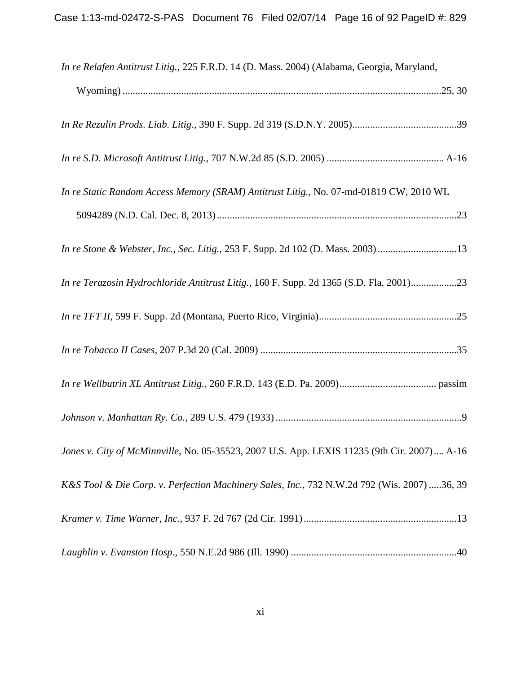| In re Relafen Antitrust Litig., 225 F.R.D. 14 (D. Mass. 2004) (Alabama, Georgia, Maryland,  |
|---------------------------------------------------------------------------------------------|
|                                                                                             |
|                                                                                             |
|                                                                                             |
| In re Static Random Access Memory (SRAM) Antitrust Litig., No. 07-md-01819 CW, 2010 WL      |
|                                                                                             |
| In re Stone & Webster, Inc., Sec. Litig., 253 F. Supp. 2d 102 (D. Mass. 2003)13             |
| In re Terazosin Hydrochloride Antitrust Litig., 160 F. Supp. 2d 1365 (S.D. Fla. 2001)23     |
|                                                                                             |
|                                                                                             |
|                                                                                             |
|                                                                                             |
| Jones v. City of McMinnville, No. 05-35523, 2007 U.S. App. LEXIS 11235 (9th Cir. 2007) A-16 |
| K&S Tool & Die Corp. v. Perfection Machinery Sales, Inc., 732 N.W.2d 792 (Wis. 2007) 36, 39 |
|                                                                                             |
|                                                                                             |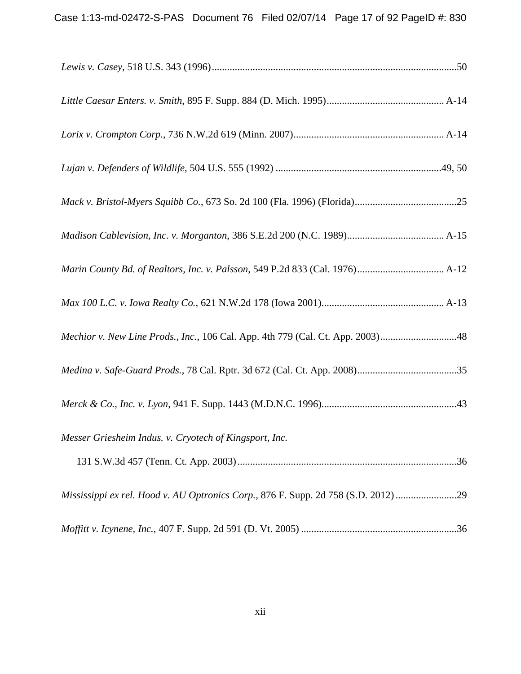| Mechior v. New Line Prods., Inc., 106 Cal. App. 4th 779 (Cal. Ct. App. 2003)48     |  |
|------------------------------------------------------------------------------------|--|
|                                                                                    |  |
|                                                                                    |  |
| Messer Griesheim Indus. v. Cryotech of Kingsport, Inc.                             |  |
|                                                                                    |  |
| Mississippi ex rel. Hood v. AU Optronics Corp., 876 F. Supp. 2d 758 (S.D. 2012) 29 |  |
|                                                                                    |  |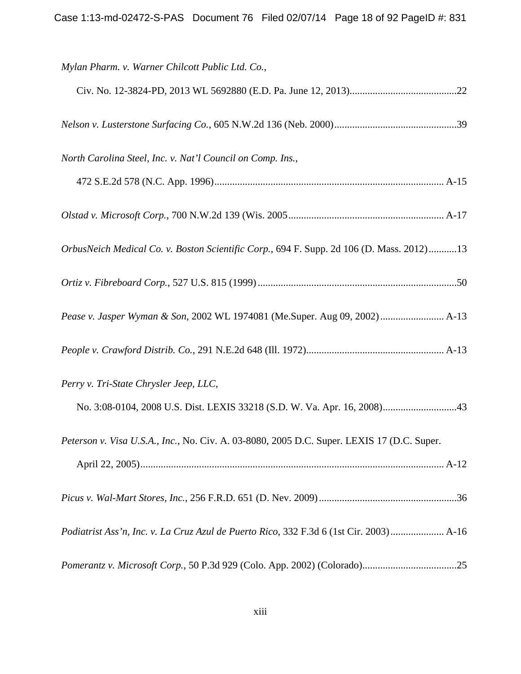| Mylan Pharm. v. Warner Chilcott Public Ltd. Co.,                                           |
|--------------------------------------------------------------------------------------------|
|                                                                                            |
|                                                                                            |
| North Carolina Steel, Inc. v. Nat'l Council on Comp. Ins.,                                 |
|                                                                                            |
|                                                                                            |
| OrbusNeich Medical Co. v. Boston Scientific Corp., 694 F. Supp. 2d 106 (D. Mass. 2012)13   |
|                                                                                            |
| Pease v. Jasper Wyman & Son, 2002 WL 1974081 (Me.Super. Aug 09, 2002)  A-13                |
|                                                                                            |
| Perry v. Tri-State Chrysler Jeep, LLC,                                                     |
|                                                                                            |
| Peterson v. Visa U.S.A., Inc., No. Civ. A. 03-8080, 2005 D.C. Super. LEXIS 17 (D.C. Super. |
|                                                                                            |
|                                                                                            |
| Podiatrist Ass'n, Inc. v. La Cruz Azul de Puerto Rico, 332 F.3d 6 (1st Cir. 2003) A-16     |
|                                                                                            |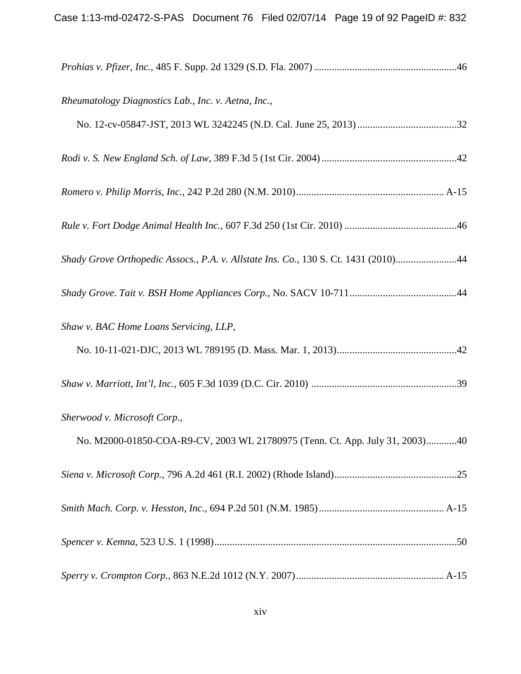| Rheumatology Diagnostics Lab., Inc. v. Aetna, Inc.,                                 |
|-------------------------------------------------------------------------------------|
|                                                                                     |
|                                                                                     |
|                                                                                     |
|                                                                                     |
| Shady Grove Orthopedic Assocs., P.A. v. Allstate Ins. Co., 130 S. Ct. 1431 (2010)44 |
|                                                                                     |
| Shaw v. BAC Home Loans Servicing, LLP,                                              |
|                                                                                     |
|                                                                                     |
| Sherwood v. Microsoft Corp.,                                                        |
| No. M2000-01850-COA-R9-CV, 2003 WL 21780975 (Tenn. Ct. App. July 31, 2003)40        |
|                                                                                     |
|                                                                                     |
|                                                                                     |
|                                                                                     |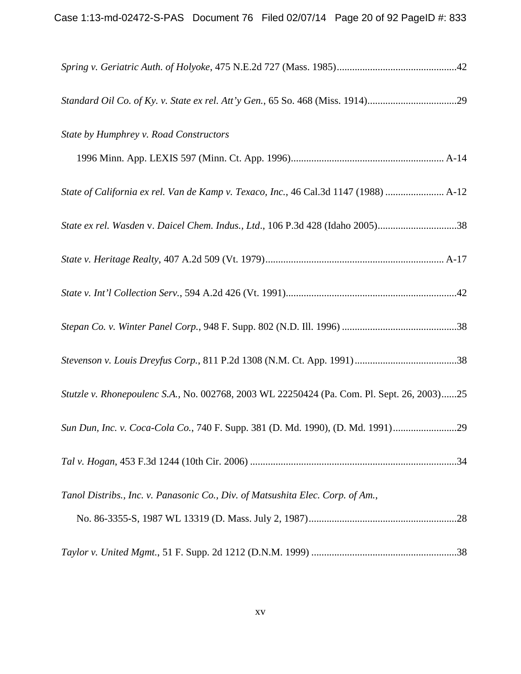| Standard Oil Co. of Ky. v. State ex rel. Att'y Gen., 65 So. 468 (Miss. 1914)29             |
|--------------------------------------------------------------------------------------------|
| State by Humphrey v. Road Constructors                                                     |
|                                                                                            |
| State of California ex rel. Van de Kamp v. Texaco, Inc., 46 Cal.3d 1147 (1988)  A-12       |
| State ex rel. Wasden v. Daicel Chem. Indus., Ltd., 106 P.3d 428 (Idaho 2005)38             |
|                                                                                            |
|                                                                                            |
|                                                                                            |
|                                                                                            |
| Stutzle v. Rhonepoulenc S.A., No. 002768, 2003 WL 22250424 (Pa. Com. Pl. Sept. 26, 2003)25 |
| Sun Dun, Inc. v. Coca-Cola Co., 740 F. Supp. 381 (D. Md. 1990), (D. Md. 1991)29            |
|                                                                                            |
| Tanol Distribs., Inc. v. Panasonic Co., Div. of Matsushita Elec. Corp. of Am.,             |
|                                                                                            |
|                                                                                            |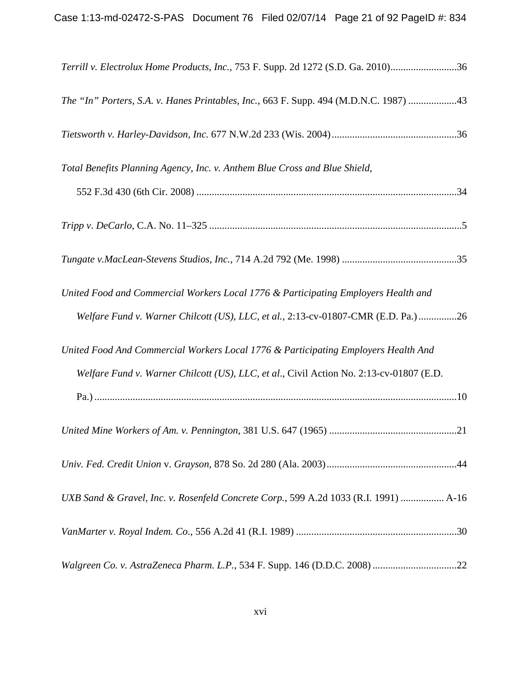| Terrill v. Electrolux Home Products, Inc., 753 F. Supp. 2d 1272 (S.D. Ga. 2010)36       |
|-----------------------------------------------------------------------------------------|
| The "In" Porters, S.A. v. Hanes Printables, Inc., 663 F. Supp. 494 (M.D.N.C. 1987) 43   |
|                                                                                         |
| Total Benefits Planning Agency, Inc. v. Anthem Blue Cross and Blue Shield,              |
|                                                                                         |
|                                                                                         |
|                                                                                         |
| United Food and Commercial Workers Local 1776 & Participating Employers Health and      |
| Welfare Fund v. Warner Chilcott (US), LLC, et al., 2:13-cv-01807-CMR (E.D. Pa.)26       |
| United Food And Commercial Workers Local 1776 & Participating Employers Health And      |
| Welfare Fund v. Warner Chilcott (US), LLC, et al., Civil Action No. 2:13-cv-01807 (E.D. |
|                                                                                         |
|                                                                                         |
|                                                                                         |
| UXB Sand & Gravel, Inc. v. Rosenfeld Concrete Corp., 599 A.2d 1033 (R.I. 1991)  A-16    |
|                                                                                         |
|                                                                                         |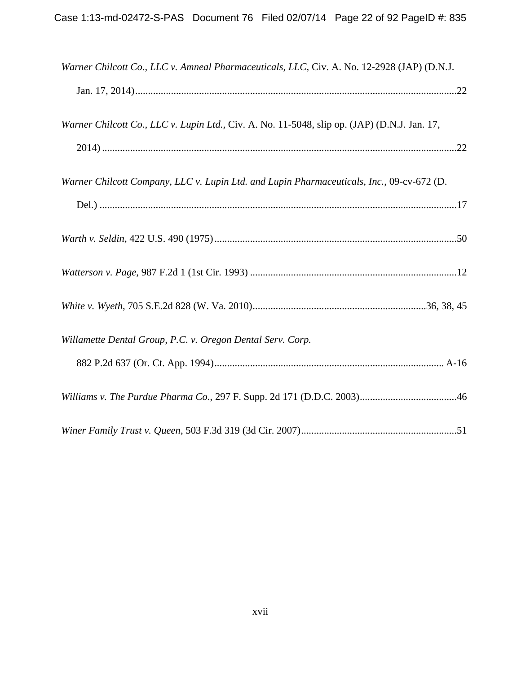| Warner Chilcott Co., LLC v. Amneal Pharmaceuticals, LLC, Civ. A. No. 12-2928 (JAP) (D.N.J.   |  |
|----------------------------------------------------------------------------------------------|--|
|                                                                                              |  |
| Warner Chilcott Co., LLC v. Lupin Ltd., Civ. A. No. 11-5048, slip op. (JAP) (D.N.J. Jan. 17, |  |
|                                                                                              |  |
| Warner Chilcott Company, LLC v. Lupin Ltd. and Lupin Pharmaceuticals, Inc., 09-cv-672 (D.    |  |
|                                                                                              |  |
|                                                                                              |  |
|                                                                                              |  |
|                                                                                              |  |
| Willamette Dental Group, P.C. v. Oregon Dental Serv. Corp.                                   |  |
|                                                                                              |  |
|                                                                                              |  |
|                                                                                              |  |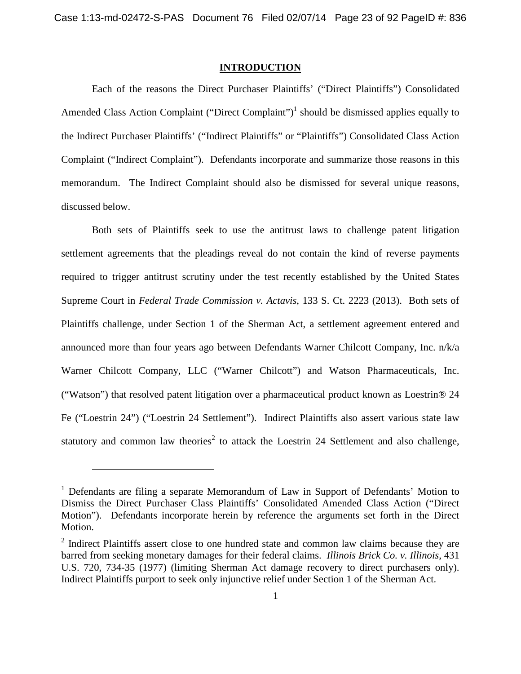## <span id="page-22-0"></span>**INTRODUCTION**

Each of the reasons the Direct Purchaser Plaintiffs' ("Direct Plaintiffs") Consolidated Amended Class Action Complaint ("Direct Complaint")<sup>[1](#page-22-1)</sup> should be dismissed applies equally to the Indirect Purchaser Plaintiffs' ("Indirect Plaintiffs" or "Plaintiffs") Consolidated Class Action Complaint ("Indirect Complaint"). Defendants incorporate and summarize those reasons in this memorandum. The Indirect Complaint should also be dismissed for several unique reasons, discussed below.

Both sets of Plaintiffs seek to use the antitrust laws to challenge patent litigation settlement agreements that the pleadings reveal do not contain the kind of reverse payments required to trigger antitrust scrutiny under the test recently established by the United States Supreme Court in *Federal Trade Commission v. Actavis*, 133 S. Ct. 2223 (2013). Both sets of Plaintiffs challenge, under Section 1 of the Sherman Act, a settlement agreement entered and announced more than four years ago between Defendants Warner Chilcott Company, Inc. n/k/a Warner Chilcott Company, LLC ("Warner Chilcott") and Watson Pharmaceuticals, Inc. ("Watson") that resolved patent litigation over a pharmaceutical product known as Loestrin® 24 Fe ("Loestrin 24") ("Loestrin 24 Settlement"). Indirect Plaintiffs also assert various state law statutory and common law theories<sup>[2](#page-22-2)</sup> to attack the Loestrin 24 Settlement and also challenge,

<span id="page-22-1"></span><sup>&</sup>lt;sup>1</sup> Defendants are filing a separate Memorandum of Law in Support of Defendants' Motion to Dismiss the Direct Purchaser Class Plaintiffs' Consolidated Amended Class Action ("Direct Motion"). Defendants incorporate herein by reference the arguments set forth in the Direct Motion.

<span id="page-22-2"></span> $2$  Indirect Plaintiffs assert close to one hundred state and common law claims because they are barred from seeking monetary damages for their federal claims. *Illinois Brick Co. v. Illinois*, 431 U.S. 720, 734-35 (1977) (limiting Sherman Act damage recovery to direct purchasers only). Indirect Plaintiffs purport to seek only injunctive relief under Section 1 of the Sherman Act.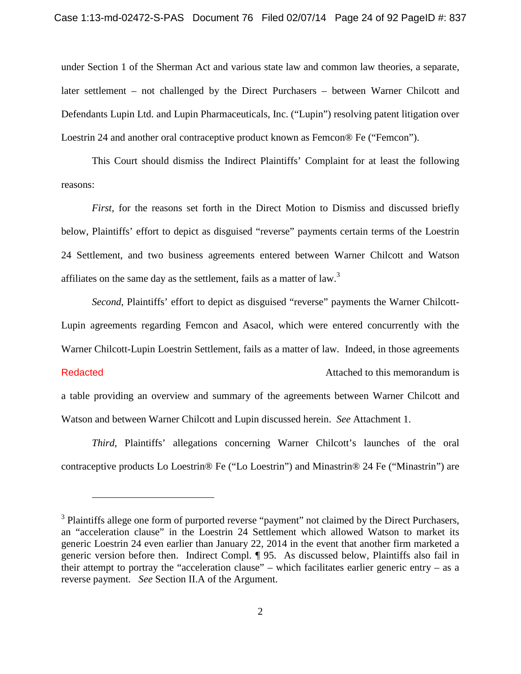under Section 1 of the Sherman Act and various state law and common law theories, a separate, later settlement – not challenged by the Direct Purchasers – between Warner Chilcott and Defendants Lupin Ltd. and Lupin Pharmaceuticals, Inc. ("Lupin") resolving patent litigation over Loestrin 24 and another oral contraceptive product known as Femcon® Fe ("Femcon").

This Court should dismiss the Indirect Plaintiffs' Complaint for at least the following reasons:

*First*, for the reasons set forth in the Direct Motion to Dismiss and discussed briefly below, Plaintiffs' effort to depict as disguised "reverse" payments certain terms of the Loestrin 24 Settlement, and two business agreements entered between Warner Chilcott and Watson affiliateson the same day as the settlement, fails as a matter of law[.](#page-23-0)<sup>3</sup>

*Second*, Plaintiffs' effort to depict as disguised "reverse" payments the Warner Chilcott-Lupin agreements regarding Femcon and Asacol, which were entered concurrently with the Warner Chilcott-Lupin Loestrin Settlement, fails as a matter of law. Indeed, in those agreements Attached to this memorandum is a table providing an overview and summary of the agreements between Warner Chilcott and **Redacted** 

Watson and between Warner Chilcott and Lupin discussed herein. *See* Attachment 1.

*Third*, Plaintiffs' allegations concerning Warner Chilcott's launches of the oral contraceptive products Lo Loestrin® Fe ("Lo Loestrin") and Minastrin® 24 Fe ("Minastrin") are

<span id="page-23-0"></span> $3$  Plaintiffs allege one form of purported reverse "payment" not claimed by the Direct Purchasers, an "acceleration clause" in the Loestrin 24 Settlement which allowed Watson to market its generic Loestrin 24 even earlier than January 22, 2014 in the event that another firm marketed a generic version before then. Indirect Compl. ¶ 95. As discussed below, Plaintiffs also fail in their attempt to portray the "acceleration clause" – which facilitates earlier generic entry – as a reverse payment. *See* Section II.A of the Argument.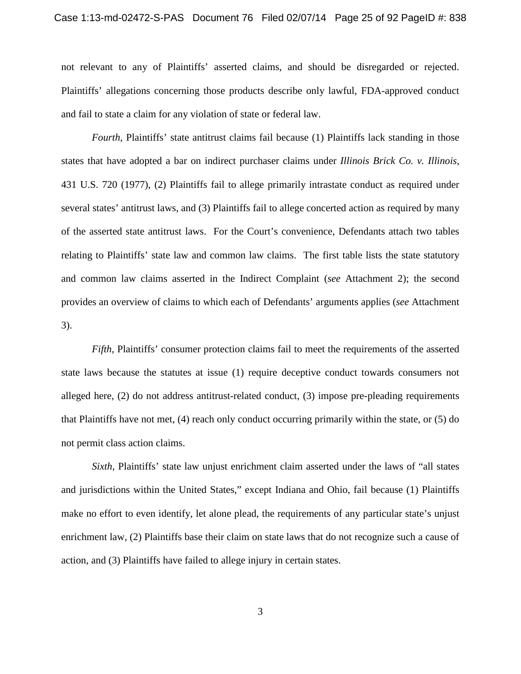not relevant to any of Plaintiffs' asserted claims, and should be disregarded or rejected. Plaintiffs' allegations concerning those products describe only lawful, FDA-approved conduct and fail to state a claim for any violation of state or federal law.

*Fourth*, Plaintiffs' state antitrust claims fail because (1) Plaintiffs lack standing in those states that have adopted a bar on indirect purchaser claims under *Illinois Brick Co. v. Illinois*, 431 U.S. 720 (1977), (2) Plaintiffs fail to allege primarily intrastate conduct as required under several states' antitrust laws, and (3) Plaintiffs fail to allege concerted action as required by many of the asserted state antitrust laws. For the Court's convenience, Defendants attach two tables relating to Plaintiffs' state law and common law claims. The first table lists the state statutory and common law claims asserted in the Indirect Complaint (*see* Attachment 2); the second provides an overview of claims to which each of Defendants' arguments applies (*see* Attachment 3).

*Fifth*, Plaintiffs' consumer protection claims fail to meet the requirements of the asserted state laws because the statutes at issue (1) require deceptive conduct towards consumers not alleged here, (2) do not address antitrust-related conduct, (3) impose pre-pleading requirements that Plaintiffs have not met, (4) reach only conduct occurring primarily within the state, or (5) do not permit class action claims.

*Sixth*, Plaintiffs' state law unjust enrichment claim asserted under the laws of "all states and jurisdictions within the United States," except Indiana and Ohio, fail because (1) Plaintiffs make no effort to even identify, let alone plead, the requirements of any particular state's unjust enrichment law, (2) Plaintiffs base their claim on state laws that do not recognize such a cause of action, and (3) Plaintiffs have failed to allege injury in certain states.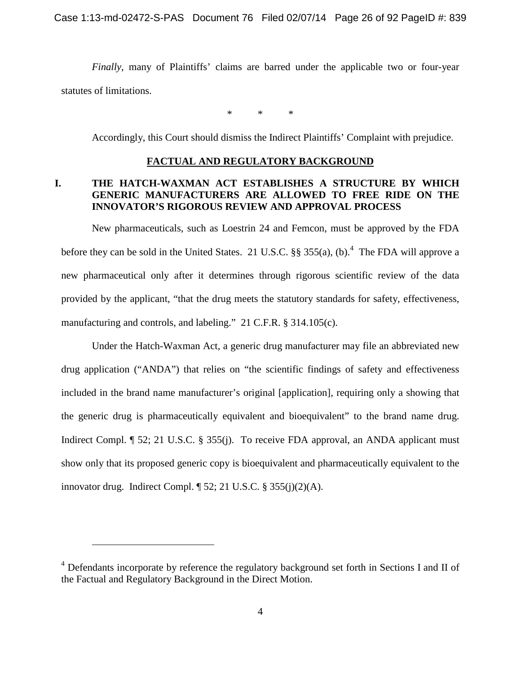*Finally*, many of Plaintiffs' claims are barred under the applicable two or four-year statutes of limitations.

\* \* \*

Accordingly, this Court should dismiss the Indirect Plaintiffs' Complaint with prejudice.

## <span id="page-25-0"></span>**FACTUAL AND REGULATORY BACKGROUND**

## <span id="page-25-1"></span>**I. THE HATCH-WAXMAN ACT ESTABLISHES A STRUCTURE BY WHICH GENERIC MANUFACTURERS ARE ALLOWED TO FREE RIDE ON THE INNOVATOR'S RIGOROUS REVIEW AND APPROVAL PROCESS**

New pharmaceuticals, such as Loestrin 24 and Femcon, must be approved by the FDA beforethey can be sold in the United States. 21 U.S.C.  $\S$ § 355(a), (b).<sup>4</sup> The FDA will approve a new pharmaceutical only after it determines through rigorous scientific review of the data provided by the applicant, "that the drug meets the statutory standards for safety, effectiveness, manufacturing and controls, and labeling." 21 C.F.R. § 314.105(c).

Under the Hatch-Waxman Act, a generic drug manufacturer may file an abbreviated new drug application ("ANDA") that relies on "the scientific findings of safety and effectiveness included in the brand name manufacturer's original [application], requiring only a showing that the generic drug is pharmaceutically equivalent and bioequivalent" to the brand name drug. Indirect Compl. ¶ 52; 21 U.S.C. § 355(j). To receive FDA approval, an ANDA applicant must show only that its proposed generic copy is bioequivalent and pharmaceutically equivalent to the innovator drug. Indirect Compl. ¶ 52; 21 U.S.C. § 355(j)(2)(A).

<span id="page-25-2"></span> $4$  Defendants incorporate by reference the regulatory background set forth in Sections I and II of the Factual and Regulatory Background in the Direct Motion.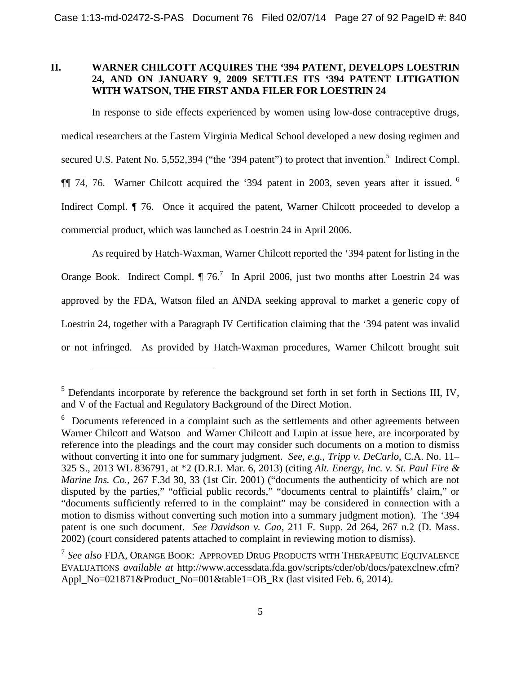## <span id="page-26-0"></span>**II. WARNER CHILCOTT ACQUIRES THE '394 PATENT, DEVELOPS LOESTRIN 24, AND ON JANUARY 9, 2009 SETTLES ITS '394 PATENT LITIGATION WITH WATSON, THE FIRST ANDA FILER FOR LOESTRIN 24**

In response to side effects experienced by women using low-dose contraceptive drugs, medical researchers at the Eastern Virginia Medical School developed a new dosing regimen and secured U.S. Patent No. [5](#page-26-1),552,394 ("the '394 patent") to protect that invention.<sup>5</sup> Indirect Compl. ¶¶ 74, 76. Warner Chilcott acquired the '394 patent in 2003, seven years after it issued. [6](#page-26-2) Indirect Compl.  $\P$  76. Once it acquired the patent, Warner Chilcott proceeded to develop a commercial product, which was launched as Loestrin 24 in April 2006.

As required by Hatch-Waxman, Warner Chilcott reported the '394 patent for listing in the OrangeBook. Indirect Compl.  $\P$  76.<sup>7</sup> In April 2006, just two months after Loestrin 24 was approved by the FDA, Watson filed an ANDA seeking approval to market a generic copy of Loestrin 24, together with a Paragraph IV Certification claiming that the '394 patent was invalid or not infringed. As provided by Hatch-Waxman procedures, Warner Chilcott brought suit

<span id="page-26-1"></span> $<sup>5</sup>$  Defendants incorporate by reference the background set forth in set forth in Sections III, IV,</sup> and V of the Factual and Regulatory Background of the Direct Motion.

<span id="page-26-2"></span><sup>&</sup>lt;sup>6</sup> Documents referenced in a complaint such as the settlements and other agreements between Warner Chilcott and Watson and Warner Chilcott and Lupin at issue here, are incorporated by reference into the pleadings and the court may consider such documents on a motion to dismiss without converting it into one for summary judgment. *See, e.g., Tripp v*. *DeCarlo*, C.A. No. 11– 325 S., 2013 WL 836791, at \*2 (D.R.I. Mar. 6, 2013) (citing *Alt. Energy, Inc. v. St. Paul Fire & Marine Ins. Co.*, 267 F.3d 30, 33 (1st Cir. 2001) ("documents the authenticity of which are not disputed by the parties," "official public records," "documents central to plaintiffs' claim," or "documents sufficiently referred to in the complaint" may be considered in connection with a motion to dismiss without converting such motion into a summary judgment motion). The '394 patent is one such document. *See Davidson v. Cao*, 211 F. Supp. 2d 264, 267 n.2 (D. Mass. 2002) (court considered patents attached to complaint in reviewing motion to dismiss).

<span id="page-26-3"></span><sup>7</sup> *See also* FDA, ORANGE BOOK: APPROVED DRUG PRODUCTS WITH THERAPEUTIC EQUIVALENCE EVALUATIONS *available at* http://www.accessdata.fda.gov/scripts/cder/ob/docs/patexclnew.cfm? Appl\_No=021871&Product\_No=001&table1=OB\_Rx (last visited Feb. 6, 2014).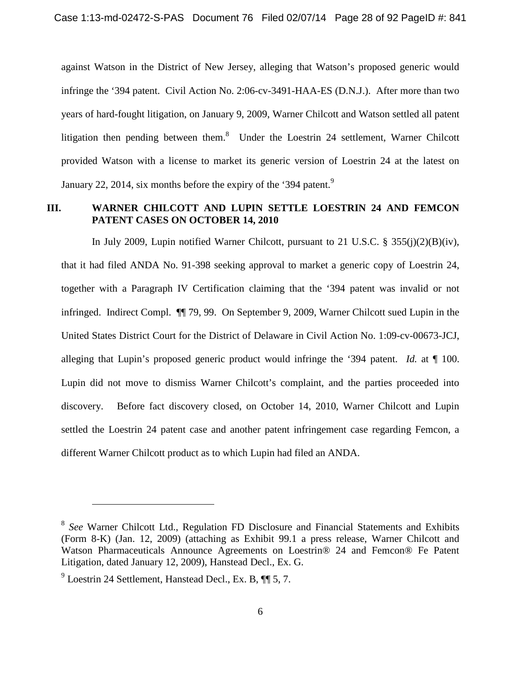against Watson in the District of New Jersey, alleging that Watson's proposed generic would infringe the '394 patent. Civil Action No. 2:06-cv-3491-HAA-ES (D.N.J.). After more than two years of hard-fought litigation, on January 9, 2009, Warner Chilcott and Watson settled all patent litigationthen pending between them[.](#page-27-1)<sup>8</sup> Under the Loestrin 24 settlement, Warner Chilcott provided Watson with a license to market its generic version of Loestrin 24 at the latest on January 22, 2014, six months before the expiry of the '3[9](#page-27-2)4 patent.<sup>9</sup>

## <span id="page-27-0"></span>**III. WARNER CHILCOTT AND LUPIN SETTLE LOESTRIN 24 AND FEMCON PATENT CASES ON OCTOBER 14, 2010**

In July 2009, Lupin notified Warner Chilcott, pursuant to 21 U.S.C. § 355(j)(2)(B)(iv), that it had filed ANDA No. 91-398 seeking approval to market a generic copy of Loestrin 24, together with a Paragraph IV Certification claiming that the '394 patent was invalid or not infringed. Indirect Compl. ¶¶ 79, 99. On September 9, 2009, Warner Chilcott sued Lupin in the United States District Court for the District of Delaware in Civil Action No. 1:09-cv-00673-JCJ, alleging that Lupin's proposed generic product would infringe the '394 patent. *Id.* at ¶ 100. Lupin did not move to dismiss Warner Chilcott's complaint, and the parties proceeded into discovery. Before fact discovery closed, on October 14, 2010, Warner Chilcott and Lupin settled the Loestrin 24 patent case and another patent infringement case regarding Femcon, a different Warner Chilcott product as to which Lupin had filed an ANDA.

<span id="page-27-1"></span><sup>8</sup> *See* Warner Chilcott Ltd., Regulation FD Disclosure and Financial Statements and Exhibits (Form 8-K) (Jan. 12, 2009) (attaching as Exhibit 99.1 a press release, Warner Chilcott and Watson Pharmaceuticals Announce Agreements on Loestrin® 24 and Femcon® Fe Patent Litigation, dated January 12, 2009), Hanstead Decl., Ex. G.

<span id="page-27-2"></span><sup>&</sup>lt;sup>9</sup> Loestrin 24 Settlement, Hanstead Decl., Ex. B, ¶ 5, 7.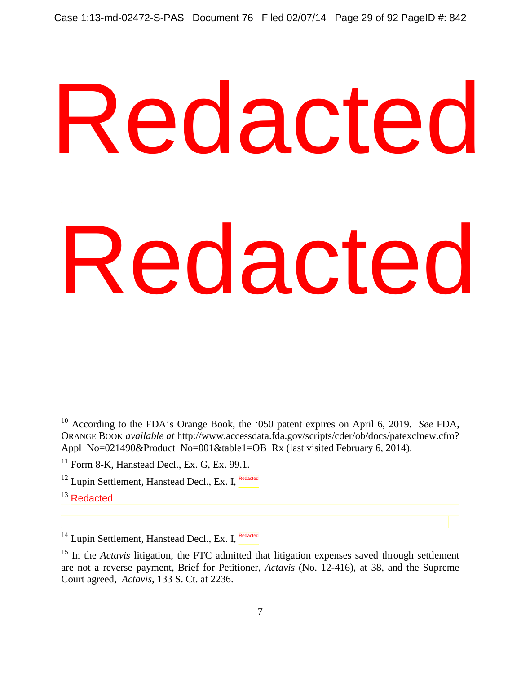# <sup>19</sup> According to the FDA's Orange Book, the '050 patent expires on April 6, 2019. See FDA,<br>ORANGE BOOK available at http://www.accessdaa.fda.gov.scripts/cder/ob/docs/patexchew.cfm?<br>Appl No=021490&Product. No=001&table1=0B Redacted

<sup>13</sup> Redacted

<sup>10</sup> According to the FDA's Orange Book, the '050 patent expires on April 6, 2019. *See* FDA, ORANGE BOOK *available at* http://www.accessdata.fda.gov/scripts/cder/ob/docs/patexclnew.cfm? Appl\_No=021490&Product\_No=001&table1=OB\_Rx (last visited February 6, 2014).

 $11$  Form 8-K, Hanstead Decl., Ex. G, Ex. 99.1.

<sup>&</sup>lt;sup>12</sup> Lupin Settlement, Hanstead Decl., Ex. I, Redacted

<sup>&</sup>lt;sup>14</sup> Lupin Settlement, Hanstead Decl., Ex. I, Redacted

<sup>&</sup>lt;sup>15</sup> In the *Actavis* litigation, the FTC admitted that litigation expenses saved through settlement are not a reverse payment, Brief for Petitioner, *Actavis* (No. 12-416), at 38, and the Supreme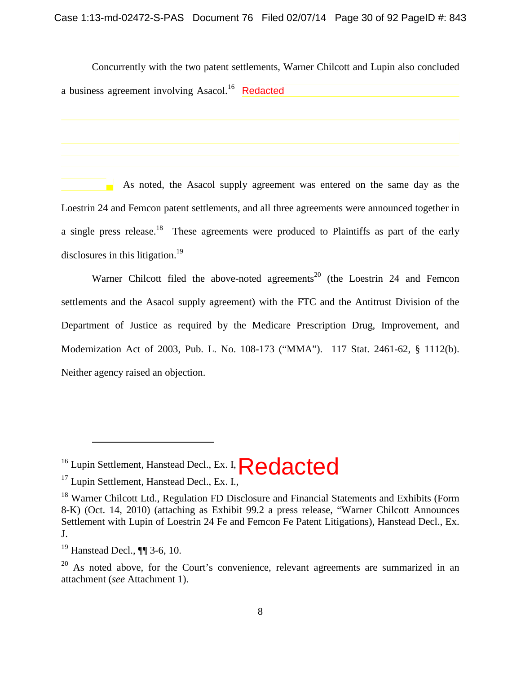Concurrently with the two patent settlements, Warner Chilcott and Lupin also concluded a business agreement involving Asacol.<sup>[16](#page-29-0)</sup> Redacted

As noted, the Asacol supply agreement was entered on the same day as the Loestrin 24 and Femcon patent settlements, and all three agreements were announced together in a single press release.<sup>[18](#page-29-1)</sup> These agreements were produced to Plaintiffs as part of the early disclosures in this litigation.<sup>[19](#page-29-2)</sup>

Warner Chilcott filed the above-noted agreements<sup>[20](#page-29-3)</sup> (the Loestrin 24 and Femcon settlements and the Asacol supply agreement) with the FTC and the Antitrust Division of the Department of Justice as required by the Medicare Prescription Drug, Improvement, and Modernization Act of 2003, Pub. L. No. 108-173 ("MMA"). 117 Stat. 2461-62, § 1112(b). Neither agency raised an objection. **Example 12**<br> **As noted, the Asacol supply agreem<br>
Loestrin 24 and Femoon patent settlements, and all throw<br>
a single press release.<sup>18</sup> These agreements were provided agreements in this litigation.<sup>19</sup><br>
Warner Chilcott fi** 

<span id="page-29-0"></span><sup>&</sup>lt;sup>16</sup> Lupin Settlement, Hanstead Decl., Ex. I,  $\text{Redacted}$ 

 $17$  Lupin Settlement, Hanstead Decl., Ex. I.,

<span id="page-29-1"></span> $18$  Warner Chilcott Ltd., Regulation FD Disclosure and Financial Statements and Exhibits (Form 8-K) (Oct. 14, 2010) (attaching as Exhibit 99.2 a press release, "Warner Chilcott Announces Settlement with Lupin of Loestrin 24 Fe and Femcon Fe Patent Litigations), Hanstead Decl., Ex. J.

<span id="page-29-2"></span><sup>19</sup> Hanstead Decl., ¶¶ 3-6, 10.

<span id="page-29-3"></span> $20$  As noted above, for the Court's convenience, relevant agreements are summarized in an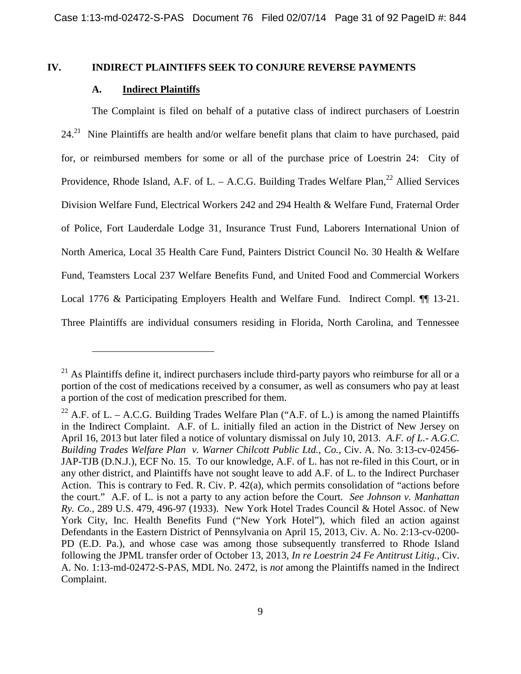## **IV. INDIRECT PLAINTIFFS SEEK TO CONJURE REVERSE PAYMENTS**

## <span id="page-30-1"></span><span id="page-30-0"></span>**A. Indirect Plaintiffs**

The Complaint is filed on behalf of a putative class of indirect purchasers of Loestrin  $24.<sup>21</sup>$  $24.<sup>21</sup>$  $24.<sup>21</sup>$  Nine Plaintiffs are health and/or welfare benefit plans that claim to have purchased, paid for, or reimbursed members for some or all of the purchase price of Loestrin 24: City of Providence, Rhode Island, A.F. of L. – A.C.G. Building Trades Welfare Plan,<sup>[22](#page-30-3)</sup> Allied Services Division Welfare Fund, Electrical Workers 242 and 294 Health & Welfare Fund, Fraternal Order of Police, Fort Lauderdale Lodge 31, Insurance Trust Fund, Laborers International Union of North America, Local 35 Health Care Fund, Painters District Council No. 30 Health & Welfare Fund, Teamsters Local 237 Welfare Benefits Fund, and United Food and Commercial Workers Local 1776 & Participating Employers Health and Welfare Fund. Indirect Compl. <sup>11</sup> 13-21. Three Plaintiffs are individual consumers residing in Florida, North Carolina, and Tennessee

<span id="page-30-2"></span> $21$  As Plaintiffs define it, indirect purchasers include third-party payors who reimburse for all or a portion of the cost of medications received by a consumer, as well as consumers who pay at least a portion of the cost of medication prescribed for them.

<span id="page-30-3"></span><sup>&</sup>lt;sup>22</sup> A.F. of L. – A.C.G. Building Trades Welfare Plan ("A.F. of L.) is among the named Plaintiffs in the Indirect Complaint. A.F. of L. initially filed an action in the District of New Jersey on April 16, 2013 but later filed a notice of voluntary dismissal on July 10, 2013. *A.F. of L.- A.G.C. Building Trades Welfare Plan v. Warner Chilcott Public Ltd., Co.*, Civ. A. No. 3:13-cv-02456- JAP-TJB (D.N.J.), ECF No. 15. To our knowledge, A.F. of L. has not re-filed in this Court, or in any other district, and Plaintiffs have not sought leave to add A.F. of L. to the Indirect Purchaser Action. This is contrary to Fed. R. Civ. P. 42(a), which permits consolidation of "actions before the court." A.F. of L. is not a party to any action before the Court. *See Johnson v. Manhattan Ry. Co.*, 289 U.S. 479, 496-97 (1933). New York Hotel Trades Council & Hotel Assoc. of New York City, Inc. Health Benefits Fund ("New York Hotel"), which filed an action against Defendants in the Eastern District of Pennsylvania on April 15, 2013, Civ. A. No. 2:13-cv-0200- PD (E.D. Pa.), and whose case was among those subsequently transferred to Rhode Island following the JPML transfer order of October 13, 2013, *In re Loestrin 24 Fe Antitrust Litig.*, Civ. A. No. 1:13-md-02472-S-PAS, MDL No. 2472, is *not* among the Plaintiffs named in the Indirect Complaint.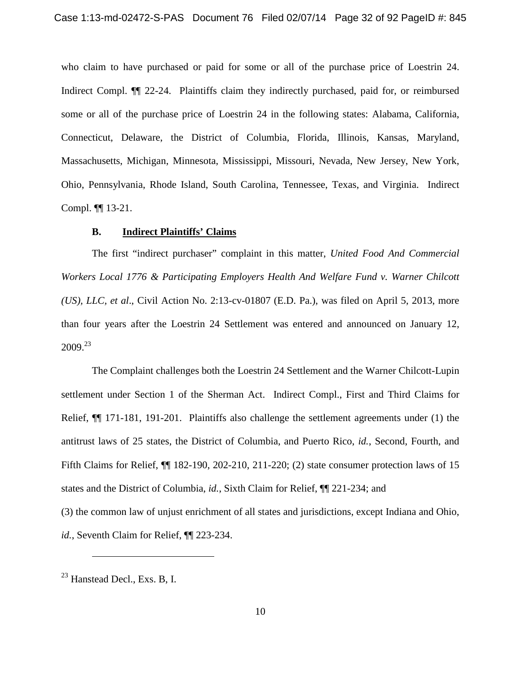who claim to have purchased or paid for some or all of the purchase price of Loestrin 24. Indirect Compl. ¶¶ 22-24. Plaintiffs claim they indirectly purchased, paid for, or reimbursed some or all of the purchase price of Loestrin 24 in the following states: Alabama, California, Connecticut, Delaware, the District of Columbia, Florida, Illinois, Kansas, Maryland, Massachusetts, Michigan, Minnesota, Mississippi, Missouri, Nevada, New Jersey, New York, Ohio, Pennsylvania, Rhode Island, South Carolina, Tennessee, Texas, and Virginia. Indirect Compl. ¶¶ 13-21.

## <span id="page-31-0"></span>**B. Indirect Plaintiffs' Claims**

The first "indirect purchaser" complaint in this matter, *United Food And Commercial Workers Local 1776 & Participating Employers Health And Welfare Fund v. Warner Chilcott (US), LLC, et al*., Civil Action No. 2:13-cv-01807 (E.D. Pa.), was filed on April 5, 2013, more than four years after the Loestrin 24 Settlement was entered and announced on January 12,  $2009.<sup>23</sup>$  $2009.<sup>23</sup>$  $2009.<sup>23</sup>$ 

The Complaint challenges both the Loestrin 24 Settlement and the Warner Chilcott-Lupin settlement under Section 1 of the Sherman Act. Indirect Compl., First and Third Claims for Relief, ¶¶ 171-181, 191-201. Plaintiffs also challenge the settlement agreements under (1) the antitrust laws of 25 states, the District of Columbia, and Puerto Rico, *id.*, Second, Fourth, and Fifth Claims for Relief, ¶¶ 182-190, 202-210, 211-220; (2) state consumer protection laws of 15 states and the District of Columbia, *id.*, Sixth Claim for Relief, ¶¶ 221-234; and

(3) the common law of unjust enrichment of all states and jurisdictions, except Indiana and Ohio, *id.*, Seventh Claim for Relief, ¶¶ 223-234.

<span id="page-31-1"></span><sup>23</sup> Hanstead Decl., Exs. B, I.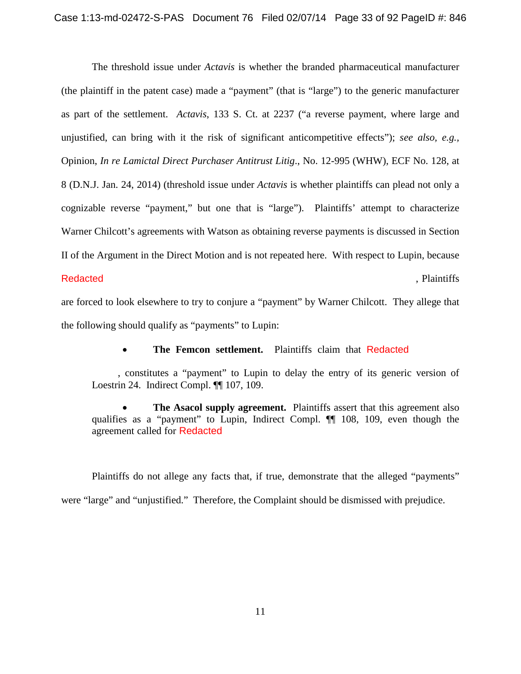The threshold issue under *Actavis* is whether the branded pharmaceutical manufacturer (the plaintiff in the patent case) made a "payment" (that is "large") to the generic manufacturer as part of the settlement. *Actavis*, 133 S. Ct. at 2237 ("a reverse payment, where large and unjustified, can bring with it the risk of significant anticompetitive effects"); *see also, e.g.,* Opinion, *In re Lamictal Direct Purchaser Antitrust Litig*., No. 12-995 (WHW), ECF No. 128, at 8 (D.N.J. Jan. 24, 2014) (threshold issue under *Actavis* is whether plaintiffs can plead not only a cognizable reverse "payment," but one that is "large"). Plaintiffs' attempt to characterize Warner Chilcott's agreements with Watson as obtaining reverse payments is discussed in Section II of the Argument in the Direct Motion and is not repeated here. With respect to Lupin, because , Plaintiffs **Redacted** 

are forced to look elsewhere to try to conjure a "payment" by Warner Chilcott. They allege that the following should qualify as "payments" to Lupin:

**The Femcon settlement.** Plaintiffs claim that Redacted

, constitutes a "payment" to Lupin to delay the entry of its generic version of Loestrin 24. Indirect Compl. ¶¶ 107, 109.

 **The Asacol supply agreement.** Plaintiffs assert that this agreement also qualifies as a "payment" to Lupin, Indirect Compl. ¶¶ 108, 109, even though the agreement called for Redacted

Plaintiffs do not allege any facts that, if true, demonstrate that the alleged "payments" were "large" and "unjustified." Therefore, the Complaint should be dismissed with prejudice.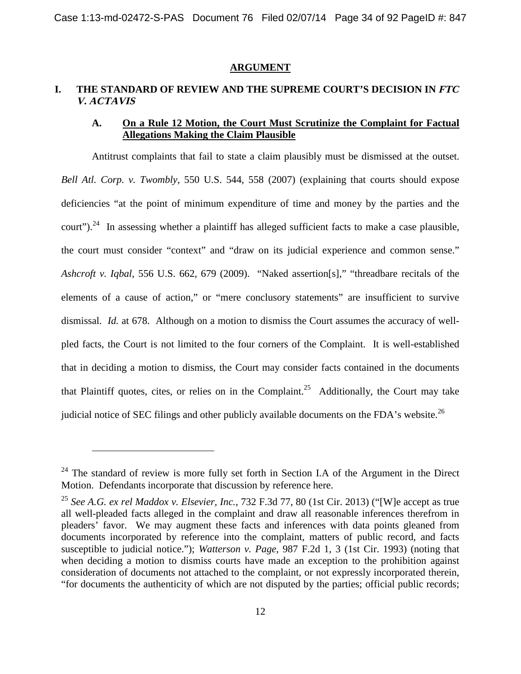### <span id="page-33-0"></span>**ARGUMENT**

# <span id="page-33-1"></span>**I. THE STANDARD OF REVIEW AND THE SUPREME COURT'S DECISION IN FTC V. ACTAVIS**

## <span id="page-33-2"></span>**A. On a Rule 12 Motion, the Court Must Scrutinize the Complaint for Factual Allegations Making the Claim Plausible**

Antitrust complaints that fail to state a claim plausibly must be dismissed at the outset. *Bell Atl. Corp. v. Twombly*, 550 U.S. 544, 558 (2007) (explaining that courts should expose deficiencies "at the point of minimum expenditure of time and money by the parties and the court").<sup>[24](#page-33-3)</sup> In assessing whether a plaintiff has alleged sufficient facts to make a case plausible. the court must consider "context" and "draw on its judicial experience and common sense." *Ashcroft v. Iqbal*, 556 U.S. 662, 679 (2009). "Naked assertion[s]," "threadbare recitals of the elements of a cause of action," or "mere conclusory statements" are insufficient to survive dismissal. *Id.* at 678. Although on a motion to dismiss the Court assumes the accuracy of wellpled facts, the Court is not limited to the four corners of the Complaint. It is well-established that in deciding a motion to dismiss, the Court may consider facts contained in the documents that Plaintiff quotes, cites, or relies on in the Complaint.<sup>[25](#page-33-4)</sup> Additionally, the Court may take judicial notice of SEC filings and other publicly available documents on the FDA's website.<sup>[26](#page-33-5)</sup>

<span id="page-33-5"></span><span id="page-33-3"></span> $24$  The standard of review is more fully set forth in Section I.A of the Argument in the Direct Motion. Defendants incorporate that discussion by reference here.

<span id="page-33-4"></span><sup>25</sup> *See A.G. ex rel Maddox v. Elsevier, Inc.*, 732 F.3d 77, 80 (1st Cir. 2013) ("[W]e accept as true all well-pleaded facts alleged in the complaint and draw all reasonable inferences therefrom in pleaders' favor. We may augment these facts and inferences with data points gleaned from documents incorporated by reference into the complaint, matters of public record, and facts susceptible to judicial notice."); *Watterson v. Page*, 987 F.2d 1, 3 (1st Cir. 1993) (noting that when deciding a motion to dismiss courts have made an exception to the prohibition against consideration of documents not attached to the complaint, or not expressly incorporated therein, "for documents the authenticity of which are not disputed by the parties; official public records;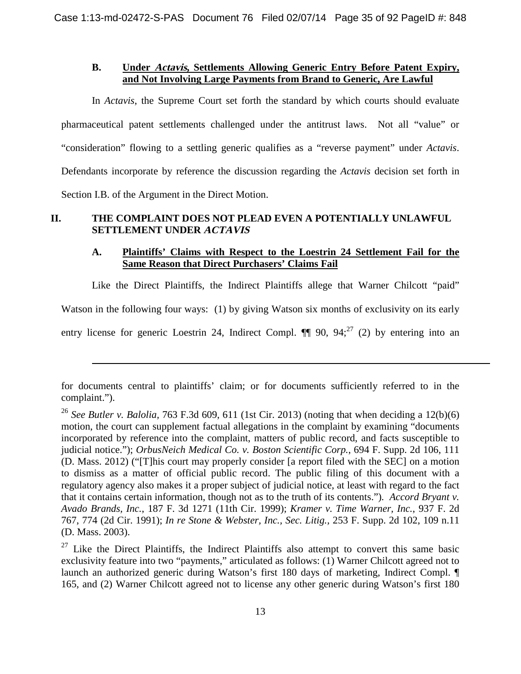## <span id="page-34-0"></span>**B. Under Actavis, Settlements Allowing Generic Entry Before Patent Expiry, and Not Involving Large Payments from Brand to Generic, Are Lawful**

In *Actavis*, the Supreme Court set forth the standard by which courts should evaluate pharmaceutical patent settlements challenged under the antitrust laws. Not all "value" or "consideration" flowing to a settling generic qualifies as a "reverse payment" under *Actavis*. Defendants incorporate by reference the discussion regarding the *Actavis* decision set forth in Section I.B. of the Argument in the Direct Motion.

# **II. THE COMPLAINT DOES NOT PLEAD EVEN A POTENTIALLY UNLAWFUL SETTLEMENT UNDER ACTAVIS**

## <span id="page-34-2"></span><span id="page-34-1"></span>**A. Plaintiffs' Claims with Respect to the Loestrin 24 Settlement Fail for the Same Reason that Direct Purchasers' Claims Fail**

Like the Direct Plaintiffs, the Indirect Plaintiffs allege that Warner Chilcott "paid"

Watson in the following four ways: (1) by giving Watson six months of exclusivity on its early

entry license for generic Loestrin 24, Indirect Compl.  $\P\P$  90, 94;<sup>[27](#page-34-3)</sup> (2) by entering into an

for documents central to plaintiffs' claim; or for documents sufficiently referred to in the complaint.").

<sup>&</sup>lt;sup>26</sup> *See Butler v. Balolia,* 763 F.3d 609, 611 (1st Cir. 2013) (noting that when deciding a 12(b)(6) motion, the court can supplement factual allegations in the complaint by examining "documents incorporated by reference into the complaint, matters of public record, and facts susceptible to judicial notice."); *OrbusNeich Medical Co. v. Boston Scientific Corp.*, 694 F. Supp. 2d 106, 111 (D. Mass. 2012) ("[T]his court may properly consider [a report filed with the SEC] on a motion to dismiss as a matter of official public record. The public filing of this document with a regulatory agency also makes it a proper subject of judicial notice, at least with regard to the fact that it contains certain information, though not as to the truth of its contents.")*. Accord Bryant v. Avado Brands, Inc.*, 187 F. 3d 1271 (11th Cir. 1999); *Kramer v. Time Warner, Inc.*, 937 F. 2d 767, 774 (2d Cir. 1991); *In re Stone & Webster, Inc., Sec. Litig.,* 253 F. Supp. 2d 102, 109 n.11 (D. Mass. 2003).

<span id="page-34-3"></span> $27$  Like the Direct Plaintiffs, the Indirect Plaintiffs also attempt to convert this same basic exclusivity feature into two "payments," articulated as follows: (1) Warner Chilcott agreed not to launch an authorized generic during Watson's first 180 days of marketing, Indirect Compl. ¶ 165, and (2) Warner Chilcott agreed not to license any other generic during Watson's first 180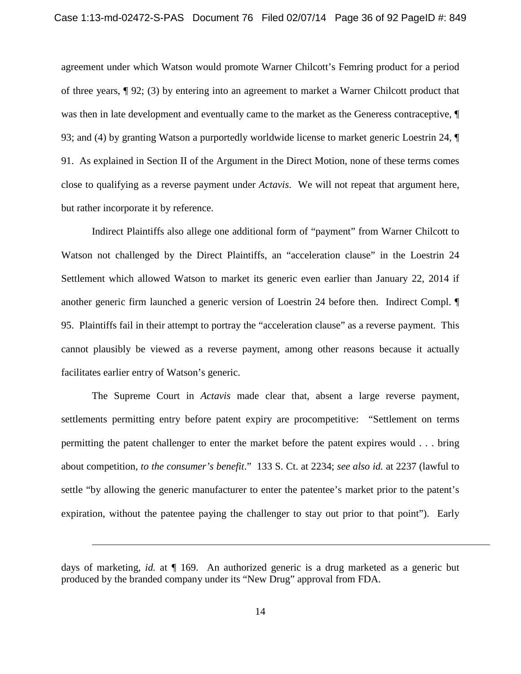agreement under which Watson would promote Warner Chilcott's Femring product for a period of three years, ¶ 92; (3) by entering into an agreement to market a Warner Chilcott product that was then in late development and eventually came to the market as the Generess contraceptive, 93; and (4) by granting Watson a purportedly worldwide license to market generic Loestrin 24, ¶ 91. As explained in Section II of the Argument in the Direct Motion, none of these terms comes close to qualifying as a reverse payment under *Actavis*. We will not repeat that argument here, but rather incorporate it by reference.

Indirect Plaintiffs also allege one additional form of "payment" from Warner Chilcott to Watson not challenged by the Direct Plaintiffs, an "acceleration clause" in the Loestrin 24 Settlement which allowed Watson to market its generic even earlier than January 22, 2014 if another generic firm launched a generic version of Loestrin 24 before then. Indirect Compl. ¶ 95. Plaintiffs fail in their attempt to portray the "acceleration clause" as a reverse payment. This cannot plausibly be viewed as a reverse payment, among other reasons because it actually facilitates earlier entry of Watson's generic.

The Supreme Court in *Actavis* made clear that, absent a large reverse payment, settlements permitting entry before patent expiry are procompetitive: "Settlement on terms permitting the patent challenger to enter the market before the patent expires would . . . bring about competition, *to the consumer's benefit*." 133 S. Ct. at 2234; *see also id.* at 2237 (lawful to settle "by allowing the generic manufacturer to enter the patentee's market prior to the patent's expiration, without the patentee paying the challenger to stay out prior to that point"). Early

days of marketing, *id.* at ¶ 169. An authorized generic is a drug marketed as a generic but produced by the branded company under its "New Drug" approval from FDA.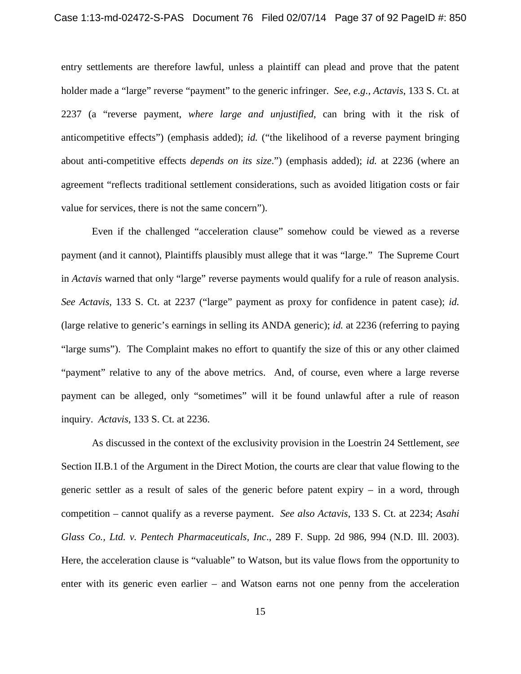entry settlements are therefore lawful, unless a plaintiff can plead and prove that the patent holder made a "large" reverse "payment" to the generic infringer. *See, e.g., Actavis*, 133 S. Ct. at 2237 (a "reverse payment, *where large and unjustified*, can bring with it the risk of anticompetitive effects") (emphasis added); *id.* ("the likelihood of a reverse payment bringing about anti-competitive effects *depends on its size*.") (emphasis added); *id.* at 2236 (where an agreement "reflects traditional settlement considerations, such as avoided litigation costs or fair value for services, there is not the same concern").

Even if the challenged "acceleration clause" somehow could be viewed as a reverse payment (and it cannot), Plaintiffs plausibly must allege that it was "large." The Supreme Court in *Actavis* warned that only "large" reverse payments would qualify for a rule of reason analysis. *See Actavis*, 133 S. Ct. at 2237 ("large" payment as proxy for confidence in patent case); *id.* (large relative to generic's earnings in selling its ANDA generic); *id.* at 2236 (referring to paying "large sums"). The Complaint makes no effort to quantify the size of this or any other claimed "payment" relative to any of the above metrics. And, of course, even where a large reverse payment can be alleged, only "sometimes" will it be found unlawful after a rule of reason inquiry. *Actavis*, 133 S. Ct. at 2236.

As discussed in the context of the exclusivity provision in the Loestrin 24 Settlement, *see* Section II.B.1 of the Argument in the Direct Motion, the courts are clear that value flowing to the generic settler as a result of sales of the generic before patent expiry – in a word, through competition – cannot qualify as a reverse payment. *See also Actavis*, 133 S. Ct. at 2234; *Asahi Glass Co., Ltd. v. Pentech Pharmaceuticals, Inc*., 289 F. Supp. 2d 986, 994 (N.D. Ill. 2003). Here, the acceleration clause is "valuable" to Watson, but its value flows from the opportunity to enter with its generic even earlier – and Watson earns not one penny from the acceleration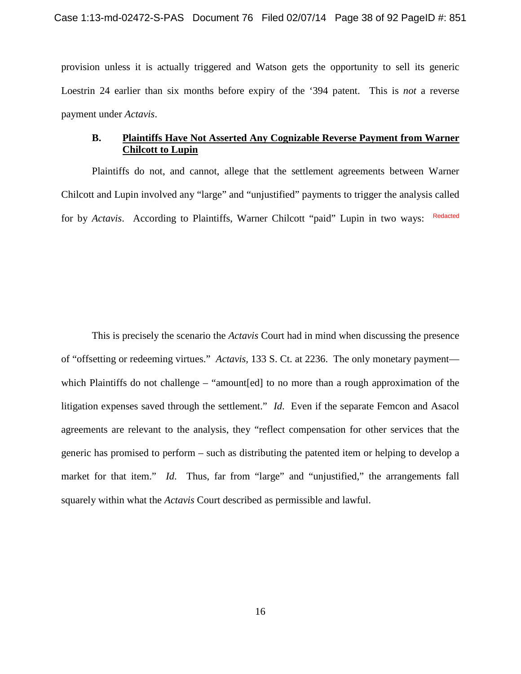provision unless it is actually triggered and Watson gets the opportunity to sell its generic Loestrin 24 earlier than six months before expiry of the '394 patent. This is *not* a reverse payment under *Actavis*.

# **B. Plaintiffs Have Not Asserted Any Cognizable Reverse Payment from Warner Chilcott to Lupin**

Plaintiffs do not, and cannot, allege that the settlement agreements between Warner Chilcott and Lupin involved any "large" and "unjustified" payments to trigger the analysis called for by *Actavis*. According to Plaintiffs, Warner Chilcott "paid" Lupin in two ways: Redacted

This is precisely the scenario the *Actavis* Court had in mind when discussing the presence of "offsetting or redeeming virtues." *Actavis,* 133 S. Ct. at 2236. The only monetary payment which Plaintiffs do not challenge – "amount[ed] to no more than a rough approximation of the litigation expenses saved through the settlement." *Id*. Even if the separate Femcon and Asacol agreements are relevant to the analysis, they "reflect compensation for other services that the generic has promised to perform – such as distributing the patented item or helping to develop a market for that item." *Id*. Thus, far from "large" and "unjustified," the arrangements fall squarely within what the *Actavis* Court described as permissible and lawful.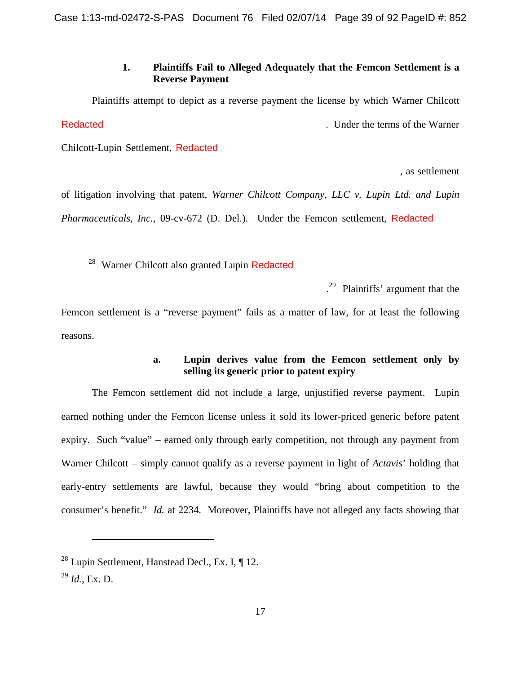# **1. Plaintiffs Fail to Alleged Adequately that the Femcon Settlement is a Reverse Payment**

Plaintiffs attempt to depict as a reverse payment the license by which Warner Chilcott . Under the terms of the Warner **Redacted** 

Chilcott-Lupin Settlement, Redacted

, as settlement

of litigation involving that patent, *Warner Chilcott Company, LLC v. Lupin Ltd. and Lupin* Pharmaceuticals, Inc., 09-cv-672 (D. Del.). Under the Femcon settlement, Redacted

<sup>28</sup> Warner Chilcott also granted Lupin Redacted

. [29](#page-38-0) Plaintiffs' argument that the

Femcon settlement is a "reverse payment" fails as a matter of law, for at least the following reasons.

# **a. Lupin derives value from the Femcon settlement only by selling its generic prior to patent expiry**

The Femcon settlement did not include a large, unjustified reverse payment. Lupin earned nothing under the Femcon license unless it sold its lower-priced generic before patent expiry. Such "value" – earned only through early competition, not through any payment from Warner Chilcott – simply cannot qualify as a reverse payment in light of *Actavis*' holding that early-entry settlements are lawful, because they would "bring about competition to the consumer's benefit." *Id.* at 2234. Moreover, Plaintiffs have not alleged any facts showing that

 $^{28}$  Lupin Settlement, Hanstead Decl., Ex. I,  $\P$  12.

<span id="page-38-0"></span><sup>29</sup> *Id.*, Ex. D.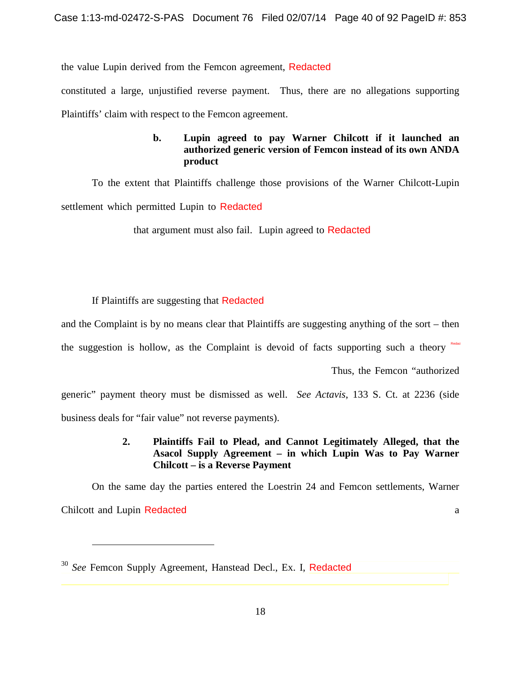the value Lupin derived from the Femcon agreement, Redacted

constituted a large, unjustified reverse payment. Thus, there are no allegations supporting Plaintiffs' claim with respect to the Femcon agreement.

# **b. Lupin agreed to pay Warner Chilcott if it launched an authorized generic version of Femcon instead of its own ANDA product**

To the extent that Plaintiffs challenge those provisions of the Warner Chilcott-Lupin settlement which permitted Lupin to Redacted

that argument must also fail. Lupin agreed to Redacted

If Plaintiffs are suggesting that Redacted

and the Complaint is by no means clear that Plaintiffs are suggesting anything of the sort – then

the suggestion is hollow, as the Complaint is devoid of facts supporting such a theory  $R_{\text{total}}$ 

Thus, the Femcon "authorized

generic" payment theory must be dismissed as well. *See Actavis*, 133 S. Ct. at 2236 (side business deals for "fair value" not reverse payments).

# **2. Plaintiffs Fail to Plead, and Cannot Legitimately Alleged, that the Asacol Supply Agreement – in which Lupin Was to Pay Warner Chilcott – is a Reverse Payment**

On the same day the parties entered the Loestrin 24 and Femcon settlements, Warner Chilcott and Lupin Redacted a method of the set of the set of the set of the set of the set of the set of the set of the set of the set of the set of the set of the set of the set of the set of the set of the set of the se

<sup>30</sup> *See* Femcon Supply Agreement, Hanstead Decl., Ex. I, Redacted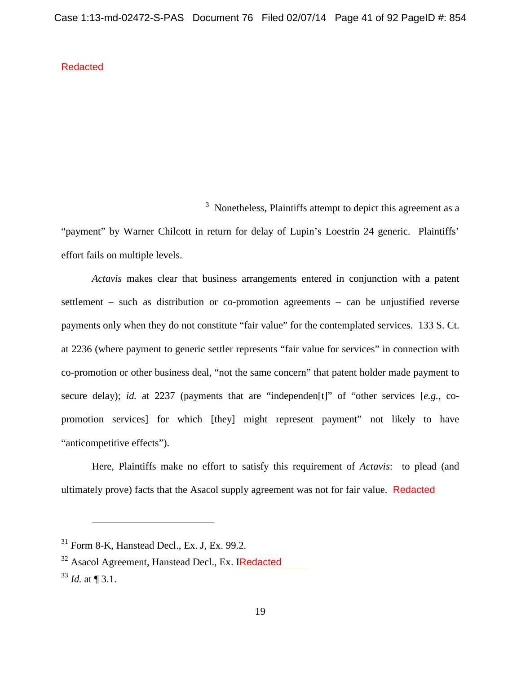Redacted

<sup>3</sup> Nonetheless, Plaintiffs attempt to depict this agreement as a "payment" by Warner Chilcott in return for delay of Lupin's Loestrin 24 generic. Plaintiffs' effort fails on multiple levels.

*Actavis* makes clear that business arrangements entered in conjunction with a patent settlement – such as distribution or co-promotion agreements – can be unjustified reverse payments only when they do not constitute "fair value" for the contemplated services. 133 S. Ct. at 2236 (where payment to generic settler represents "fair value for services" in connection with co-promotion or other business deal, "not the same concern" that patent holder made payment to secure delay); *id.* at 2237 (payments that are "independen[t]" of "other services [*e.g.,* copromotion services] for which [they] might represent payment" not likely to have "anticompetitive effects").

Here, Plaintiffs make no effort to satisfy this requirement of *Actavis*: to plead (and ultimately prove) facts that the Asacol supply agreement was not for fair value. Redacted

 $31$  Form 8-K, Hanstead Decl., Ex. J, Ex. 99.2.

<sup>&</sup>lt;sup>32</sup> Asacol Agreement, Hanstead Decl., Ex. IRedacted

<sup>33</sup> *Id.* at ¶ 3.1.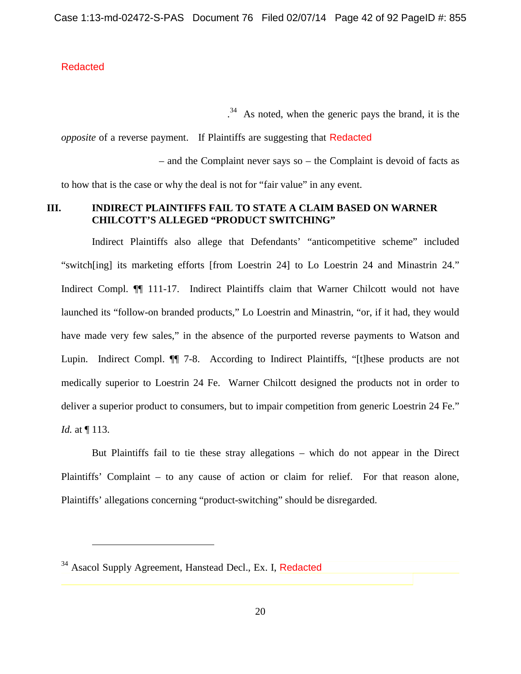# **Redacted**

. [34](#page-41-0) As noted, when the generic pays the brand, it is the

*opposite* of a reverse payment. If Plaintiffs are suggesting that Redacted

– and the Complaint never says so – the Complaint is devoid of facts as to how that is the case or why the deal is not for "fair value" in any event.

# **III. INDIRECT PLAINTIFFS FAIL TO STATE A CLAIM BASED ON WARNER CHILCOTT'S ALLEGED "PRODUCT SWITCHING"**

Indirect Plaintiffs also allege that Defendants' "anticompetitive scheme" included "switch[ing] its marketing efforts [from Loestrin 24] to Lo Loestrin 24 and Minastrin 24." Indirect Compl. ¶¶ 111-17. Indirect Plaintiffs claim that Warner Chilcott would not have launched its "follow-on branded products," Lo Loestrin and Minastrin, "or, if it had, they would have made very few sales," in the absence of the purported reverse payments to Watson and Lupin. Indirect Compl. ¶¶ 7-8. According to Indirect Plaintiffs, "[t]hese products are not medically superior to Loestrin 24 Fe. Warner Chilcott designed the products not in order to deliver a superior product to consumers, but to impair competition from generic Loestrin 24 Fe." *Id.* at ¶ 113.

But Plaintiffs fail to tie these stray allegations – which do not appear in the Direct Plaintiffs' Complaint – to any cause of action or claim for relief. For that reason alone, Plaintiffs' allegations concerning "product-switching" should be disregarded.

<span id="page-41-0"></span><sup>&</sup>lt;sup>34</sup> Asacol Supply Agreement, Hanstead Decl., Ex. I, Redacted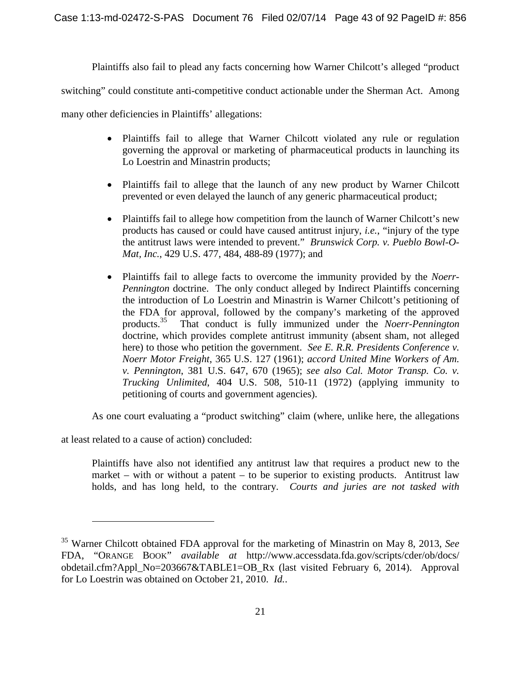Plaintiffs also fail to plead any facts concerning how Warner Chilcott's alleged "product

switching" could constitute anti-competitive conduct actionable under the Sherman Act. Among

many other deficiencies in Plaintiffs' allegations:

- Plaintiffs fail to allege that Warner Chilcott violated any rule or regulation governing the approval or marketing of pharmaceutical products in launching its Lo Loestrin and Minastrin products;
- Plaintiffs fail to allege that the launch of any new product by Warner Chilcott prevented or even delayed the launch of any generic pharmaceutical product;
- Plaintiffs fail to allege how competition from the launch of Warner Chilcott's new products has caused or could have caused antitrust injury, *i.e.*, "injury of the type the antitrust laws were intended to prevent." *Brunswick Corp. v. Pueblo Bowl-O-Mat, Inc.*, 429 U.S. 477, 484, 488-89 (1977); and
- Plaintiffs fail to allege facts to overcome the immunity provided by the *Noerr-Pennington* doctrine. The only conduct alleged by Indirect Plaintiffs concerning the introduction of Lo Loestrin and Minastrin is Warner Chilcott's petitioning of the FDA for approval, followed by the company's marketing of the approved products.<sup>35</sup> That conduct is fully immunized under the *Noerr-Pennington* That conduct is fully immunized under the *Noerr-Pennington* doctrine, which provides complete antitrust immunity (absent sham, not alleged here) to those who petition the government. *See E. R.R. Presidents Conference v. Noerr Motor Freight*, 365 U.S. 127 (1961); *accord United Mine Workers of Am. v. Pennington*, 381 U.S. 647, 670 (1965); *see also Cal. Motor Transp. Co. v. Trucking Unlimited*, 404 U.S. 508, 510-11 (1972) (applying immunity to petitioning of courts and government agencies).

As one court evaluating a "product switching" claim (where, unlike here, the allegations

at least related to a cause of action) concluded:

Plaintiffs have also not identified any antitrust law that requires a product new to the market – with or without a patent – to be superior to existing products. Antitrust law holds, and has long held, to the contrary. *Courts and juries are not tasked with*

<span id="page-42-0"></span><sup>35</sup> Warner Chilcott obtained FDA approval for the marketing of Minastrin on May 8, 2013, *See* FDA, "ORANGE BOOK" *available at* http://www.accessdata.fda.gov/scripts/cder/ob/docs/ obdetail.cfm?Appl\_No=203667&TABLE1=OB\_Rx (last visited February 6, 2014). Approval for Lo Loestrin was obtained on October 21, 2010. *Id.*.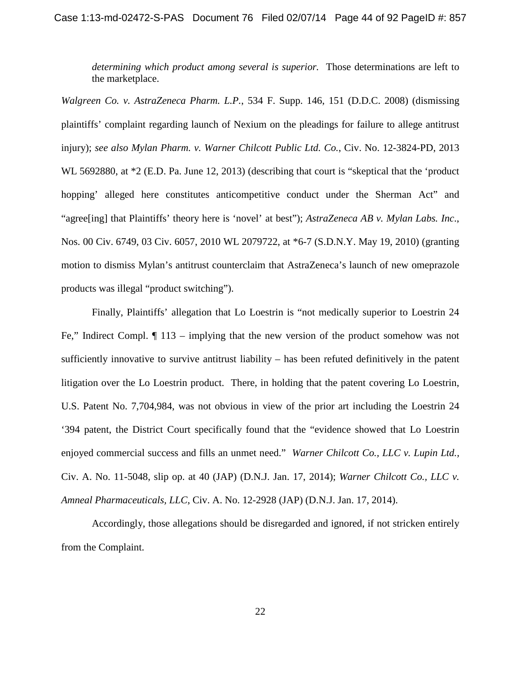*determining which product among several is superior.* Those determinations are left to the marketplace.

*Walgreen Co. v. AstraZeneca Pharm. L.P.*, 534 F. Supp. 146, 151 (D.D.C. 2008) (dismissing plaintiffs' complaint regarding launch of Nexium on the pleadings for failure to allege antitrust injury); *see also Mylan Pharm. v. Warner Chilcott Public Ltd. Co.*, Civ. No. 12-3824-PD, 2013 WL 5692880, at \*2 (E.D. Pa. June 12, 2013) (describing that court is "skeptical that the 'product hopping' alleged here constitutes anticompetitive conduct under the Sherman Act" and "agree[ing] that Plaintiffs' theory here is 'novel' at best"); *AstraZeneca AB v. Mylan Labs. Inc*., Nos. 00 Civ. 6749, 03 Civ. 6057, 2010 WL 2079722, at \*6-7 (S.D.N.Y. May 19, 2010) (granting motion to dismiss Mylan's antitrust counterclaim that AstraZeneca's launch of new omeprazole products was illegal "product switching").

Finally, Plaintiffs' allegation that Lo Loestrin is "not medically superior to Loestrin 24 Fe," Indirect Compl. ¶ 113 – implying that the new version of the product somehow was not sufficiently innovative to survive antitrust liability – has been refuted definitively in the patent litigation over the Lo Loestrin product. There, in holding that the patent covering Lo Loestrin, U.S. Patent No. 7,704,984, was not obvious in view of the prior art including the Loestrin 24 '394 patent, the District Court specifically found that the "evidence showed that Lo Loestrin enjoyed commercial success and fills an unmet need." *Warner Chilcott Co., LLC v. Lupin Ltd.,* Civ. A. No. 11-5048, slip op. at 40 (JAP) (D.N.J. Jan. 17, 2014); *Warner Chilcott Co., LLC v. Amneal Pharmaceuticals, LLC*, Civ. A. No. 12-2928 (JAP) (D.N.J. Jan. 17, 2014).

Accordingly, those allegations should be disregarded and ignored, if not stricken entirely from the Complaint.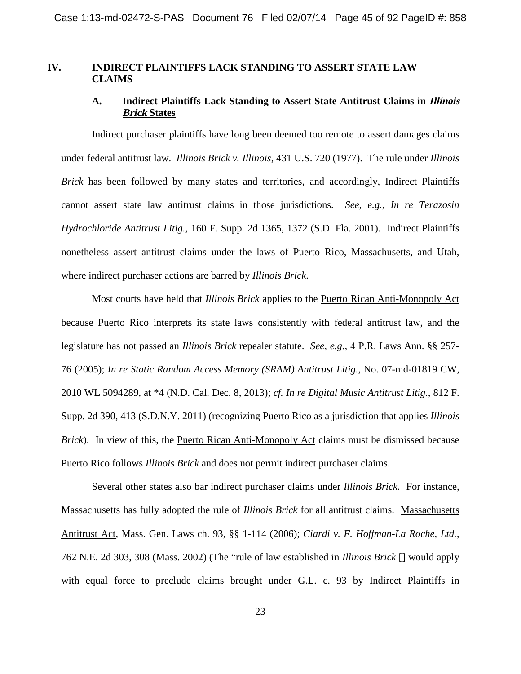#### **IV. INDIRECT PLAINTIFFS LACK STANDING TO ASSERT STATE LAW CLAIMS**

#### **A. Indirect Plaintiffs Lack Standing to Assert State Antitrust Claims in Illinois Brick States**

Indirect purchaser plaintiffs have long been deemed too remote to assert damages claims under federal antitrust law. *Illinois Brick v. Illinois*, 431 U.S. 720 (1977). The rule under *Illinois Brick* has been followed by many states and territories, and accordingly, Indirect Plaintiffs cannot assert state law antitrust claims in those jurisdictions. *See, e.g., In re Terazosin Hydrochloride Antitrust Litig.*, 160 F. Supp. 2d 1365, 1372 (S.D. Fla. 2001). Indirect Plaintiffs nonetheless assert antitrust claims under the laws of Puerto Rico, Massachusetts, and Utah, where indirect purchaser actions are barred by *Illinois Brick*.

Most courts have held that *Illinois Brick* applies to the Puerto Rican Anti-Monopoly Act because Puerto Rico interprets its state laws consistently with federal antitrust law, and the legislature has not passed an *Illinois Brick* repealer statute. *See, e.g.,* 4 P.R. Laws Ann. §§ 257- 76 (2005); *In re Static Random Access Memory (SRAM) Antitrust Litig.*, No. 07-md-01819 CW, 2010 WL 5094289, at \*4 (N.D. Cal. Dec. 8, 2013); *cf. In re Digital Music Antitrust Litig.*, 812 F. Supp. 2d 390, 413 (S.D.N.Y. 2011) (recognizing Puerto Rico as a jurisdiction that applies *Illinois Brick*). In view of this, the Puerto Rican Anti-Monopoly Act claims must be dismissed because Puerto Rico follows *Illinois Brick* and does not permit indirect purchaser claims.

Several other states also bar indirect purchaser claims under *Illinois Brick.* For instance, Massachusetts has fully adopted the rule of *Illinois Brick* for all antitrust claims. Massachusetts Antitrust Act, Mass. Gen. Laws ch. 93, §§ 1-114 (2006); *Ciardi v. F. Hoffman-La Roche, Ltd.*, 762 N.E. 2d 303, 308 (Mass. 2002) (The "rule of law established in *Illinois Brick* [] would apply with equal force to preclude claims brought under G.L. c. 93 by Indirect Plaintiffs in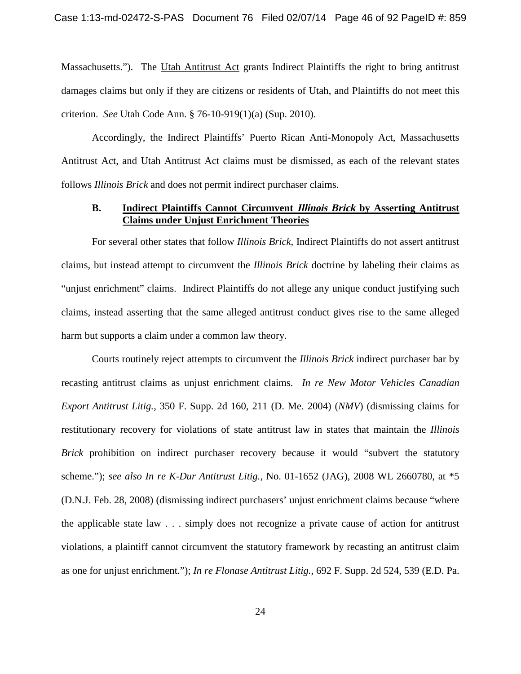Massachusetts."). The Utah Antitrust Act grants Indirect Plaintiffs the right to bring antitrust damages claims but only if they are citizens or residents of Utah, and Plaintiffs do not meet this criterion. *See* Utah Code Ann. § 76-10-919(1)(a) (Sup. 2010).

Accordingly, the Indirect Plaintiffs' Puerto Rican Anti-Monopoly Act, Massachusetts Antitrust Act, and Utah Antitrust Act claims must be dismissed, as each of the relevant states follows *Illinois Brick* and does not permit indirect purchaser claims.

#### **B. Indirect Plaintiffs Cannot Circumvent Illinois Brick by Asserting Antitrust Claims under Unjust Enrichment Theories**

For several other states that follow *Illinois Brick*, Indirect Plaintiffs do not assert antitrust claims, but instead attempt to circumvent the *Illinois Brick* doctrine by labeling their claims as "unjust enrichment" claims. Indirect Plaintiffs do not allege any unique conduct justifying such claims, instead asserting that the same alleged antitrust conduct gives rise to the same alleged harm but supports a claim under a common law theory.

Courts routinely reject attempts to circumvent the *Illinois Brick* indirect purchaser bar by recasting antitrust claims as unjust enrichment claims. *In re New Motor Vehicles Canadian Export Antitrust Litig.*, 350 F. Supp. 2d 160, 211 (D. Me. 2004) (*NMV*) (dismissing claims for restitutionary recovery for violations of state antitrust law in states that maintain the *Illinois Brick* prohibition on indirect purchaser recovery because it would "subvert the statutory scheme."); *see also In re K-Dur Antitrust Litig.*, No. 01-1652 (JAG), 2008 WL 2660780, at \*5 (D.N.J. Feb. 28, 2008) (dismissing indirect purchasers' unjust enrichment claims because "where the applicable state law . . . simply does not recognize a private cause of action for antitrust violations, a plaintiff cannot circumvent the statutory framework by recasting an antitrust claim as one for unjust enrichment."); *In re Flonase Antitrust Litig.*, 692 F. Supp. 2d 524, 539 (E.D. Pa.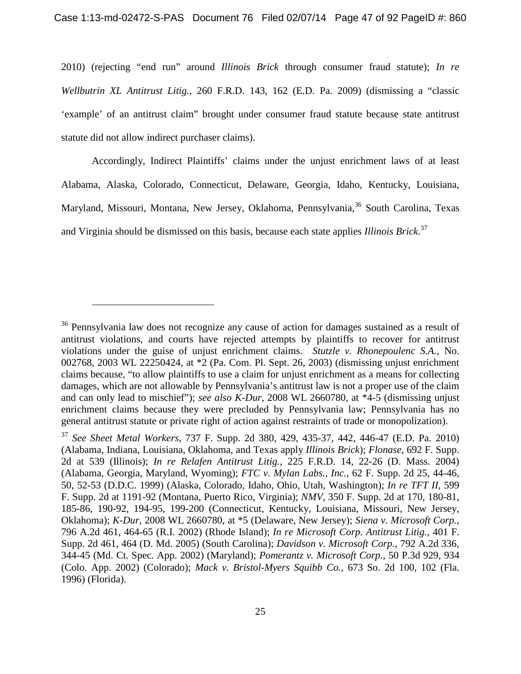2010) (rejecting "end run" around *Illinois Brick* through consumer fraud statute); *In re Wellbutrin XL Antitrust Litig.*, 260 F.R.D. 143, 162 (E.D. Pa. 2009) (dismissing a "classic 'example' of an antitrust claim" brought under consumer fraud statute because state antitrust statute did not allow indirect purchaser claims).

Accordingly, Indirect Plaintiffs' claims under the unjust enrichment laws of at least Alabama, Alaska, Colorado, Connecticut, Delaware, Georgia, Idaho, Kentucky, Louisiana, Maryland, Missouri, Montana, New Jersey, Oklahoma, Pennsylvania,<sup>[36](#page-46-0)</sup> South Carolina, Texas and Virginia should be dismissed on this basis, because each state applies *Illinois Brick*. [37](#page-46-1)

<span id="page-46-0"></span><sup>&</sup>lt;sup>36</sup> Pennsylvania law does not recognize any cause of action for damages sustained as a result of antitrust violations, and courts have rejected attempts by plaintiffs to recover for antitrust violations under the guise of unjust enrichment claims. *Stutzle v. Rhonepoulenc S.A.,* No. 002768, 2003 WL 22250424, at \*2 (Pa. Com. Pl. Sept. 26, 2003) (dismissing unjust enrichment claims because, "to allow plaintiffs to use a claim for unjust enrichment as a means for collecting damages, which are not allowable by Pennsylvania's antitrust law is not a proper use of the claim and can only lead to mischief"); *see also K-Dur*, 2008 WL 2660780, at \*4-5 (dismissing unjust enrichment claims because they were precluded by Pennsylvania law; Pennsylvania has no general antitrust statute or private right of action against restraints of trade or monopolization).

<span id="page-46-1"></span><sup>37</sup> *See Sheet Metal Workers*, 737 F. Supp. 2d 380, 429, 435-37, 442, 446-47 (E.D. Pa. 2010) (Alabama, Indiana, Louisiana, Oklahoma, and Texas apply *Illinois Brick*); *Flonase*, 692 F. Supp. 2d at 539 (Illinois); *In re Relafen Antitrust Litig.*, 225 F.R.D. 14, 22-26 (D. Mass. 2004) (Alabama, Georgia, Maryland, Wyoming); *FTC v. Mylan Labs., Inc.*, 62 F. Supp. 2d 25, 44-46, 50, 52-53 (D.D.C. 1999) (Alaska, Colorado, Idaho, Ohio, Utah, Washington); *In re TFT II*, 599 F. Supp. 2d at 1191-92 (Montana, Puerto Rico, Virginia); *NMV*, 350 F. Supp. 2d at 170, 180-81, 185-86, 190-92, 194-95, 199-200 (Connecticut, Kentucky, Louisiana, Missouri, New Jersey, Oklahoma); *K-Dur*, 2008 WL 2660780, at \*5 (Delaware, New Jersey); *Siena v. Microsoft Corp.*, 796 A.2d 461, 464-65 (R.I. 2002) (Rhode Island); *In re Microsoft Corp. Antitrust Litig.*, 401 F. Supp. 2d 461, 464 (D. Md. 2005) (South Carolina); *Davidson v. Microsoft Corp.*, 792 A.2d 336, 344-45 (Md. Ct. Spec. App. 2002) (Maryland); *Pomerantz v. Microsoft Corp.*, 50 P.3d 929, 934 (Colo. App. 2002) (Colorado); *Mack v. Bristol-Myers Squibb Co.*, 673 So. 2d 100, 102 (Fla. 1996) (Florida).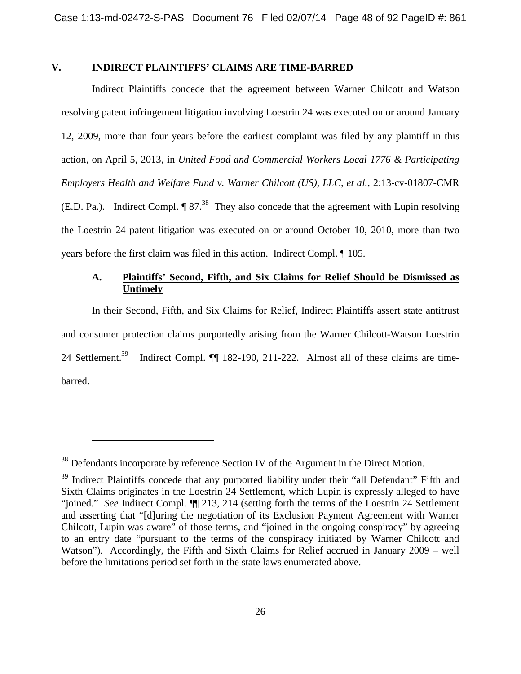#### **V. INDIRECT PLAINTIFFS' CLAIMS ARE TIME-BARRED**

Indirect Plaintiffs concede that the agreement between Warner Chilcott and Watson resolving patent infringement litigation involving Loestrin 24 was executed on or around January 12, 2009, more than four years before the earliest complaint was filed by any plaintiff in this action, on April 5, 2013, in *United Food and Commercial Workers Local 1776 & Participating Employers Health and Welfare Fund v. Warner Chilcott (US), LLC, et al.*, 2:13-cv-01807-CMR (E.D.Pa.). Indirect Compl.  $\P 87<sup>38</sup>$  They also concede that the agreement with Lupin resolving the Loestrin 24 patent litigation was executed on or around October 10, 2010, more than two years before the first claim was filed in this action. Indirect Compl. ¶ 105.

# **A. Plaintiffs' Second, Fifth, and Six Claims for Relief Should be Dismissed as Untimely**

In their Second, Fifth, and Six Claims for Relief, Indirect Plaintiffs assert state antitrust and consumer protection claims purportedly arising from the Warner Chilcott-Watson Loestrin 24 Settlement.<sup>[39](#page-47-1)</sup> Indirect Compl. ¶¶ 182-190, 211-222. Almost all of these claims are timebarred.

<span id="page-47-0"></span><sup>&</sup>lt;sup>38</sup> Defendants incorporate by reference Section IV of the Argument in the Direct Motion.

<span id="page-47-1"></span><sup>&</sup>lt;sup>39</sup> Indirect Plaintiffs concede that any purported liability under their "all Defendant" Fifth and Sixth Claims originates in the Loestrin 24 Settlement, which Lupin is expressly alleged to have "joined." *See* Indirect Compl. ¶¶ 213, 214 (setting forth the terms of the Loestrin 24 Settlement and asserting that "[d]uring the negotiation of its Exclusion Payment Agreement with Warner Chilcott, Lupin was aware" of those terms, and "joined in the ongoing conspiracy" by agreeing to an entry date "pursuant to the terms of the conspiracy initiated by Warner Chilcott and Watson"). Accordingly, the Fifth and Sixth Claims for Relief accrued in January 2009 – well before the limitations period set forth in the state laws enumerated above.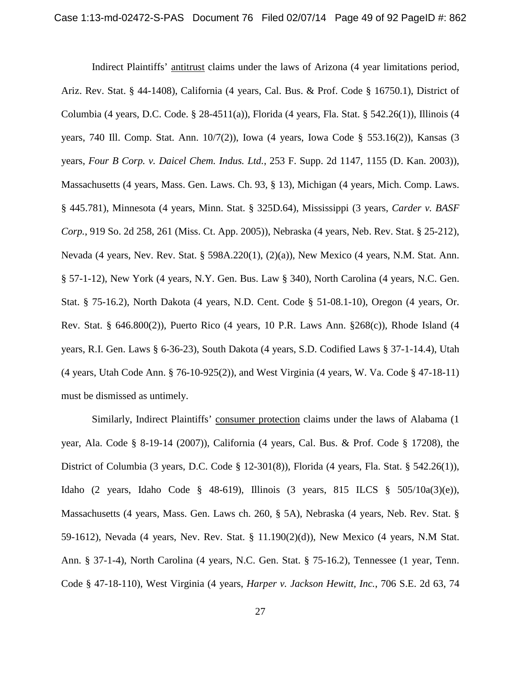Indirect Plaintiffs' antitrust claims under the laws of Arizona (4 year limitations period, Ariz. Rev. Stat. § 44-1408), California (4 years, Cal. Bus. & Prof. Code § 16750.1), District of Columbia (4 years, D.C. Code. § 28-4511(a)), Florida (4 years, Fla. Stat. § 542.26(1)), Illinois (4 years, 740 Ill. Comp. Stat. Ann. 10/7(2)), Iowa (4 years, Iowa Code § 553.16(2)), Kansas (3 years, *Four B Corp. v. Daicel Chem. Indus. Ltd.*, 253 F. Supp. 2d 1147, 1155 (D. Kan. 2003)), Massachusetts (4 years, Mass. Gen. Laws. Ch. 93, § 13), Michigan (4 years, Mich. Comp. Laws. § 445.781), Minnesota (4 years, Minn. Stat. § 325D.64), Mississippi (3 years, *Carder v. BASF Corp.*, 919 So. 2d 258, 261 (Miss. Ct. App. 2005)), Nebraska (4 years, Neb. Rev. Stat. § 25-212), Nevada (4 years, Nev. Rev. Stat. § 598A.220(1), (2)(a)), New Mexico (4 years, N.M. Stat. Ann. § 57-1-12), New York (4 years, N.Y. Gen. Bus. Law § 340), North Carolina (4 years, N.C. Gen. Stat. § 75-16.2), North Dakota (4 years, N.D. Cent. Code § 51-08.1-10), Oregon (4 years, Or. Rev. Stat. § 646.800(2)), Puerto Rico (4 years, 10 P.R. Laws Ann. §268(c)), Rhode Island (4 years, R.I. Gen. Laws § 6-36-23), South Dakota (4 years, S.D. Codified Laws § 37-1-14.4), Utah (4 years, Utah Code Ann. § 76-10-925(2)), and West Virginia (4 years, W. Va. Code § 47-18-11) must be dismissed as untimely.

Similarly, Indirect Plaintiffs' consumer protection claims under the laws of Alabama (1 year, Ala. Code § 8-19-14 (2007)), California (4 years, Cal. Bus. & Prof. Code § 17208), the District of Columbia (3 years, D.C. Code § 12-301(8)), Florida (4 years, Fla. Stat. § 542.26(1)), Idaho (2 years, Idaho Code § 48-619), Illinois (3 years, 815 ILCS § 505/10a(3)(e)), Massachusetts (4 years, Mass. Gen. Laws ch. 260, § 5A), Nebraska (4 years, Neb. Rev. Stat. § 59-1612), Nevada (4 years, Nev. Rev. Stat. § 11.190(2)(d)), New Mexico (4 years, N.M Stat. Ann. § 37-1-4), North Carolina (4 years, N.C. Gen. Stat. § 75-16.2), Tennessee (1 year, Tenn. Code § 47-18-110), West Virginia (4 years, *Harper v. Jackson Hewitt, Inc.*, 706 S.E. 2d 63, 74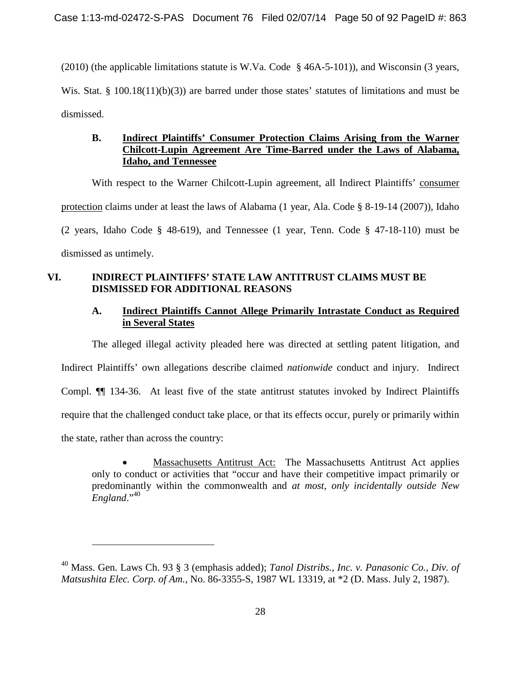(2010) (the applicable limitations statute is W.Va. Code § 46A-5-101)), and Wisconsin (3 years, Wis. Stat. § 100.18(11)(b)(3)) are barred under those states' statutes of limitations and must be dismissed.

# **B. Indirect Plaintiffs' Consumer Protection Claims Arising from the Warner Chilcott-Lupin Agreement Are Time-Barred under the Laws of Alabama, Idaho, and Tennessee**

With respect to the Warner Chilcott-Lupin agreement, all Indirect Plaintiffs' consumer protection claims under at least the laws of Alabama (1 year, Ala. Code § 8-19-14 (2007)), Idaho (2 years, Idaho Code § 48-619), and Tennessee (1 year, Tenn. Code § 47-18-110) must be dismissed as untimely.

# **VI. INDIRECT PLAINTIFFS' STATE LAW ANTITRUST CLAIMS MUST BE DISMISSED FOR ADDITIONAL REASONS**

# **A. Indirect Plaintiffs Cannot Allege Primarily Intrastate Conduct as Required in Several States**

The alleged illegal activity pleaded here was directed at settling patent litigation, and Indirect Plaintiffs' own allegations describe claimed *nationwide* conduct and injury. Indirect Compl. ¶¶ 134-36. At least five of the state antitrust statutes invoked by Indirect Plaintiffs require that the challenged conduct take place, or that its effects occur, purely or primarily within the state, rather than across the country:

 Massachusetts Antitrust Act: The Massachusetts Antitrust Act applies only to conduct or activities that "occur and have their competitive impact primarily or predominantly within the commonwealth and *at most, only incidentally outside New England*."[40](#page-49-0)

<span id="page-49-0"></span><sup>40</sup> Mass. Gen. Laws Ch. 93 § 3 (emphasis added); *Tanol Distribs., Inc. v. Panasonic Co., Div. of Matsushita Elec. Corp. of Am.*, No. 86-3355-S, 1987 WL 13319, at \*2 (D. Mass. July 2, 1987).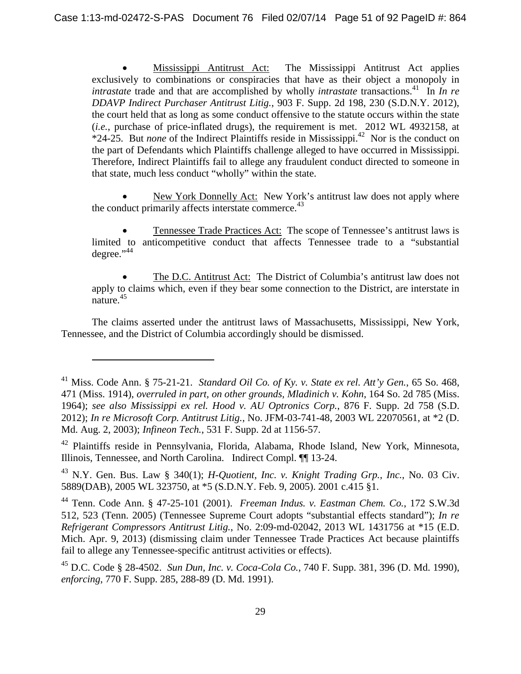Mississippi Antitrust Act: The Mississippi Antitrust Act applies exclusively to combinations or conspiracies that have as their object a monopoly in *intrastate* trade and that are accomplished by wholly *intrastate* transactions.<sup>[41](#page-50-0)</sup> In *In re DDAVP Indirect Purchaser Antitrust Litig.*, 903 F. Supp. 2d 198, 230 (S.D.N.Y. 2012), the court held that as long as some conduct offensive to the statute occurs within the state (*i.e.*, purchase of price-inflated drugs), the requirement is met. 2012 WL 4932158, at \*24-25. But *none* of the Indirect Plaintiffs reside in Mississippi.<sup>[42](#page-50-1)</sup> Nor is the conduct on the part of Defendants which Plaintiffs challenge alleged to have occurred in Mississippi. Therefore, Indirect Plaintiffs fail to allege any fraudulent conduct directed to someone in that state, much less conduct "wholly" within the state.

 New York Donnelly Act: New York's antitrust law does not apply where the conduct primarily affects interstate commerce.<sup>[43](#page-50-2)</sup>

 Tennessee Trade Practices Act: The scope of Tennessee's antitrust laws is limited to anticompetitive conduct that affects Tennessee trade to a "substantial degree." $44$ 

 The D.C. Antitrust Act: The District of Columbia's antitrust law does not apply to claims which, even if they bear some connection to the District, are interstate in nature.<sup>[45](#page-50-4)</sup>

The claims asserted under the antitrust laws of Massachusetts, Mississippi, New York, Tennessee, and the District of Columbia accordingly should be dismissed.

<span id="page-50-0"></span><sup>41</sup> Miss. Code Ann. § 75-21-21. *Standard Oil Co. of Ky. v. State ex rel. Att'y Gen.*, 65 So. 468, 471 (Miss. 1914), *overruled in part, on other grounds, Mladinich v. Kohn*, 164 So. 2d 785 (Miss. 1964); *see also Mississippi ex rel. Hood v. AU Optronics Corp.*, 876 F. Supp. 2d 758 (S.D. 2012); *In re Microsoft Corp. Antitrust Litig.*, No. JFM-03-741-48, 2003 WL 22070561, at \*2 (D. Md. Aug. 2, 2003); *Infineon Tech.*, 531 F. Supp. 2d at 1156-57.

<span id="page-50-1"></span><sup>&</sup>lt;sup>42</sup> Plaintiffs reside in Pennsylvania, Florida, Alabama, Rhode Island, New York, Minnesota, Illinois, Tennessee, and North Carolina. Indirect Compl. ¶¶ 13-24.

<span id="page-50-2"></span><sup>43</sup> N.Y. Gen. Bus. Law § 340(1); *H-Quotient, Inc. v. Knight Trading Grp., Inc.*, No. 03 Civ. 5889(DAB), 2005 WL 323750, at \*5 (S.D.N.Y. Feb. 9, 2005). 2001 c.415 §1.

<span id="page-50-3"></span><sup>44</sup> Tenn. Code Ann. § 47-25-101 (2001). *Freeman Indus. v. Eastman Chem. Co.*, 172 S.W.3d 512, 523 (Tenn. 2005) (Tennessee Supreme Court adopts "substantial effects standard"); *In re Refrigerant Compressors Antitrust Litig.*, No. 2:09-md-02042, 2013 WL 1431756 at \*15 (E.D. Mich. Apr. 9, 2013) (dismissing claim under Tennessee Trade Practices Act because plaintiffs fail to allege any Tennessee-specific antitrust activities or effects).

<span id="page-50-4"></span><sup>45</sup> D.C. Code § 28-4502. *Sun Dun, Inc. v. Coca-Cola Co.*, 740 F. Supp. 381, 396 (D. Md. 1990), *enforcing*, 770 F. Supp. 285, 288-89 (D. Md. 1991).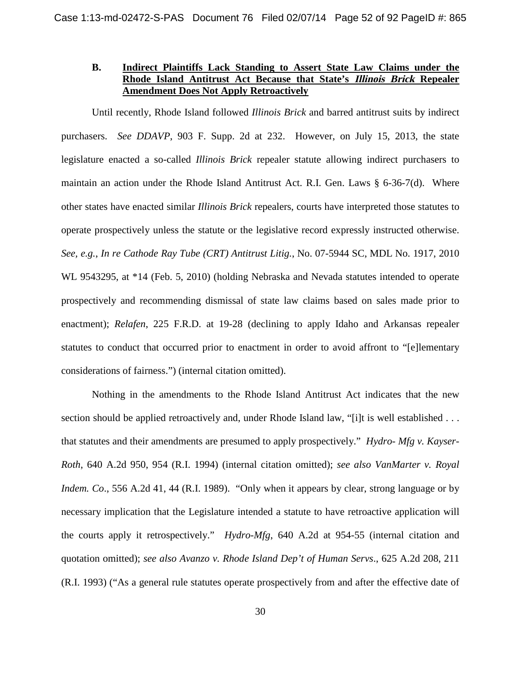# **B. Indirect Plaintiffs Lack Standing to Assert State Law Claims under the Rhode Island Antitrust Act Because that State's Illinois Brick Repealer Amendment Does Not Apply Retroactively**

Until recently, Rhode Island followed *Illinois Brick* and barred antitrust suits by indirect purchasers. *See DDAVP*, 903 F. Supp. 2d at 232. However, on July 15, 2013, the state legislature enacted a so-called *Illinois Brick* repealer statute allowing indirect purchasers to maintain an action under the Rhode Island Antitrust Act. R.I. Gen. Laws § 6-36-7(d). Where other states have enacted similar *Illinois Brick* repealers, courts have interpreted those statutes to operate prospectively unless the statute or the legislative record expressly instructed otherwise. *See, e.g.*, *In re Cathode Ray Tube (CRT) Antitrust Litig.*, No. 07-5944 SC, MDL No. 1917, 2010 WL 9543295, at \*14 (Feb. 5, 2010) (holding Nebraska and Nevada statutes intended to operate prospectively and recommending dismissal of state law claims based on sales made prior to enactment); *Relafen*, 225 F.R.D. at 19-28 (declining to apply Idaho and Arkansas repealer statutes to conduct that occurred prior to enactment in order to avoid affront to "[e]lementary considerations of fairness.") (internal citation omitted).

Nothing in the amendments to the Rhode Island Antitrust Act indicates that the new section should be applied retroactively and, under Rhode Island law, "[i]t is well established . . . that statutes and their amendments are presumed to apply prospectively." *Hydro- Mfg v. Kayser-Roth*, 640 A.2d 950, 954 (R.I. 1994) (internal citation omitted); *see also VanMarter v. Royal Indem. Co*., 556 A.2d 41, 44 (R.I. 1989). "Only when it appears by clear, strong language or by necessary implication that the Legislature intended a statute to have retroactive application will the courts apply it retrospectively." *Hydro-Mfg*, 640 A.2d at 954-55 (internal citation and quotation omitted); *see also Avanzo v. Rhode Island Dep't of Human Servs*., 625 A.2d 208, 211 (R.I. 1993) ("As a general rule statutes operate prospectively from and after the effective date of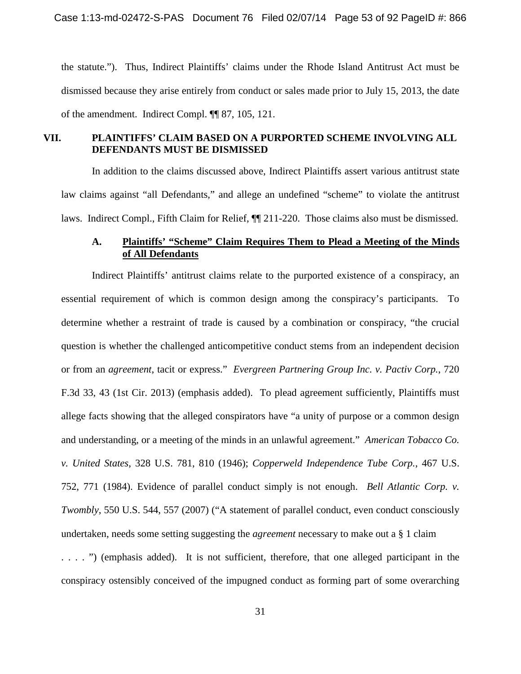the statute."). Thus, Indirect Plaintiffs' claims under the Rhode Island Antitrust Act must be dismissed because they arise entirely from conduct or sales made prior to July 15, 2013, the date of the amendment. Indirect Compl. ¶¶ 87, 105, 121.

### **VII. PLAINTIFFS' CLAIM BASED ON A PURPORTED SCHEME INVOLVING ALL DEFENDANTS MUST BE DISMISSED**

In addition to the claims discussed above, Indirect Plaintiffs assert various antitrust state law claims against "all Defendants," and allege an undefined "scheme" to violate the antitrust laws. Indirect Compl., Fifth Claim for Relief, ¶¶ 211-220. Those claims also must be dismissed.

# **A. Plaintiffs' "Scheme" Claim Requires Them to Plead a Meeting of the Minds of All Defendants**

Indirect Plaintiffs' antitrust claims relate to the purported existence of a conspiracy, an essential requirement of which is common design among the conspiracy's participants. To determine whether a restraint of trade is caused by a combination or conspiracy, "the crucial question is whether the challenged anticompetitive conduct stems from an independent decision or from an *agreement*, tacit or express." *Evergreen Partnering Group Inc. v. Pactiv Corp.*, 720 F.3d 33, 43 (1st Cir. 2013) (emphasis added). To plead agreement sufficiently, Plaintiffs must allege facts showing that the alleged conspirators have "a unity of purpose or a common design and understanding, or a meeting of the minds in an unlawful agreement." *American Tobacco Co. v. United States*, 328 U.S. 781, 810 (1946); *Copperweld Independence Tube Corp.*, 467 U.S. 752, 771 (1984). Evidence of parallel conduct simply is not enough. *Bell Atlantic Corp. v. Twombly*, 550 U.S. 544, 557 (2007) ("A statement of parallel conduct, even conduct consciously undertaken, needs some setting suggesting the *agreement* necessary to make out a § 1 claim . . . . ") (emphasis added). It is not sufficient, therefore, that one alleged participant in the conspiracy ostensibly conceived of the impugned conduct as forming part of some overarching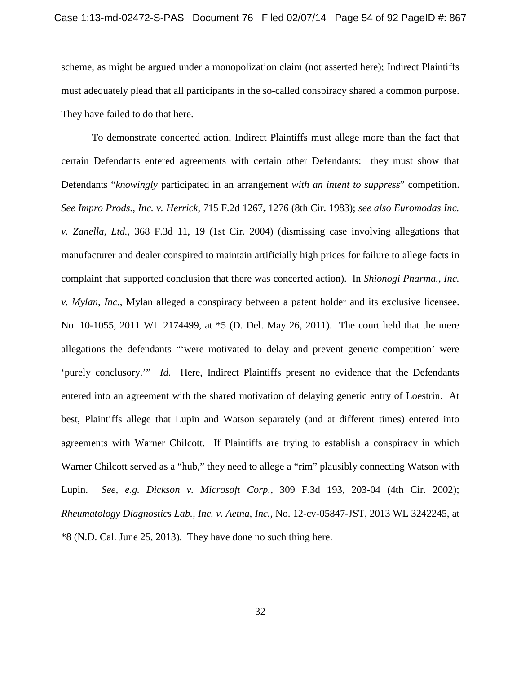scheme, as might be argued under a monopolization claim (not asserted here); Indirect Plaintiffs must adequately plead that all participants in the so-called conspiracy shared a common purpose. They have failed to do that here.

To demonstrate concerted action, Indirect Plaintiffs must allege more than the fact that certain Defendants entered agreements with certain other Defendants: they must show that Defendants "*knowingly* participated in an arrangement *with an intent to suppress*" competition. *See Impro Prods., Inc. v. Herrick*, 715 F.2d 1267, 1276 (8th Cir. 1983); *see also Euromodas Inc. v. Zanella, Ltd.*, 368 F.3d 11, 19 (1st Cir. 2004) (dismissing case involving allegations that manufacturer and dealer conspired to maintain artificially high prices for failure to allege facts in complaint that supported conclusion that there was concerted action). In *Shionogi Pharma., Inc. v. Mylan, Inc.*, Mylan alleged a conspiracy between a patent holder and its exclusive licensee. No. 10-1055, 2011 WL 2174499, at \*5 (D. Del. May 26, 2011). The court held that the mere allegations the defendants "'were motivated to delay and prevent generic competition' were 'purely conclusory.'" *Id.* Here, Indirect Plaintiffs present no evidence that the Defendants entered into an agreement with the shared motivation of delaying generic entry of Loestrin. At best, Plaintiffs allege that Lupin and Watson separately (and at different times) entered into agreements with Warner Chilcott. If Plaintiffs are trying to establish a conspiracy in which Warner Chilcott served as a "hub," they need to allege a "rim" plausibly connecting Watson with Lupin. *See, e.g. Dickson v. Microsoft Corp.*, 309 F.3d 193, 203-04 (4th Cir. 2002); *Rheumatology Diagnostics Lab., Inc. v. Aetna, Inc.*, No. 12-cv-05847-JST, 2013 WL 3242245, at \*8 (N.D. Cal. June 25, 2013). They have done no such thing here.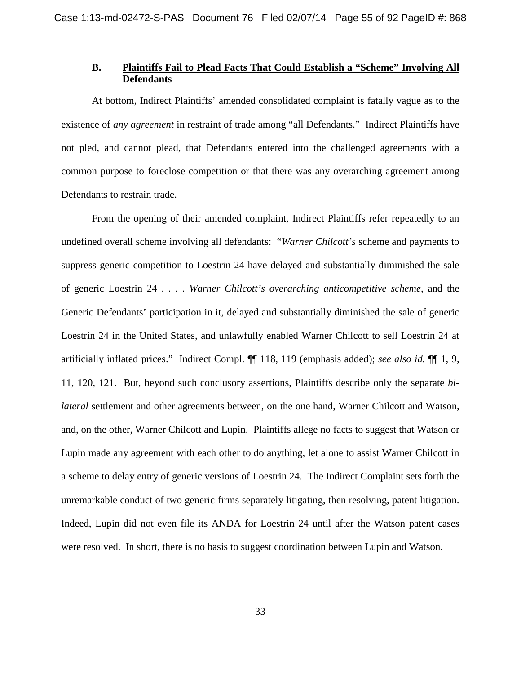#### **B. Plaintiffs Fail to Plead Facts That Could Establish a "Scheme" Involving All Defendants**

At bottom, Indirect Plaintiffs' amended consolidated complaint is fatally vague as to the existence of *any agreement* in restraint of trade among "all Defendants." Indirect Plaintiffs have not pled, and cannot plead, that Defendants entered into the challenged agreements with a common purpose to foreclose competition or that there was any overarching agreement among Defendants to restrain trade.

From the opening of their amended complaint, Indirect Plaintiffs refer repeatedly to an undefined overall scheme involving all defendants: "*Warner Chilcott's* scheme and payments to suppress generic competition to Loestrin 24 have delayed and substantially diminished the sale of generic Loestrin 24 . . . . *Warner Chilcott's overarching anticompetitive scheme*, and the Generic Defendants' participation in it, delayed and substantially diminished the sale of generic Loestrin 24 in the United States, and unlawfully enabled Warner Chilcott to sell Loestrin 24 at artificially inflated prices." Indirect Compl. ¶¶ 118, 119 (emphasis added); *see also id.* ¶¶ 1, 9, 11, 120, 121. But, beyond such conclusory assertions, Plaintiffs describe only the separate *bilateral* settlement and other agreements between, on the one hand, Warner Chilcott and Watson, and, on the other, Warner Chilcott and Lupin. Plaintiffs allege no facts to suggest that Watson or Lupin made any agreement with each other to do anything, let alone to assist Warner Chilcott in a scheme to delay entry of generic versions of Loestrin 24. The Indirect Complaint sets forth the unremarkable conduct of two generic firms separately litigating, then resolving, patent litigation. Indeed, Lupin did not even file its ANDA for Loestrin 24 until after the Watson patent cases were resolved. In short, there is no basis to suggest coordination between Lupin and Watson.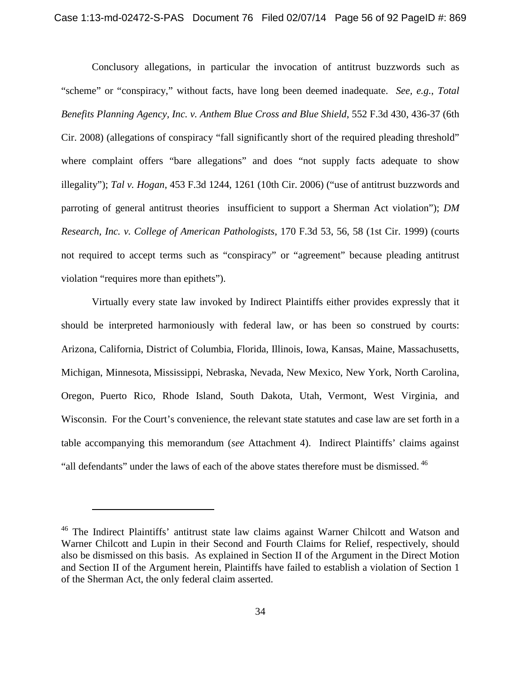Conclusory allegations, in particular the invocation of antitrust buzzwords such as "scheme" or "conspiracy," without facts, have long been deemed inadequate. *See, e.g.*, *Total Benefits Planning Agency, Inc. v. Anthem Blue Cross and Blue Shield*, 552 F.3d 430, 436-37 (6th Cir. 2008) (allegations of conspiracy "fall significantly short of the required pleading threshold" where complaint offers "bare allegations" and does "not supply facts adequate to show illegality"); *Tal v. Hogan*, 453 F.3d 1244, 1261 (10th Cir. 2006) ("use of antitrust buzzwords and parroting of general antitrust theories insufficient to support a Sherman Act violation"); *DM Research, Inc. v. College of American Pathologists*, 170 F.3d 53, 56, 58 (1st Cir. 1999) (courts not required to accept terms such as "conspiracy" or "agreement" because pleading antitrust violation "requires more than epithets").

Virtually every state law invoked by Indirect Plaintiffs either provides expressly that it should be interpreted harmoniously with federal law, or has been so construed by courts: Arizona, California, District of Columbia, Florida, Illinois, Iowa, Kansas, Maine, Massachusetts, Michigan, Minnesota, Mississippi, Nebraska, Nevada, New Mexico, New York, North Carolina, Oregon, Puerto Rico, Rhode Island, South Dakota, Utah, Vermont, West Virginia, and Wisconsin. For the Court's convenience, the relevant state statutes and case law are set forth in a table accompanying this memorandum (*see* Attachment 4). Indirect Plaintiffs' claims against "all defendants" under the laws of each of the above states therefore must be dismissed.<sup>[46](#page-55-0)</sup>

<span id="page-55-0"></span><sup>&</sup>lt;sup>46</sup> The Indirect Plaintiffs' antitrust state law claims against Warner Chilcott and Watson and Warner Chilcott and Lupin in their Second and Fourth Claims for Relief, respectively, should also be dismissed on this basis. As explained in Section II of the Argument in the Direct Motion and Section II of the Argument herein, Plaintiffs have failed to establish a violation of Section 1 of the Sherman Act, the only federal claim asserted.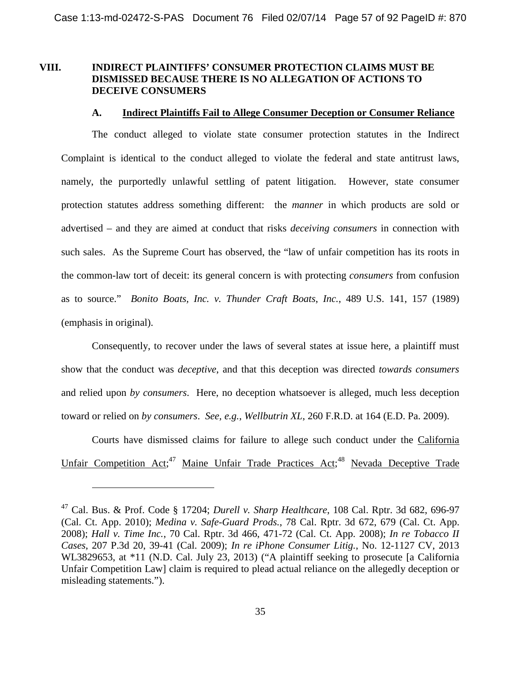### **VIII. INDIRECT PLAINTIFFS' CONSUMER PROTECTION CLAIMS MUST BE DISMISSED BECAUSE THERE IS NO ALLEGATION OF ACTIONS TO DECEIVE CONSUMERS**

#### **A. Indirect Plaintiffs Fail to Allege Consumer Deception or Consumer Reliance**

The conduct alleged to violate state consumer protection statutes in the Indirect Complaint is identical to the conduct alleged to violate the federal and state antitrust laws, namely, the purportedly unlawful settling of patent litigation. However, state consumer protection statutes address something different: the *manner* in which products are sold or advertised – and they are aimed at conduct that risks *deceiving consumers* in connection with such sales. As the Supreme Court has observed, the "law of unfair competition has its roots in the common-law tort of deceit: its general concern is with protecting *consumers* from confusion as to source." *Bonito Boats, Inc. v. Thunder Craft Boats*, *Inc.*, 489 U.S. 141, 157 (1989) (emphasis in original).

Consequently, to recover under the laws of several states at issue here, a plaintiff must show that the conduct was *deceptive*, and that this deception was directed *towards consumers* and relied upon *by consumers*. Here, no deception whatsoever is alleged, much less deception toward or relied on *by consumers*. *See, e.g.*, *Wellbutrin XL*, 260 F.R.D. at 164 (E.D. Pa. 2009).

<span id="page-56-1"></span>Courts have dismissed claims for failure to allege such conduct under the California UnfairCompetition Act[;](#page-56-0)<sup>47</sup> Maine Unfair Trade Practices Act;<sup>[48](#page-56-1)</sup> Nevada Deceptive Trade

<span id="page-56-0"></span><sup>47</sup> Cal. Bus. & Prof. Code § 17204; *Durell v. Sharp Healthcare*, 108 Cal. Rptr. 3d 682, 696-97 (Cal. Ct. App. 2010); *Medina v. Safe-Guard Prods.*, 78 Cal. Rptr. 3d 672, 679 (Cal. Ct. App. 2008); *Hall v. Time Inc.*, 70 Cal. Rptr. 3d 466, 471-72 (Cal. Ct. App. 2008); *In re Tobacco II Cases*, 207 P.3d 20, 39-41 (Cal. 2009); *In re iPhone Consumer Litig.*, No. 12-1127 CV, 2013 WL3829653, at \*11 (N.D. Cal. July 23, 2013) ("A plaintiff seeking to prosecute [a California Unfair Competition Law] claim is required to plead actual reliance on the allegedly deception or misleading statements.").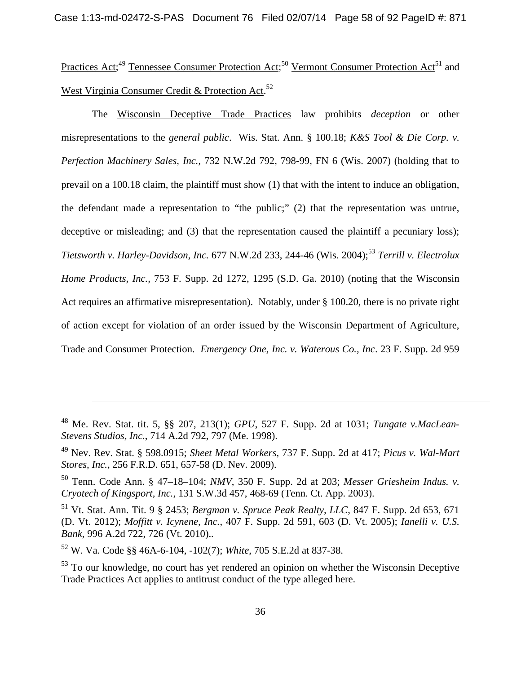PracticesAct[;](#page-57-0)<sup>49</sup> Tennessee Consumer Protection Act;<sup>[50](#page-57-1)</sup> Vermon[t](#page-57-2) Consumer Protection Act<sup>51</sup> and WestVirginia Consumer Credit & Protection Act[.](#page-57-3)<sup>52</sup>

The Wisconsin Deceptive Trade Practices law prohibits *deception* or other misrepresentations to the *general public*. Wis. Stat. Ann. § 100.18; *K&S Tool & Die Corp. v. Perfection Machinery Sales, Inc.*, 732 N.W.2d 792, 798-99, FN 6 (Wis. 2007) (holding that to prevail on a 100.18 claim, the plaintiff must show (1) that with the intent to induce an obligation, the defendant made a representation to "the public;" (2) that the representation was untrue, deceptive or misleading; and (3) that the representation caused the plaintiff a pecuniary loss); *Tietsworth v. Harley-Davidson, Inc.* 677 N.W.2d 233, 244-46 (Wis. 2004);<sup>[53](#page-57-4)</sup> *Terrill v. Electrolux Home Products, Inc.,* 753 F. Supp. 2d 1272, 1295 (S.D. Ga. 2010) (noting that the Wisconsin Act requires an affirmative misrepresentation). Notably, under § 100.20, there is no private right of action except for violation of an order issued by the Wisconsin Department of Agriculture, Trade and Consumer Protection. *Emergency One, Inc. v. Waterous Co., Inc*. 23 F. Supp. 2d 959

<sup>48</sup> Me. Rev. Stat. tit. 5, §§ 207, 213(1); *GPU*, 527 F. Supp. 2d at 1031; *Tungate v.MacLean-Stevens Studios, Inc.*, 714 A.2d 792, 797 (Me. 1998).

<span id="page-57-0"></span><sup>49</sup> Nev. Rev. Stat. § 598.0915; *Sheet Metal Workers*, 737 F. Supp. 2d at 417; *Picus v. Wal-Mart Stores, Inc.*, 256 F.R.D. 651, 657-58 (D. Nev. 2009).

<span id="page-57-1"></span><sup>50</sup> Tenn. Code Ann. § 47–18–104; *NMV*, 350 F. Supp. 2d at 203; *Messer Griesheim Indus. v. Cryotech of Kingsport, Inc.*, 131 S.W.3d 457, 468-69 (Tenn. Ct. App. 2003).

<span id="page-57-2"></span><sup>51</sup> Vt. Stat. Ann. Tit. 9 § 2453; *Bergman v. Spruce Peak Realty, LLC*, 847 F. Supp. 2d 653, 671 (D. Vt. 2012); *Moffitt v. Icynene, Inc.*, 407 F. Supp. 2d 591, 603 (D. Vt. 2005); *Ianelli v. U.S. Bank*, 996 A.2d 722, 726 (Vt. 2010)..

<span id="page-57-3"></span><sup>52</sup> W. Va. Code §§ 46A-6-104, -102(7); *White*, 705 S.E.2d at 837-38.

<span id="page-57-4"></span><sup>&</sup>lt;sup>53</sup> To our knowledge, no court has yet rendered an opinion on whether the Wisconsin Deceptive Trade Practices Act applies to antitrust conduct of the type alleged here.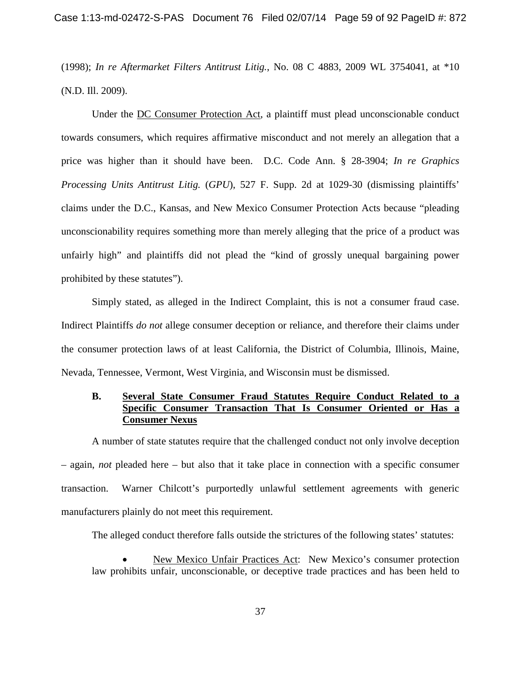(1998); *In re Aftermarket Filters Antitrust Litig.*, No. 08 C 4883, 2009 WL 3754041, at \*10 (N.D. Ill. 2009).

Under the DC Consumer Protection Act, a plaintiff must plead unconscionable conduct towards consumers, which requires affirmative misconduct and not merely an allegation that a price was higher than it should have been. D.C. Code Ann. § 28-3904; *In re Graphics Processing Units Antitrust Litig.* (*GPU*), 527 F. Supp. 2d at 1029-30 (dismissing plaintiffs' claims under the D.C., Kansas, and New Mexico Consumer Protection Acts because "pleading unconscionability requires something more than merely alleging that the price of a product was unfairly high" and plaintiffs did not plead the "kind of grossly unequal bargaining power prohibited by these statutes").

Simply stated, as alleged in the Indirect Complaint, this is not a consumer fraud case. Indirect Plaintiffs *do not* allege consumer deception or reliance, and therefore their claims under the consumer protection laws of at least California, the District of Columbia, Illinois, Maine, Nevada, Tennessee, Vermont, West Virginia, and Wisconsin must be dismissed.

# **B. Several State Consumer Fraud Statutes Require Conduct Related to a Specific Consumer Transaction That Is Consumer Oriented or Has a Consumer Nexus**

A number of state statutes require that the challenged conduct not only involve deception – again, *not* pleaded here – but also that it take place in connection with a specific consumer transaction. Warner Chilcott's purportedly unlawful settlement agreements with generic manufacturers plainly do not meet this requirement.

The alleged conduct therefore falls outside the strictures of the following states' statutes:

 New Mexico Unfair Practices Act: New Mexico's consumer protection law prohibits unfair, unconscionable, or deceptive trade practices and has been held to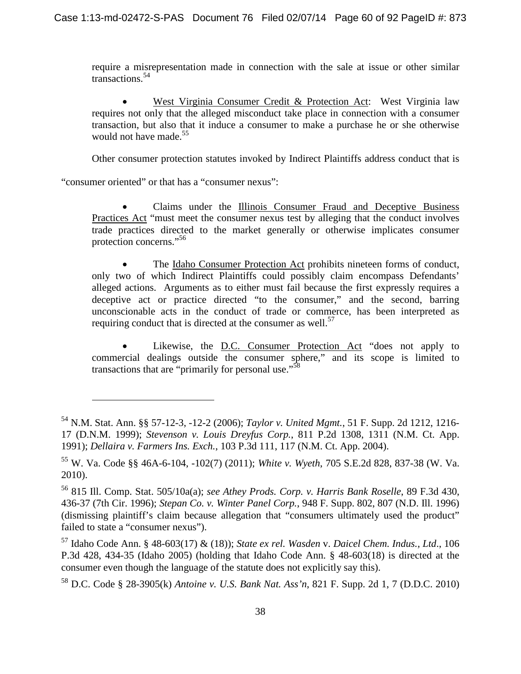require a misrepresentation made in connection with the sale at issue or other similar transactions.<sup>[54](#page-59-0)</sup>

 West Virginia Consumer Credit & Protection Act: West Virginia law requires not only that the alleged misconduct take place in connection with a consumer transaction, but also that it induce a consumer to make a purchase he or she otherwise would not have made.<sup>[55](#page-59-1)</sup>

Other consumer protection statutes invoked by Indirect Plaintiffs address conduct that is

"consumer oriented" or that has a "consumer nexus":

 Claims under the Illinois Consumer Fraud and Deceptive Business Practices Act "must meet the consumer nexus test by alleging that the conduct involves trade practices directed to the market generally or otherwise implicates consumer protection concerns."<sup>[56](#page-59-2)</sup>

 The Idaho Consumer Protection Act prohibits nineteen forms of conduct, only two of which Indirect Plaintiffs could possibly claim encompass Defendants' alleged actions. Arguments as to either must fail because the first expressly requires a deceptive act or practice directed "to the consumer," and the second, barring unconscionable acts in the conduct of trade or commerce, has been interpreted as requiringconduct that is directed at the consumer as well[.](#page-59-3)<sup>57</sup>

 Likewise, the D.C. Consumer Protection Act "does not apply to commercial dealings outside the consumer sphere," and its scope is limited to transactionsthat are ["](#page-59-4)primarily for personal use."<sup>58</sup>

<span id="page-59-0"></span><sup>54</sup> N.M. Stat. Ann. §§ 57-12-3, -12-2 (2006); *Taylor v. United Mgmt.*, 51 F. Supp. 2d 1212, 1216- 17 (D.N.M. 1999); *Stevenson v. Louis Dreyfus Corp.*, 811 P.2d 1308, 1311 (N.M. Ct. App. 1991); *Dellaira v. Farmers Ins. Exch.*, 103 P.3d 111, 117 (N.M. Ct. App. 2004).

<span id="page-59-1"></span><sup>55</sup> W. Va. Code §§ 46A-6-104, -102(7) (2011); *White v. Wyeth*, 705 S.E.2d 828, 837-38 (W. Va. 2010).

<span id="page-59-2"></span><sup>56</sup> 815 Ill. Comp. Stat. 505/10a(a); *see Athey Prods. Corp. v. Harris Bank Roselle*, 89 F.3d 430, 436-37 (7th Cir. 1996); *Stepan Co. v. Winter Panel Corp.*, 948 F. Supp. 802, 807 (N.D. Ill. 1996) (dismissing plaintiff's claim because allegation that "consumers ultimately used the product" failed to state a "consumer nexus").

<span id="page-59-3"></span><sup>57</sup> Idaho Code Ann. § 48-603(17) & (18)); *State ex rel. Wasden* v. *Daicel Chem. Indus., Ltd*., 106 P.3d 428, 434-35 (Idaho 2005) (holding that Idaho Code Ann. § 48-603(18) is directed at the consumer even though the language of the statute does not explicitly say this).

<span id="page-59-4"></span><sup>58</sup> D.C. Code § 28-3905(k) *Antoine v. U.S. Bank Nat. Ass'n*, 821 F. Supp. 2d 1, 7 (D.D.C. 2010)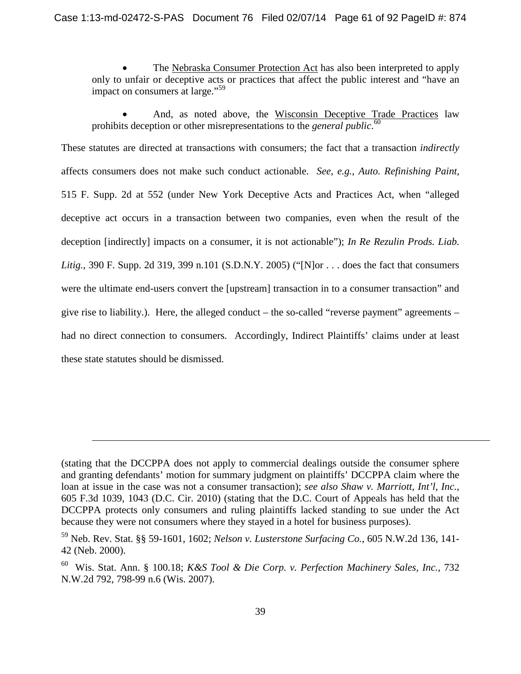The Nebraska Consumer Protection Act has also been interpreted to apply only to unfair or deceptive acts or practices that affect the public interest and "have an impact on consumers at large."<sup>[59](#page-60-0)</sup>

 And, as noted above, the Wisconsin Deceptive Trade Practices law prohibits deception or other misrepresentations to the *general public*. [60](#page-60-1)

These statutes are directed at transactions with consumers; the fact that a transaction *indirectly* affects consumers does not make such conduct actionable. *See, e.g., Auto. Refinishing Paint*, 515 F. Supp. 2d at 552 (under New York Deceptive Acts and Practices Act, when "alleged deceptive act occurs in a transaction between two companies, even when the result of the deception [indirectly] impacts on a consumer, it is not actionable"); *In Re Rezulin Prods. Liab. Litig.*, 390 F. Supp. 2d 319, 399 n.101 (S.D.N.Y. 2005) ("[N]or . . . does the fact that consumers were the ultimate end-users convert the [upstream] transaction in to a consumer transaction" and give rise to liability.). Here, the alleged conduct – the so-called "reverse payment" agreements – had no direct connection to consumers. Accordingly, Indirect Plaintiffs' claims under at least these state statutes should be dismissed.

<sup>(</sup>stating that the DCCPPA does not apply to commercial dealings outside the consumer sphere and granting defendants' motion for summary judgment on plaintiffs' DCCPPA claim where the loan at issue in the case was not a consumer transaction); *see also Shaw v. Marriott, Int'l, Inc.*, 605 F.3d 1039, 1043 (D.C. Cir. 2010) (stating that the D.C. Court of Appeals has held that the DCCPPA protects only consumers and ruling plaintiffs lacked standing to sue under the Act because they were not consumers where they stayed in a hotel for business purposes).

<span id="page-60-0"></span><sup>59</sup> Neb. Rev. Stat. §§ 59-1601, 1602; *Nelson v. Lusterstone Surfacing Co.*, 605 N.W.2d 136, 141- 42 (Neb. 2000).

<span id="page-60-1"></span><sup>60</sup> Wis. Stat. Ann. § 100.18; *K&S Tool & Die Corp. v. Perfection Machinery Sales, Inc.*, 732 N.W.2d 792, 798-99 n.6 (Wis. 2007).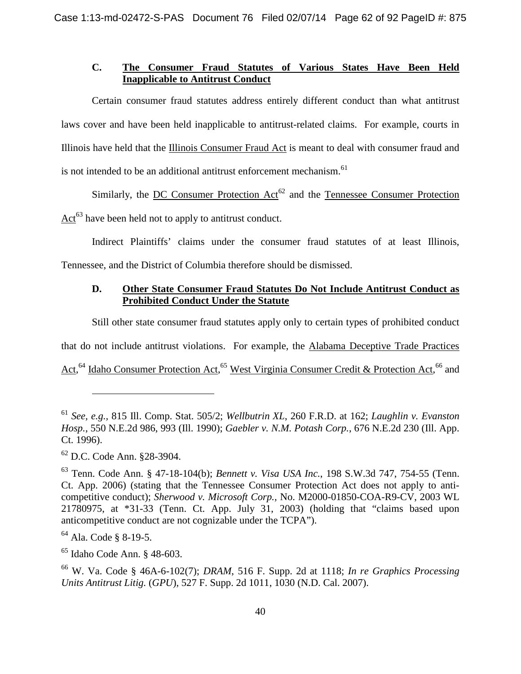# **C. The Consumer Fraud Statutes of Various States Have Been Held Inapplicable to Antitrust Conduct**

Certain consumer fraud statutes address entirely different conduct than what antitrust laws cover and have been held inapplicable to antitrust-related claims. For example, courts in Illinois have held that the Illinois Consumer Fraud Act is meant to deal with consumer fraud and is not intended to be an additional antitrust enforcement mechanism.<sup>[61](#page-61-0)</sup>

Similarly, the DC Consumer Protection  $Act^{62}$  $Act^{62}$  $Act^{62}$  and the Tennessee Consumer Protection Act<sup>[63](#page-61-2)</sup> have been held not to apply to antitrust conduct.

Indirect Plaintiffs' claims under the consumer fraud statutes of at least Illinois, Tennessee, and the District of Columbia therefore should be dismissed.

# **D. Other State Consumer Fraud Statutes Do Not Include Antitrust Conduct as Prohibited Conduct Under the Statute**

Still other state consumer fraud statutes apply only to certain types of prohibited conduct

that do not include antitrust violations. For example, the Alabama Deceptive Trade Practices

Act, <sup>[64](#page-61-3)</sup>Idaho Consumer Protection Act, <sup>65</sup> West Virginia Consumer Credit & Protection Act, <sup>[66](#page-61-5)</sup> and

<span id="page-61-1"></span><sup>62</sup> D.C. Code Ann. §28-3904.

<span id="page-61-3"></span> $64$  Ala. Code § 8-19-5.

<span id="page-61-4"></span><sup>65</sup> Idaho Code Ann. § 48-603.

<span id="page-61-5"></span><sup>66</sup> W. Va. Code § 46A-6-102(7); *DRAM*, 516 F. Supp. 2d at 1118; *In re Graphics Processing Units Antitrust Litig.* (*GPU*), 527 F. Supp. 2d 1011, 1030 (N.D. Cal. 2007).

<span id="page-61-0"></span><sup>61</sup> *See, e.g.,* 815 Ill. Comp. Stat. 505/2; *Wellbutrin XL*, 260 F.R.D. at 162; *Laughlin v. Evanston Hosp.*, 550 N.E.2d 986, 993 (Ill. 1990); *Gaebler v. N.M. Potash Corp.*, 676 N.E.2d 230 (Ill. App. Ct. 1996).

<span id="page-61-2"></span><sup>63</sup> Tenn. Code Ann. § 47-18-104(b); *Bennett v. Visa USA Inc.*, 198 S.W.3d 747, 754-55 (Tenn. Ct. App. 2006) (stating that the Tennessee Consumer Protection Act does not apply to anticompetitive conduct); *Sherwood v. Microsoft Corp.,* No. M2000-01850-COA-R9-CV, 2003 WL 21780975, at \*31-33 (Tenn. Ct. App. July 31, 2003) (holding that "claims based upon anticompetitive conduct are not cognizable under the TCPA").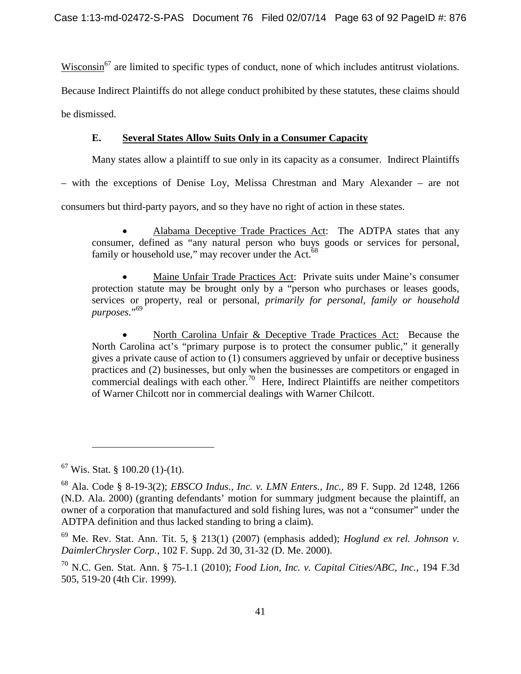Wisconsin<sup>[67](#page-62-0)</sup> are limited to specific types of conduct, none of which includes antitrust violations.

Because Indirect Plaintiffs do not allege conduct prohibited by these statutes, these claims should

be dismissed.

# **E. Several States Allow Suits Only in a Consumer Capacity**

Many states allow a plaintiff to sue only in its capacity as a consumer. Indirect Plaintiffs

– with the exceptions of Denise Loy, Melissa Chrestman and Mary Alexander – are not

consumers but third-party payors, and so they have no right of action in these states.

 Alabama Deceptive Trade Practices Act: The ADTPA states that any consumer, defined as "any natural person who buys goods or services for personal, familyor household use," may recover under the Act[.](#page-62-1) $^{68}$ 

 Maine Unfair Trade Practices Act: Private suits under Maine's consumer protection statute may be brought only by a "person who purchases or leases goods, services or property, real or personal, *primarily for personal, family or household purposes.*" [69](#page-62-2)

 North Carolina Unfair & Deceptive Trade Practices Act: Because the North Carolina act's "primary purpose is to protect the consumer public," it generally gives a private cause of action to (1) consumers aggrieved by unfair or deceptive business practices and (2) businesses, but only when the businesses are competitors or engaged in commercial dealings with each other.<sup>[70](#page-62-3)</sup> Here, Indirect Plaintiffs are neither competitors of Warner Chilcott nor in commercial dealings with Warner Chilcott.

<span id="page-62-0"></span> $67$  Wis. Stat. § 100.20 (1)-(1t).

<span id="page-62-1"></span><sup>68</sup> Ala. Code § 8-19-3(2); *EBSCO Indus., Inc. v. LMN Enters., Inc.,* 89 F. Supp. 2d 1248, 1266 (N.D. Ala. 2000) (granting defendants' motion for summary judgment because the plaintiff, an owner of a corporation that manufactured and sold fishing lures, was not a "consumer" under the ADTPA definition and thus lacked standing to bring a claim).

<span id="page-62-2"></span><sup>69</sup> Me. Rev. Stat. Ann. Tit. 5, § 213(1) (2007) (emphasis added); *Hoglund ex rel. Johnson v. DaimlerChrysler Corp.*, 102 F. Supp. 2d 30, 31-32 (D. Me. 2000).

<span id="page-62-3"></span><sup>70</sup> N.C. Gen. Stat. Ann. § 75-1.1 (2010); *Food Lion, Inc. v. Capital Cities/ABC, Inc.*, 194 F.3d 505, 519-20 (4th Cir. 1999).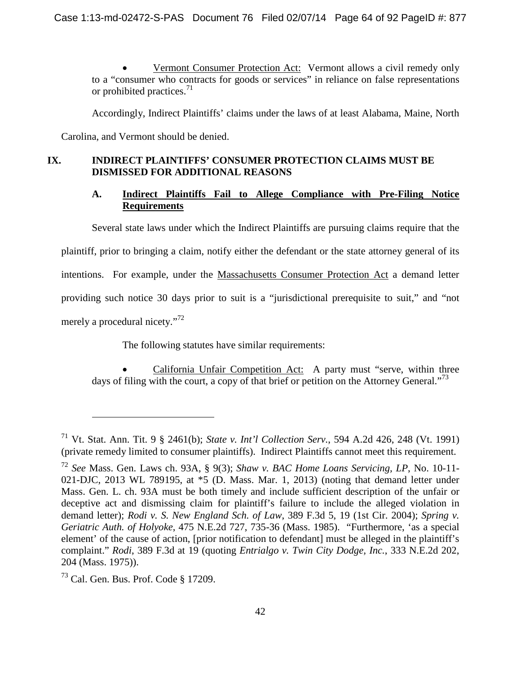Vermont Consumer Protection Act: Vermont allows a civil remedy only to a "consumer who contracts for goods or services" in reliance on false representations or prohibited practices. $^{71}$  $^{71}$  $^{71}$ 

Accordingly, Indirect Plaintiffs' claims under the laws of at least Alabama, Maine, North

Carolina, and Vermont should be denied.

# **IX. INDIRECT PLAINTIFFS' CONSUMER PROTECTION CLAIMS MUST BE DISMISSED FOR ADDITIONAL REASONS**

# **A. Indirect Plaintiffs Fail to Allege Compliance with Pre-Filing Notice Requirements**

Several state laws under which the Indirect Plaintiffs are pursuing claims require that the plaintiff, prior to bringing a claim, notify either the defendant or the state attorney general of its intentions. For example, under the Massachusetts Consumer Protection Act a demand letter providing such notice 30 days prior to suit is a "jurisdictional prerequisite to suit," and "not

merely a procedural nicety."<sup>[72](#page-63-1)</sup>

The following statutes have similar requirements:

 California Unfair Competition Act: A party must "serve, within three days of filing with the court, a copy of that brief or petition on the Attorney General."<sup>[73](#page-63-2)</sup>

<span id="page-63-0"></span><sup>71</sup> Vt. Stat. Ann. Tit. 9 § 2461(b); *State v. Int'l Collection Serv.*, 594 A.2d 426, 248 (Vt. 1991) (private remedy limited to consumer plaintiffs). Indirect Plaintiffs cannot meet this requirement.

<span id="page-63-1"></span><sup>72</sup> *See* Mass. Gen. Laws ch. 93A, § 9(3); *Shaw v. BAC Home Loans Servicing, LP*, No. 10-11- 021-DJC, 2013 WL 789195, at \*5 (D. Mass. Mar. 1, 2013) (noting that demand letter under Mass. Gen. L. ch. 93A must be both timely and include sufficient description of the unfair or deceptive act and dismissing claim for plaintiff's failure to include the alleged violation in demand letter); *Rodi v. S. New England Sch. of Law*, 389 F.3d 5, 19 (1st Cir. 2004); *Spring v. Geriatric Auth. of Holyoke*, 475 N.E.2d 727, 735-36 (Mass. 1985). "Furthermore, 'as a special element' of the cause of action, [prior notification to defendant] must be alleged in the plaintiff's complaint." *Rodi*, 389 F.3d at 19 (quoting *Entrialgo v. Twin City Dodge, Inc.*, 333 N.E.2d 202, 204 (Mass. 1975)).

<span id="page-63-2"></span><sup>73</sup> Cal. Gen. Bus. Prof. Code § 17209.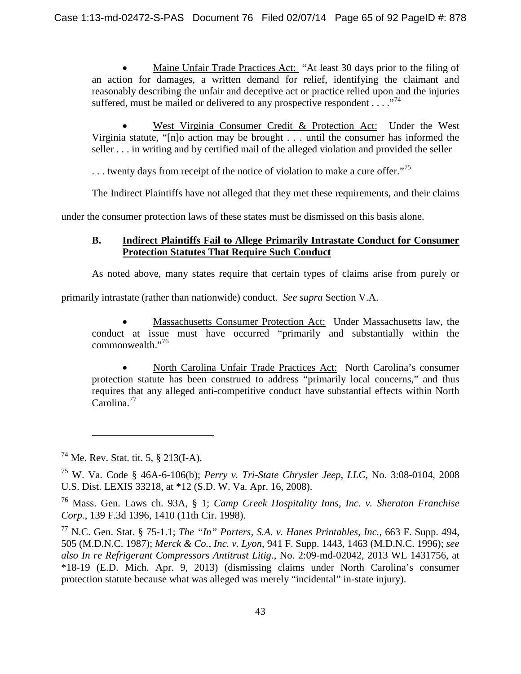Maine Unfair Trade Practices Act: "At least 30 days prior to the filing of an action for damages, a written demand for relief, identifying the claimant and reasonably describing the unfair and deceptive act or practice relied upon and the injuries suffered,must be mailed or delivered to any prospective respondent  $\dots$  ."<sup>74</sup>

 West Virginia Consumer Credit & Protection Act: Under the West Virginia statute, "[n]o action may be brought . . . until the consumer has informed the seller . . . in writing and by certified mail of the alleged violation and provided the seller

... twenty days from receipt of the notice of violation to make a cure offer."<sup>[75](#page-64-1)</sup>

The Indirect Plaintiffs have not alleged that they met these requirements, and their claims

under the consumer protection laws of these states must be dismissed on this basis alone.

# **B. Indirect Plaintiffs Fail to Allege Primarily Intrastate Conduct for Consumer Protection Statutes That Require Such Conduct**

As noted above, many states require that certain types of claims arise from purely or

primarily intrastate (rather than nationwide) conduct. *See supra* Section V.A.

 Massachusetts Consumer Protection Act: Under Massachusetts law, the conduct at issue must have occurred "primarily and substantially within the commonwealth."[76](#page-64-2)

 North Carolina Unfair Trade Practices Act: North Carolina's consumer protection statute has been construed to address "primarily local concerns," and thus requires that any alleged anti-competitive conduct have substantial effects within North Carolina.[77](#page-64-3)

<span id="page-64-0"></span><sup>74</sup> Me. Rev. Stat. tit. 5, § 213(I-A).

<span id="page-64-1"></span><sup>75</sup> W. Va. Code § 46A-6-106(b); *Perry v. Tri-State Chrysler Jeep, LLC*, No. 3:08-0104, 2008 U.S. Dist. LEXIS 33218, at \*12 (S.D. W. Va. Apr. 16, 2008).

<span id="page-64-2"></span><sup>76</sup> Mass. Gen. Laws ch. 93A, § 1; *Camp Creek Hospitality Inns, Inc. v. Sheraton Franchise Corp.*, 139 F.3d 1396, 1410 (11th Cir. 1998).

<span id="page-64-3"></span><sup>77</sup> N.C. Gen. Stat. § 75-1.1; *The "In" Porters, S.A. v. Hanes Printables, Inc.*, 663 F. Supp. 494, 505 (M.D.N.C. 1987); *Merck & Co., Inc. v. Lyon*, 941 F. Supp. 1443, 1463 (M.D.N.C. 1996); *see also In re Refrigerant Compressors Antitrust Litig.*, No. 2:09-md-02042, 2013 WL 1431756, at \*18-19 (E.D. Mich. Apr. 9, 2013) (dismissing claims under North Carolina's consumer protection statute because what was alleged was merely "incidental" in-state injury).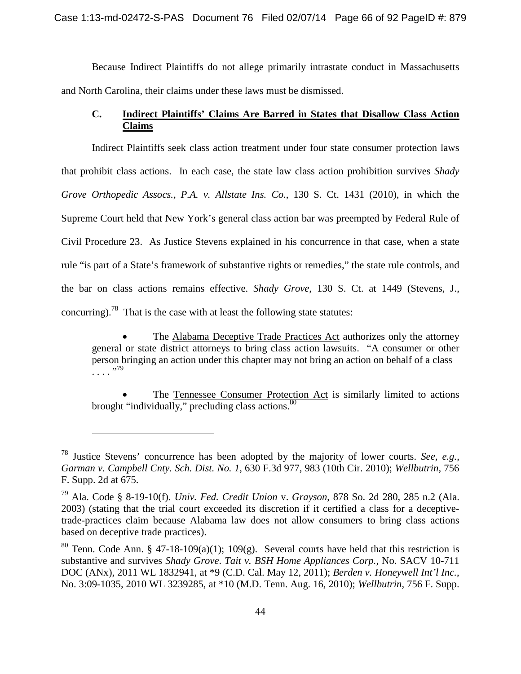Because Indirect Plaintiffs do not allege primarily intrastate conduct in Massachusetts and North Carolina, their claims under these laws must be dismissed.

# **C. Indirect Plaintiffs' Claims Are Barred in States that Disallow Class Action Claims**

Indirect Plaintiffs seek class action treatment under four state consumer protection laws that prohibit class actions. In each case, the state law class action prohibition survives *Shady Grove Orthopedic Assocs., P.A. v. Allstate Ins. Co.*, 130 S. Ct. 1431 (2010), in which the Supreme Court held that New York's general class action bar was preempted by Federal Rule of Civil Procedure 23. As Justice Stevens explained in his concurrence in that case, when a state rule "is part of a State's framework of substantive rights or remedies," the state rule controls, and the bar on class actions remains effective. *Shady Grove*, 130 S. Ct. at 1449 (Stevens, J., concurring).<sup>[78](#page-65-0)</sup> That is the case with at least the following state statutes:

 The Alabama Deceptive Trade Practices Act authorizes only the attorney general or state district attorneys to bring class action lawsuits. "A consumer or other person bringing an action under this chapter may not bring an action on behalf of a class ...."<sup>79</sup>

 The Tennessee Consumer Protection Act is similarly limited to actions brought "individually," precluding class actions.  $80$ 

<span id="page-65-0"></span><sup>78</sup> Justice Stevens' concurrence has been adopted by the majority of lower courts. *See, e.g.*, *Garman v. Campbell Cnty. Sch. Dist. No. 1*, 630 F.3d 977, 983 (10th Cir. 2010); *Wellbutrin*, 756 F. Supp. 2d at 675.

<span id="page-65-1"></span><sup>79</sup> Ala. Code § 8-19-10(f). *Univ. Fed. Credit Union* v. *Grayson*, 878 So. 2d 280, 285 n.2 (Ala. 2003) (stating that the trial court exceeded its discretion if it certified a class for a deceptivetrade-practices claim because Alabama law does not allow consumers to bring class actions based on deceptive trade practices).

<span id="page-65-2"></span><sup>&</sup>lt;sup>80</sup> Tenn. Code Ann. § 47-18-109(a)(1); 109(g). Several courts have held that this restriction is substantive and survives *Shady Grove*. *Tait v. BSH Home Appliances Corp.*, No. SACV 10-711 DOC (ANx), 2011 WL 1832941, at \*9 (C.D. Cal. May 12, 2011); *Berden v. Honeywell Int'l Inc.*, No. 3:09-1035, 2010 WL 3239285, at \*10 (M.D. Tenn. Aug. 16, 2010); *Wellbutrin*, 756 F. Supp.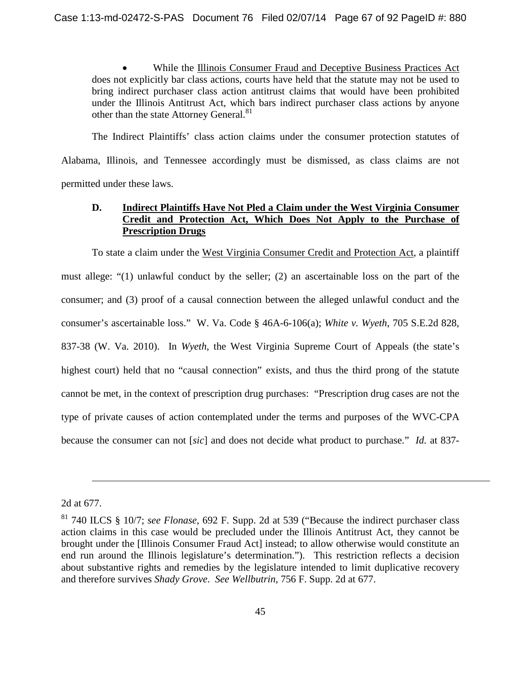While the Illinois Consumer Fraud and Deceptive Business Practices Act does not explicitly bar class actions, courts have held that the statute may not be used to bring indirect purchaser class action antitrust claims that would have been prohibited under the Illinois Antitrust Act, which bars indirect purchaser class actions by anyone other than the state Attorney General.<sup>[81](#page-66-0)</sup>

The Indirect Plaintiffs' class action claims under the consumer protection statutes of Alabama, Illinois, and Tennessee accordingly must be dismissed, as class claims are not permitted under these laws.

# **D. Indirect Plaintiffs Have Not Pled a Claim under the West Virginia Consumer Credit and Protection Act, Which Does Not Apply to the Purchase of Prescription Drugs**

To state a claim under the West Virginia Consumer Credit and Protection Act, a plaintiff must allege: "(1) unlawful conduct by the seller; (2) an ascertainable loss on the part of the consumer; and (3) proof of a causal connection between the alleged unlawful conduct and the consumer's ascertainable loss." W. Va. Code § 46A-6-106(a); *White v. Wyeth*, 705 S.E.2d 828, 837-38 (W. Va. 2010). In *Wyeth*, the West Virginia Supreme Court of Appeals (the state's highest court) held that no "causal connection" exists, and thus the third prong of the statute cannot be met, in the context of prescription drug purchases: "Prescription drug cases are not the type of private causes of action contemplated under the terms and purposes of the WVC-CPA because the consumer can not [*sic*] and does not decide what product to purchase." *Id.* at 837-

<sup>2</sup>d at 677.

<span id="page-66-0"></span><sup>81</sup> 740 ILCS § 10/7; *see Flonase*, 692 F. Supp. 2d at 539 ("Because the indirect purchaser class action claims in this case would be precluded under the Illinois Antitrust Act, they cannot be brought under the [Illinois Consumer Fraud Act] instead; to allow otherwise would constitute an end run around the Illinois legislature's determination."). This restriction reflects a decision about substantive rights and remedies by the legislature intended to limit duplicative recovery and therefore survives *Shady Grove*. *See Wellbutrin*, 756 F. Supp. 2d at 677.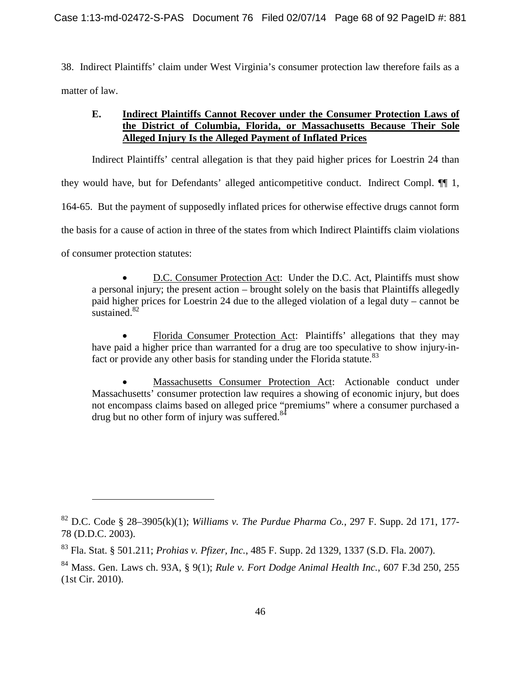38. Indirect Plaintiffs' claim under West Virginia's consumer protection law therefore fails as a matter of law.

# **E. Indirect Plaintiffs Cannot Recover under the Consumer Protection Laws of the District of Columbia, Florida, or Massachusetts Because Their Sole Alleged Injury Is the Alleged Payment of Inflated Prices**

Indirect Plaintiffs' central allegation is that they paid higher prices for Loestrin 24 than they would have, but for Defendants' alleged anticompetitive conduct. Indirect Compl. ¶¶ 1, 164-65. But the payment of supposedly inflated prices for otherwise effective drugs cannot form the basis for a cause of action in three of the states from which Indirect Plaintiffs claim violations of consumer protection statutes:

 D.C. Consumer Protection Act: Under the D.C. Act, Plaintiffs must show a personal injury; the present action – brought solely on the basis that Plaintiffs allegedly paid higher prices for Loestrin 24 due to the alleged violation of a legal duty – cannot be sustained.<sup>[82](#page-67-0)</sup>

 Florida Consumer Protection Act: Plaintiffs' allegations that they may have paid a higher price than warranted for a drug are too speculative to show injury-in-fact or provide any other basis for standing under the Florida statute.<sup>[83](#page-67-1)</sup>

 Massachusetts Consumer Protection Act: Actionable conduct under Massachusetts' consumer protection law requires a showing of economic injury, but does not encompass claims based on alleged price "premiums" where a consumer purchased a drug but no other form of injury was suffered.<sup>[84](#page-67-2)</sup>

<span id="page-67-0"></span><sup>&</sup>lt;sup>82</sup> D.C. Code § 28–3905(k)(1); *Williams v. The Purdue Pharma Co.*, 297 F. Supp. 2d 171, 177-78 (D.D.C. 2003).

<span id="page-67-1"></span><sup>83</sup> Fla. Stat. § 501.211; *Prohias v. Pfizer, Inc.*, 485 F. Supp. 2d 1329, 1337 (S.D. Fla. 2007).

<span id="page-67-2"></span><sup>84</sup> Mass. Gen. Laws ch. 93A, § 9(1); *Rule v. Fort Dodge Animal Health Inc.*, 607 F.3d 250, 255 (1st Cir. 2010).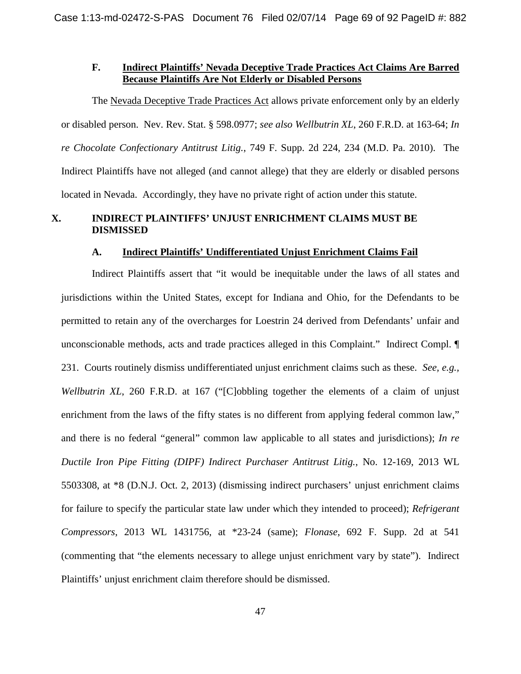#### **F. Indirect Plaintiffs' Nevada Deceptive Trade Practices Act Claims Are Barred Because Plaintiffs Are Not Elderly or Disabled Persons**

The Nevada Deceptive Trade Practices Act allows private enforcement only by an elderly or disabled person. Nev. Rev. Stat. § 598.0977; *see also Wellbutrin XL*, 260 F.R.D. at 163-64; *In re Chocolate Confectionary Antitrust Litig.*, 749 F. Supp. 2d 224, 234 (M.D. Pa. 2010). The Indirect Plaintiffs have not alleged (and cannot allege) that they are elderly or disabled persons located in Nevada. Accordingly, they have no private right of action under this statute.

#### **X. INDIRECT PLAINTIFFS' UNJUST ENRICHMENT CLAIMS MUST BE DISMISSED**

#### **A. Indirect Plaintiffs' Undifferentiated Unjust Enrichment Claims Fail**

Indirect Plaintiffs assert that "it would be inequitable under the laws of all states and jurisdictions within the United States, except for Indiana and Ohio, for the Defendants to be permitted to retain any of the overcharges for Loestrin 24 derived from Defendants' unfair and unconscionable methods, acts and trade practices alleged in this Complaint." Indirect Compl. ¶ 231. Courts routinely dismiss undifferentiated unjust enrichment claims such as these. *See, e.g., Wellbutrin XL*, 260 F.R.D. at 167 ("[C]obbling together the elements of a claim of unjust enrichment from the laws of the fifty states is no different from applying federal common law," and there is no federal "general" common law applicable to all states and jurisdictions); *In re Ductile Iron Pipe Fitting (DIPF) Indirect Purchaser Antitrust Litig.*, No. 12-169, 2013 WL 5503308, at \*8 (D.N.J. Oct. 2, 2013) (dismissing indirect purchasers' unjust enrichment claims for failure to specify the particular state law under which they intended to proceed); *Refrigerant Compressors*, 2013 WL 1431756, at \*23-24 (same); *Flonase*, 692 F. Supp. 2d at 541 (commenting that "the elements necessary to allege unjust enrichment vary by state"). Indirect Plaintiffs' unjust enrichment claim therefore should be dismissed.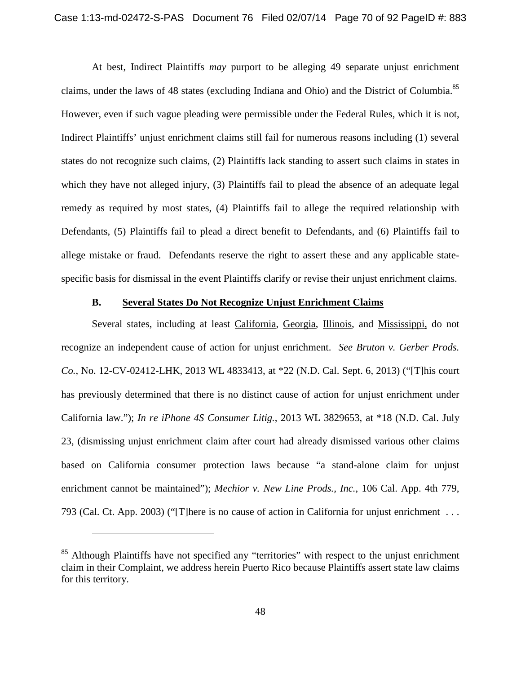At best, Indirect Plaintiffs *may* purport to be alleging 49 separate unjust enrichment claims, under the laws of 48 states (excluding Indiana and Ohio) and the District of Columbia.<sup>[85](#page-69-0)</sup> However, even if such vague pleading were permissible under the Federal Rules, which it is not, Indirect Plaintiffs' unjust enrichment claims still fail for numerous reasons including (1) several states do not recognize such claims, (2) Plaintiffs lack standing to assert such claims in states in which they have not alleged injury, (3) Plaintiffs fail to plead the absence of an adequate legal remedy as required by most states, (4) Plaintiffs fail to allege the required relationship with Defendants, (5) Plaintiffs fail to plead a direct benefit to Defendants, and (6) Plaintiffs fail to allege mistake or fraud. Defendants reserve the right to assert these and any applicable statespecific basis for dismissal in the event Plaintiffs clarify or revise their unjust enrichment claims.

#### **B. Several States Do Not Recognize Unjust Enrichment Claims**

Several states, including at least California, Georgia, Illinois, and Mississippi, do not recognize an independent cause of action for unjust enrichment. *See Bruton v. Gerber Prods. Co.*, No. 12-CV-02412-LHK, 2013 WL 4833413, at \*22 (N.D. Cal. Sept. 6, 2013) ("[T]his court has previously determined that there is no distinct cause of action for unjust enrichment under California law."); *In re iPhone 4S Consumer Litig.*, 2013 WL 3829653, at \*18 (N.D. Cal. July 23, (dismissing unjust enrichment claim after court had already dismissed various other claims based on California consumer protection laws because "a stand-alone claim for unjust enrichment cannot be maintained"); *Mechior v. New Line Prods., Inc.*, 106 Cal. App. 4th 779, 793 (Cal. Ct. App. 2003) ("[T]here is no cause of action in California for unjust enrichment . . .

<span id="page-69-0"></span><sup>&</sup>lt;sup>85</sup> Although Plaintiffs have not specified any "territories" with respect to the unjust enrichment claim in their Complaint, we address herein Puerto Rico because Plaintiffs assert state law claims for this territory.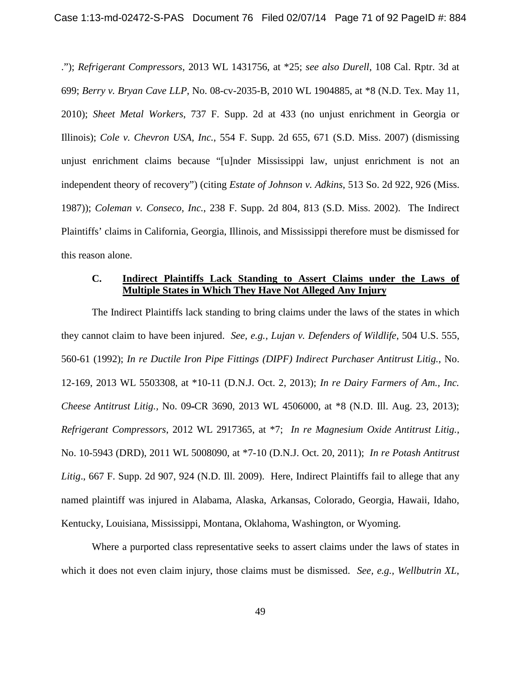."); *Refrigerant Compressors*, 2013 WL 1431756, at \*25; *see also Durell*, 108 Cal. Rptr. 3d at 699; *Berry v. Bryan Cave LLP*, No. 08-cv-2035-B, 2010 WL 1904885, at \*8 (N.D. Tex. May 11, 2010); *Sheet Metal Workers*, 737 F. Supp. 2d at 433 (no unjust enrichment in Georgia or Illinois); *Cole v. Chevron USA, Inc.*, 554 F. Supp. 2d 655, 671 (S.D. Miss. 2007) (dismissing unjust enrichment claims because "[u]nder Mississippi law, unjust enrichment is not an independent theory of recovery") (citing *Estate of Johnson v. Adkins*, 513 So. 2d 922, 926 (Miss. 1987)); *Coleman v. Conseco, Inc.*, 238 F. Supp. 2d 804, 813 (S.D. Miss. 2002). The Indirect Plaintiffs' claims in California, Georgia, Illinois, and Mississippi therefore must be dismissed for this reason alone.

#### **C. Indirect Plaintiffs Lack Standing to Assert Claims under the Laws of Multiple States in Which They Have Not Alleged Any Injury**

The Indirect Plaintiffs lack standing to bring claims under the laws of the states in which they cannot claim to have been injured. *See, e.g., Lujan v. Defenders of Wildlife*, 504 U.S. 555, 560-61 (1992); *In re Ductile Iron Pipe Fittings (DIPF) Indirect Purchaser Antitrust Litig.*, No. 12-169, 2013 WL 5503308, at \*10-11 (D.N.J. Oct. 2, 2013); *In re Dairy Farmers of Am., Inc. Cheese Antitrust Litig.,* No. 09-CR 3690, 2013 WL 4506000, at \*8 (N.D. Ill. Aug. 23, 2013); *Refrigerant Compressors*, 2012 WL 2917365, at \*7; *In re Magnesium Oxide Antitrust Litig.*, No. 10-5943 (DRD), 2011 WL 5008090, at \*7-10 (D.N.J. Oct. 20, 2011); *In re Potash Antitrust Litig*., 667 F. Supp. 2d 907, 924 (N.D. Ill. 2009). Here, Indirect Plaintiffs fail to allege that any named plaintiff was injured in Alabama, Alaska, Arkansas, Colorado, Georgia, Hawaii, Idaho, Kentucky, Louisiana, Mississippi, Montana, Oklahoma, Washington, or Wyoming.

Where a purported class representative seeks to assert claims under the laws of states in which it does not even claim injury, those claims must be dismissed. *See, e.g., Wellbutrin XL*,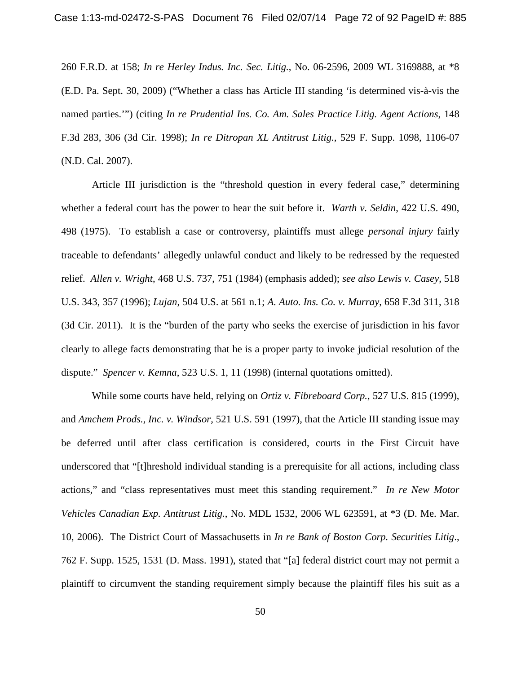260 F.R.D. at 158; *In re Herley Indus. Inc. Sec. Litig.*, No. 06-2596, 2009 WL 3169888, at \*8 (E.D. Pa. Sept. 30, 2009) ("Whether a class has Article III standing 'is determined vis-à-vis the named parties.'") (citing *In re Prudential Ins. Co. Am. Sales Practice Litig. Agent Actions*, 148 F.3d 283, 306 (3d Cir. 1998); *In re Ditropan XL Antitrust Litig.*, 529 F. Supp. 1098, 1106-07 (N.D. Cal. 2007).

Article III jurisdiction is the "threshold question in every federal case," determining whether a federal court has the power to hear the suit before it. *Warth v. Seldin*, 422 U.S. 490, 498 (1975). To establish a case or controversy, plaintiffs must allege *personal injury* fairly traceable to defendants' allegedly unlawful conduct and likely to be redressed by the requested relief. *Allen v. Wright*, 468 U.S. 737, 751 (1984) (emphasis added); *see also Lewis v. Casey*, 518 U.S. 343, 357 (1996); *Lujan*, 504 U.S. at 561 n.1; *A. Auto. Ins. Co. v. Murray*, 658 F.3d 311, 318 (3d Cir. 2011). It is the "burden of the party who seeks the exercise of jurisdiction in his favor clearly to allege facts demonstrating that he is a proper party to invoke judicial resolution of the dispute." *Spencer v. Kemna*, 523 U.S. 1, 11 (1998) (internal quotations omitted).

While some courts have held, relying on *Ortiz v. Fibreboard Corp.*, 527 U.S. 815 (1999), and *Amchem Prods., Inc. v. Windsor*, 521 U.S. 591 (1997), that the Article III standing issue may be deferred until after class certification is considered, courts in the First Circuit have underscored that "[t]hreshold individual standing is a prerequisite for all actions, including class actions," and "class representatives must meet this standing requirement." *In re New Motor Vehicles Canadian Exp. Antitrust Litig.*, No. MDL 1532, 2006 WL 623591, at \*3 (D. Me. Mar. 10, 2006). The District Court of Massachusetts in *In re Bank of Boston Corp. Securities Litig*., 762 F. Supp. 1525, 1531 (D. Mass. 1991), stated that "[a] federal district court may not permit a plaintiff to circumvent the standing requirement simply because the plaintiff files his suit as a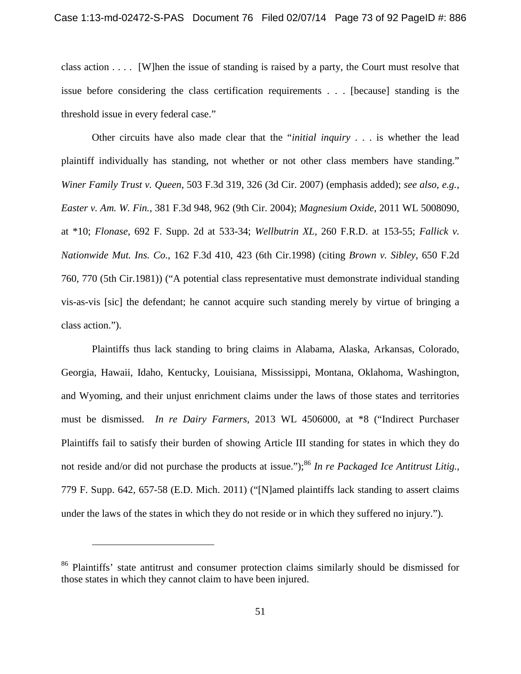class action  $\dots$ . [W]hen the issue of standing is raised by a party, the Court must resolve that issue before considering the class certification requirements . . . [because] standing is the threshold issue in every federal case."

Other circuits have also made clear that the "*initial inquiry* . . . is whether the lead plaintiff individually has standing, not whether or not other class members have standing." *Winer Family Trust v. Queen*, 503 F.3d 319, 326 (3d Cir. 2007) (emphasis added); *see also, e.g., Easter v. Am. W. Fin.*, 381 F.3d 948, 962 (9th Cir. 2004); *Magnesium Oxide*, 2011 WL 5008090, at \*10; *Flonase*, 692 F. Supp. 2d at 533-34; *Wellbutrin XL*, 260 F.R.D. at 153-55; *Fallick v. Nationwide Mut. Ins. Co*., 162 F.3d 410, 423 (6th Cir.1998) (citing *Brown v. Sibley*, 650 F.2d 760, 770 (5th Cir.1981)) ("A potential class representative must demonstrate individual standing vis-as-vis [sic] the defendant; he cannot acquire such standing merely by virtue of bringing a class action.").

Plaintiffs thus lack standing to bring claims in Alabama, Alaska, Arkansas, Colorado, Georgia, Hawaii, Idaho, Kentucky, Louisiana, Mississippi, Montana, Oklahoma, Washington, and Wyoming, and their unjust enrichment claims under the laws of those states and territories must be dismissed. *In re Dairy Farmers*, 2013 WL 4506000, at \*8 ("Indirect Purchaser Plaintiffs fail to satisfy their burden of showing Article III standing for states in which they do not reside and/or did not purchase the products at issue.");<sup>[86](#page-72-0)</sup> In re Packaged Ice Antitrust Litig., 779 F. Supp. 642, 657-58 (E.D. Mich. 2011) ("[N]amed plaintiffs lack standing to assert claims under the laws of the states in which they do not reside or in which they suffered no injury.").

<span id="page-72-0"></span><sup>&</sup>lt;sup>86</sup> Plaintiffs' state antitrust and consumer protection claims similarly should be dismissed for those states in which they cannot claim to have been injured.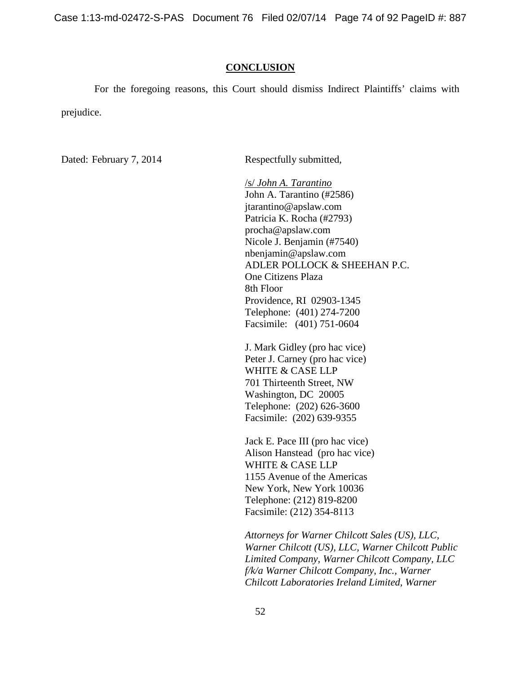Case 1:13-md-02472-S-PAS Document 76 Filed 02/07/14 Page 74 of 92 PageID #: 887

### **CONCLUSION**

For the foregoing reasons, this Court should dismiss Indirect Plaintiffs' claims with prejudice.

Dated: February 7, 2014 Respectfully submitted,

/s/ *John A. Tarantino* John A. Tarantino (#2586) jtarantino@apslaw.com Patricia K. Rocha (#2793) procha@apslaw.com Nicole J. Benjamin (#7540) nbenjamin@apslaw.com ADLER POLLOCK & SHEEHAN P.C. One Citizens Plaza 8th Floor Providence, RI 02903-1345 Telephone: (401) 274-7200 Facsimile: (401) 751-0604

J. Mark Gidley (pro hac vice) Peter J. Carney (pro hac vice) WHITE & CASE LLP 701 Thirteenth Street, NW Washington, DC 20005 Telephone: (202) 626-3600 Facsimile: (202) 639-9355

Jack E. Pace III (pro hac vice) Alison Hanstead (pro hac vice) WHITE & CASE LLP 1155 Avenue of the Americas New York, New York 10036 Telephone: (212) 819-8200 Facsimile: (212) 354-8113

*Attorneys for Warner Chilcott Sales (US), LLC, Warner Chilcott (US), LLC, Warner Chilcott Public Limited Company, Warner Chilcott Company, LLC f/k/a Warner Chilcott Company, Inc., Warner Chilcott Laboratories Ireland Limited, Warner*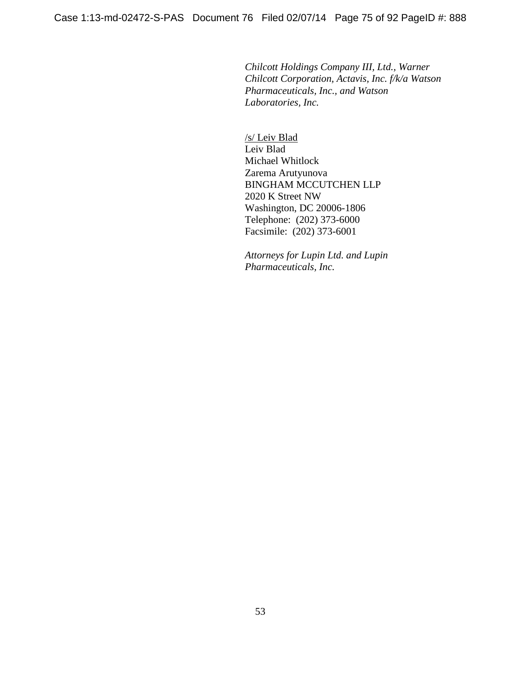*Chilcott Holdings Company III, Ltd., Warner Chilcott Corporation, Actavis, Inc. f/k/a Watson Pharmaceuticals, Inc., and Watson Laboratories, Inc.*

/s/ Leiv Blad Leiv Blad Michael Whitlock Zarema Arutyunova BINGHAM MCCUTCHEN LLP 2020 K Street NW Washington, DC 20006-1806 Telephone: (202) 373-6000 Facsimile: (202) 373-6001

*Attorneys for Lupin Ltd. and Lupin Pharmaceuticals, Inc.*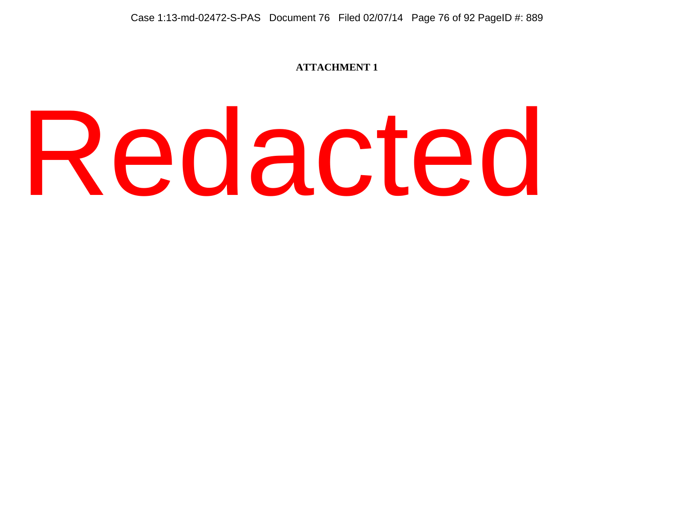## **ATTACHMENT 1**

# Redacted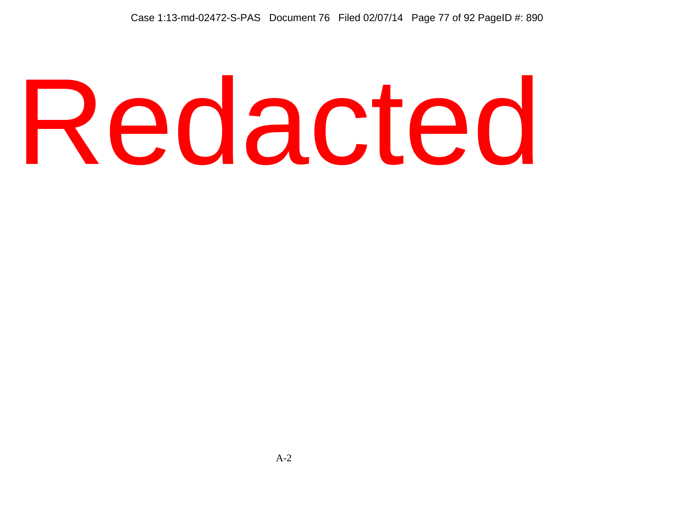# Redacted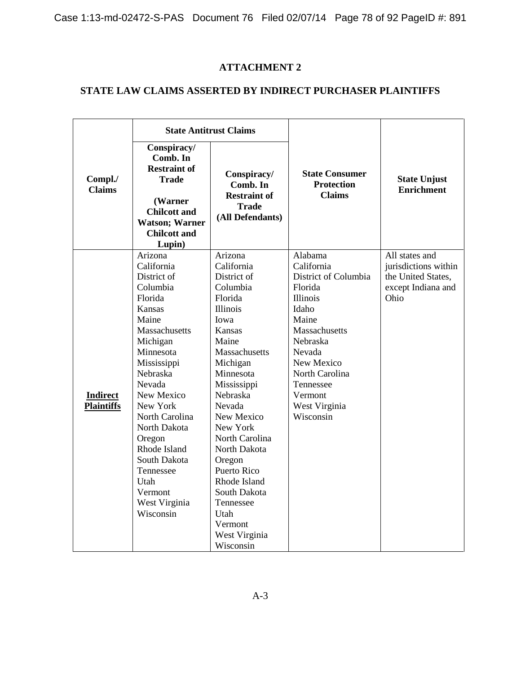Case 1:13-md-02472-S-PAS Document 76 Filed 02/07/14 Page 78 of 92 PageID #: 891

# **ATTACHMENT 2**

# **STATE LAW CLAIMS ASSERTED BY INDIRECT PURCHASER PLAINTIFFS**

|                                      | <b>State Antitrust Claims</b>                                                                                                                                                                                                                                                                                                     |                                                                                                                                                                                                                                                                                                                                                                             |                                                                                                                                                                                                                                   |                                                                                            |
|--------------------------------------|-----------------------------------------------------------------------------------------------------------------------------------------------------------------------------------------------------------------------------------------------------------------------------------------------------------------------------------|-----------------------------------------------------------------------------------------------------------------------------------------------------------------------------------------------------------------------------------------------------------------------------------------------------------------------------------------------------------------------------|-----------------------------------------------------------------------------------------------------------------------------------------------------------------------------------------------------------------------------------|--------------------------------------------------------------------------------------------|
| Compl./<br><b>Claims</b>             | Conspiracy/<br>Comb. In<br><b>Restraint of</b><br><b>Trade</b><br>(Warner<br><b>Chilcott and</b><br><b>Watson; Warner</b><br><b>Chilcott and</b><br>Lupin)                                                                                                                                                                        | Conspiracy/<br>Comb. In<br><b>Restraint of</b><br><b>Trade</b><br>(All Defendants)                                                                                                                                                                                                                                                                                          | <b>State Consumer</b><br><b>Protection</b><br><b>Claims</b>                                                                                                                                                                       | <b>State Unjust</b><br><b>Enrichment</b>                                                   |
| <b>Indirect</b><br><b>Plaintiffs</b> | Arizona<br>California<br>District of<br>Columbia<br>Florida<br>Kansas<br>Maine<br>Massachusetts<br>Michigan<br>Minnesota<br>Mississippi<br>Nebraska<br>Nevada<br>New Mexico<br>New York<br>North Carolina<br>North Dakota<br>Oregon<br>Rhode Island<br>South Dakota<br>Tennessee<br>Utah<br>Vermont<br>West Virginia<br>Wisconsin | Arizona<br>California<br>District of<br>Columbia<br>Florida<br>Illinois<br>Iowa<br>Kansas<br>Maine<br>Massachusetts<br>Michigan<br>Minnesota<br>Mississippi<br><b>Nebraska</b><br>Nevada<br>New Mexico<br>New York<br>North Carolina<br>North Dakota<br>Oregon<br>Puerto Rico<br>Rhode Island<br>South Dakota<br>Tennessee<br>Utah<br>Vermont<br>West Virginia<br>Wisconsin | Alabama<br>California<br>District of Columbia<br>Florida<br><b>Illinois</b><br>Idaho<br>Maine<br>Massachusetts<br><b>Nebraska</b><br>Nevada<br>New Mexico<br>North Carolina<br>Tennessee<br>Vermont<br>West Virginia<br>Wisconsin | All states and<br>jurisdictions within<br>the United States,<br>except Indiana and<br>Ohio |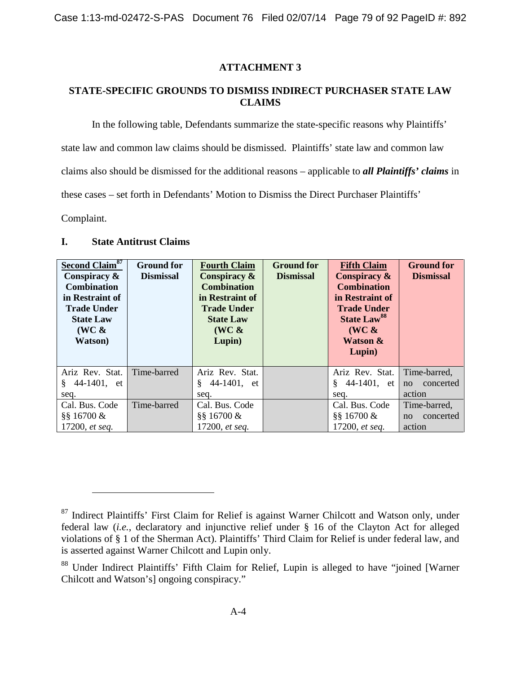# **ATTACHMENT 3**

# **STATE-SPECIFIC GROUNDS TO DISMISS INDIRECT PURCHASER STATE LAW CLAIMS**

In the following table, Defendants summarize the state-specific reasons why Plaintiffs' state law and common law claims should be dismissed. Plaintiffs' state law and common law claims also should be dismissed for the additional reasons – applicable to *all Plaintiffs' claims* in these cases – set forth in Defendants' Motion to Dismiss the Direct Purchaser Plaintiffs' Complaint.

### **I. State Antitrust Claims**

| Second Claim <sup>87</sup><br>Conspiracy &<br><b>Combination</b><br>in Restraint of<br><b>Trade Under</b><br><b>State Law</b><br>$(WC \&$<br><b>Watson</b> ) | <b>Ground for</b><br><b>Dismissal</b> | <b>Fourth Claim</b><br>Conspiracy $\&$<br><b>Combination</b><br>in Restraint of<br><b>Trade Under</b><br><b>State Law</b><br>$(WC \&$<br>Lupin) | <b>Ground for</b><br><b>Dismissal</b> | <b>Fifth Claim</b><br>Conspiracy $\&$<br><b>Combination</b><br>in Restraint of<br><b>Trade Under</b><br><b>State Law<sup>88</sup></b><br>$(WC \&$<br><b>Watson &amp;</b><br>Lupin) | <b>Ground for</b><br><b>Dismissal</b>     |
|--------------------------------------------------------------------------------------------------------------------------------------------------------------|---------------------------------------|-------------------------------------------------------------------------------------------------------------------------------------------------|---------------------------------------|------------------------------------------------------------------------------------------------------------------------------------------------------------------------------------|-------------------------------------------|
| Ariz Rev. Stat.<br>44-1401, et<br>§.<br>seq.                                                                                                                 | Time-barred                           | Ariz Rev. Stat.<br>§.<br>44-1401, et<br>seq.                                                                                                    |                                       | Ariz Rev. Stat.<br>44-1401, et<br>Ö.<br>seq.                                                                                                                                       | Time-barred,<br>concerted<br>no<br>action |
| Cal. Bus. Code<br>$§$ § 16700 &<br>17200, et seq.                                                                                                            | Time-barred                           | Cal. Bus. Code<br>$§$ § 16700 &<br>17200, et seq.                                                                                               |                                       | Cal. Bus. Code<br>$§$ § 16700 &<br>17200, et seq.                                                                                                                                  | Time-barred,<br>concerted<br>no<br>action |

<span id="page-78-0"></span><sup>&</sup>lt;sup>87</sup> Indirect Plaintiffs' First Claim for Relief is against Warner Chilcott and Watson only, under federal law (*i.e.*, declaratory and injunctive relief under § 16 of the Clayton Act for alleged violations of § 1 of the Sherman Act). Plaintiffs' Third Claim for Relief is under federal law, and is asserted against Warner Chilcott and Lupin only.

<span id="page-78-1"></span><sup>&</sup>lt;sup>88</sup> Under Indirect Plaintiffs' Fifth Claim for Relief, Lupin is alleged to have "joined [Warner Chilcott and Watson's] ongoing conspiracy."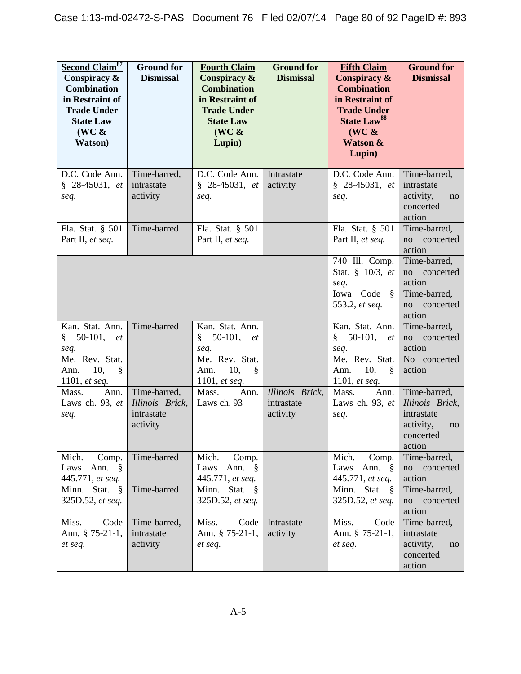| Second Claim <sup>87</sup><br>Conspiracy &<br><b>Combination</b><br>in Restraint of<br><b>Trade Under</b><br><b>State Law</b><br>$(WC \&$<br>Watson) | <b>Ground for</b><br><b>Dismissal</b>                     | <b>Fourth Claim</b><br>Conspiracy &<br><b>Combination</b><br>in Restraint of<br><b>Trade Under</b><br><b>State Law</b><br>$(WC \&$<br>Lupin) | <b>Ground for</b><br><b>Dismissal</b>     | <b>Fifth Claim</b><br>Conspiracy &<br><b>Combination</b><br>in Restraint of<br><b>Trade Under</b><br><b>State Law<sup>88</sup></b><br>(WC &<br><b>Watson &amp;</b><br>Lupin) | <b>Ground for</b><br><b>Dismissal</b>                                                   |
|------------------------------------------------------------------------------------------------------------------------------------------------------|-----------------------------------------------------------|----------------------------------------------------------------------------------------------------------------------------------------------|-------------------------------------------|------------------------------------------------------------------------------------------------------------------------------------------------------------------------------|-----------------------------------------------------------------------------------------|
| D.C. Code Ann.<br>$§$ 28-45031, et<br>seq.                                                                                                           | Time-barred,<br>intrastate<br>activity                    | D.C. Code Ann.<br>$$28-45031, et$<br>seq.                                                                                                    | Intrastate<br>activity                    | D.C. Code Ann.<br>$§$ 28-45031, et<br>seq.                                                                                                                                   | Time-barred,<br>intrastate<br>activity,<br>no<br>concerted<br>action                    |
| Fla. Stat. § 501<br>Part II, et seq.                                                                                                                 | Time-barred                                               | Fla. Stat. § 501<br>Part II, et seq.                                                                                                         |                                           | Fla. Stat. § 501<br>Part II, et seq.                                                                                                                                         | Time-barred,<br>concerted<br>no<br>action                                               |
|                                                                                                                                                      |                                                           |                                                                                                                                              |                                           | $\overline{740}$ Ill. Comp.<br>Stat. § 10/3, et<br>seq.<br>Iowa Code §<br>553.2, et seq.                                                                                     | Time-barred,<br>concerted<br>no<br>action<br>Time-barred,<br>concerted<br>no<br>action  |
| Kan. Stat. Ann.<br>$50-101,$<br>ş<br>et<br>seq.<br>Me. Rev. Stat.<br>10,<br>$\S$<br>Ann.<br>1101, <i>et seq.</i>                                     | Time-barred                                               | Kan. Stat. Ann.<br>$50-101,$<br>§.<br>et<br>seq.<br>Me. Rev. Stat.<br>10,<br>§<br>Ann.<br>1101, et seq.                                      |                                           | Kan. Stat. Ann.<br>$50-101,$<br>§<br><i>et</i><br>seq.<br>Me. Rev. Stat.<br>10,<br>Ann.<br>$\delta$<br>1101, et seq.                                                         | Time-barred,<br>concerted<br>no<br>action<br>No concerted<br>action                     |
| Mass.<br>Ann.<br>Laws ch. 93, et<br>seq.                                                                                                             | Time-barred,<br>Illinois Brick,<br>intrastate<br>activity | Mass.<br>Ann.<br>Laws ch. 93                                                                                                                 | Illinois Brick,<br>intrastate<br>activity | Mass.<br>Ann.<br>Laws ch. 93, et<br>seq.                                                                                                                                     | Time-barred,<br>Illinois Brick,<br>intrastate<br>activity,<br>no<br>concerted<br>action |
| Mich.<br>Comp.<br>Laws<br>Ann. $\S$<br>445.771, et seq.                                                                                              | Time-barred                                               | Mich.<br>Comp.<br>Ann. $\S$<br>Laws<br>445.771, et seq.                                                                                      |                                           | Mich.<br>Comp.<br>Laws<br>Ann. $\S$<br>445.771, et seq.                                                                                                                      | Time-barred,<br>concerted<br>no<br>action                                               |
| Minn. Stat.<br>$\frac{8}{3}$<br>325D.52, et seq.                                                                                                     | Time-barred                                               | Minn. Stat. §<br>325D.52, et seq.                                                                                                            |                                           | Minn. Stat. §<br>325D.52, et seq.                                                                                                                                            | Time-barred,<br>no<br>concerted<br>action                                               |
| Code<br>Miss.<br>Ann. § 75-21-1,<br>et seq.                                                                                                          | Time-barred,<br>intrastate<br>activity                    | Miss.<br>Code<br>Ann. § 75-21-1,<br>et seq.                                                                                                  | Intrastate<br>activity                    | Miss.<br>Code<br>Ann. § 75-21-1,<br>et seq.                                                                                                                                  | Time-barred,<br>intrastate<br>activity,<br>no<br>concerted<br>action                    |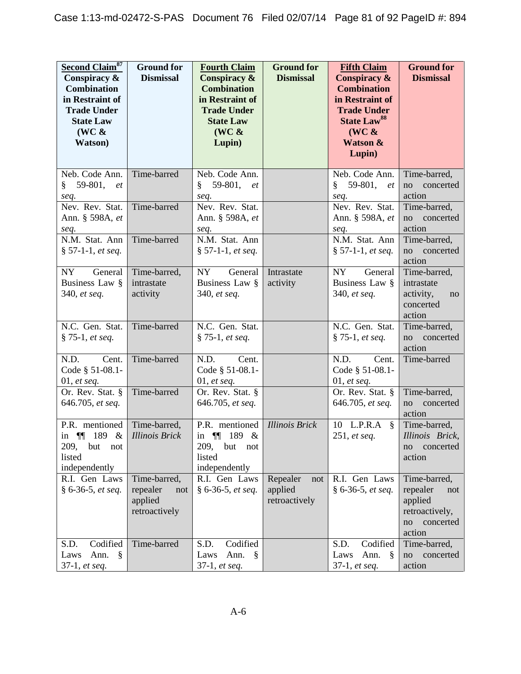| <b>Second Claim<sup>87</sup></b><br>Conspiracy &<br><b>Combination</b><br>in Restraint of<br><b>Trade Under</b><br><b>State Law</b><br>$(WC \&$<br>Watson) | <b>Ground for</b><br><b>Dismissal</b>                       | <b>Fourth Claim</b><br>Conspiracy &<br><b>Combination</b><br>in Restraint of<br><b>Trade Under</b><br><b>State Law</b><br>$(WC \&$<br>Lupin) | <b>Ground for</b><br><b>Dismissal</b>       | <b>Fifth Claim</b><br>Conspiracy &<br><b>Combination</b><br>in Restraint of<br><b>Trade Under</b><br><b>State Law<sup>88</sup></b><br>$(WC \&$<br>Watson &<br>Lupin) | <b>Ground for</b><br><b>Dismissal</b>                                                     |
|------------------------------------------------------------------------------------------------------------------------------------------------------------|-------------------------------------------------------------|----------------------------------------------------------------------------------------------------------------------------------------------|---------------------------------------------|----------------------------------------------------------------------------------------------------------------------------------------------------------------------|-------------------------------------------------------------------------------------------|
| Neb. Code Ann.<br>59-801,<br>§<br>et<br>seq.                                                                                                               | Time-barred                                                 | Neb. Code Ann.<br>59-801, et<br>§.<br>seq.                                                                                                   |                                             | Neb. Code Ann.<br>$\S$ 59-801,<br><i>et</i><br>seq.                                                                                                                  | Time-barred,<br>concerted<br>no<br>action                                                 |
| Nev. Rev. Stat.<br>Ann. § 598A, et<br>seq.                                                                                                                 | Time-barred                                                 | Nev. Rev. Stat.<br>Ann. § 598A, et<br>seq.                                                                                                   |                                             | Nev. Rev. Stat.<br>Ann. § 598A, et<br>seq.                                                                                                                           | Time-barred,<br>no concerted<br>action                                                    |
| N.M. Stat. Ann<br>$§ 57-1-1, et seq.$                                                                                                                      | Time-barred                                                 | N.M. Stat. Ann<br>$§ 57-1-1, et seq.$                                                                                                        |                                             | N.M. Stat. Ann<br>$§ 57-1-1, et seq.$                                                                                                                                | Time-barred,<br>no concerted<br>action                                                    |
| General<br>NY<br>Business Law §<br>340, et seq.                                                                                                            | Time-barred,<br>intrastate<br>activity                      | <b>NY</b><br>General<br>Business Law §<br>340, et seq.                                                                                       | Intrastate<br>activity                      | NY<br>General<br>Business Law §<br>340, et seq.                                                                                                                      | Time-barred,<br>intrastate<br>activity,<br>no<br>concerted<br>action                      |
| N.C. Gen. Stat.<br>$§ 75-1, et seq.$                                                                                                                       | Time-barred                                                 | N.C. Gen. Stat.<br>$§ 75-1, et seq.$                                                                                                         |                                             | N.C. Gen. Stat.<br>$§ 75-1, et seq.$                                                                                                                                 | Time-barred,<br>no concerted<br>action                                                    |
| N.D.<br>Cent.<br>Code § 51-08.1-<br>01, et seq.                                                                                                            | Time-barred                                                 | N.D.<br>Cent.<br>Code § 51-08.1-<br>$01$ , et seq.                                                                                           |                                             | Cent.<br>N.D.<br>Code § 51-08.1-<br>01, et seq.                                                                                                                      | Time-barred                                                                               |
| Or. Rev. Stat. §<br>646.705, et seq.                                                                                                                       | Time-barred                                                 | Or. Rev. Stat. §<br>646.705, et seq.                                                                                                         |                                             | Or. Rev. Stat. §<br>646.705, et seq.                                                                                                                                 | Time-barred,<br>concerted<br>no<br>action                                                 |
| P.R. mentioned<br>in $\P$ 189 &<br>209,<br>but<br>not<br>listed<br>independently                                                                           | Time-barred,<br><b>Illinois Brick</b>                       | P.R. mentioned<br>in $\P$ 189 &<br>209,<br>but<br>not<br>listed<br>independently                                                             | <b>Illinois Brick</b>                       | 10 L.P.R.A $\S$<br>251, et seq.                                                                                                                                      | Time-barred,<br>Illinois Brick,<br>concerted<br>no<br>action                              |
| R.I. Gen Laws<br>$§ 6-36-5, et seq.$                                                                                                                       | Time-barred,<br>repealer<br>not<br>applied<br>retroactively | R.I. Gen Laws<br>$§ 6-36-5, et seq.$                                                                                                         | Repealer<br>not<br>applied<br>retroactively | R.I. Gen Laws<br>§ 6-36-5, et seq.                                                                                                                                   | Time-barred,<br>repealer<br>not<br>applied<br>retroactively,<br>no<br>concerted<br>action |
| Codified<br>S.D.<br>Ann.<br>Laws<br>Ş<br>$37-1, et seq.$                                                                                                   | Time-barred                                                 | Codified<br>S.D.<br>Ann.<br>Laws<br>§<br>$37-1, et seq.$                                                                                     |                                             | S.D.<br>Codified<br>Ann.<br>Laws<br>$\frac{8}{3}$<br>$37-1, et seq.$                                                                                                 | Time-barred,<br>concerted<br>no<br>action                                                 |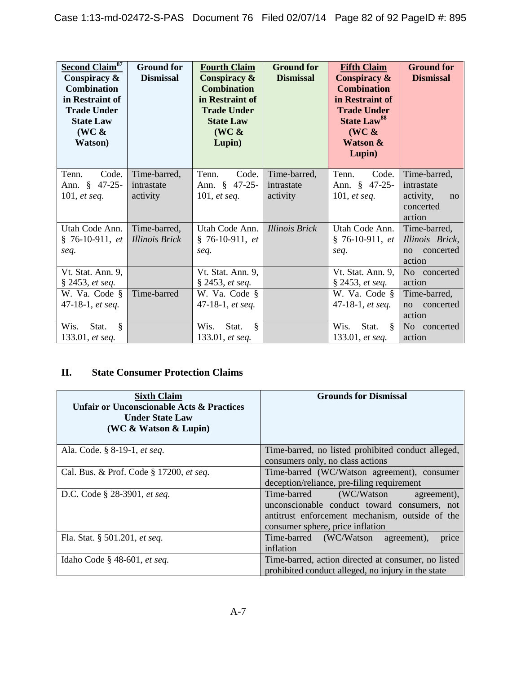| <b>Second Claim<sup>87</sup></b><br>Conspiracy &<br><b>Combination</b><br>in Restraint of<br><b>Trade Under</b><br><b>State Law</b><br>$(WC \&$<br><b>Watson</b> ) | <b>Ground for</b><br><b>Dismissal</b> | <b>Fourth Claim</b><br>Conspiracy &<br><b>Combination</b><br>in Restraint of<br><b>Trade Under</b><br><b>State Law</b><br>$(WC \&$<br>Lupin) | <b>Ground for</b><br><b>Dismissal</b> | <b>Fifth Claim</b><br>Conspiracy &<br><b>Combination</b><br>in Restraint of<br><b>Trade Under</b><br><b>State Law<sup>88</sup></b><br>$(WC \&$<br><b>Watson &amp;</b><br>Lupin) | <b>Ground for</b><br><b>Dismissal</b>  |
|--------------------------------------------------------------------------------------------------------------------------------------------------------------------|---------------------------------------|----------------------------------------------------------------------------------------------------------------------------------------------|---------------------------------------|---------------------------------------------------------------------------------------------------------------------------------------------------------------------------------|----------------------------------------|
| Tenn.<br>Code.<br>$47 - 25 -$<br>Ann. §                                                                                                                            | Time-barred,<br>intrastate            | Tenn.<br>Code.<br>Ann. § 47-25-                                                                                                              | Time-barred,<br>intrastate            | Tenn.<br>Code.<br>Ann. § 47-25-                                                                                                                                                 | Time-barred,<br>intrastate             |
|                                                                                                                                                                    |                                       |                                                                                                                                              |                                       |                                                                                                                                                                                 |                                        |
| 101, et seq.                                                                                                                                                       | activity                              | 101, et seq.                                                                                                                                 | activity                              | 101, et seq.                                                                                                                                                                    | activity,<br>no<br>concerted<br>action |
| Utah Code Ann.                                                                                                                                                     | Time-barred,                          | Utah Code Ann.                                                                                                                               | <b>Illinois Brick</b>                 | Utah Code Ann.                                                                                                                                                                  | Time-barred,                           |
| $§ 76-10-911, et$                                                                                                                                                  | <b>Illinois Brick</b>                 | $§ 76-10-911, et$                                                                                                                            |                                       | $§ 76-10-911, et$                                                                                                                                                               | Illinois Brick,                        |
| seq.                                                                                                                                                               |                                       | seq.                                                                                                                                         |                                       | seq.                                                                                                                                                                            | concerted<br>no<br>action              |
| Vt. Stat. Ann. 9,                                                                                                                                                  |                                       | Vt. Stat. Ann. 9,                                                                                                                            |                                       | Vt. Stat. Ann. 9,                                                                                                                                                               | No concerted                           |
| § 2453, et seq.                                                                                                                                                    |                                       | § 2453, et seq.                                                                                                                              |                                       | § 2453, et seq.                                                                                                                                                                 | action                                 |
| W. Va. Code §                                                                                                                                                      | Time-barred                           | W. Va. Code §                                                                                                                                |                                       | W. Va. Code §                                                                                                                                                                   | Time-barred,                           |
| 47-18-1, et seq.                                                                                                                                                   |                                       | 47-18-1, et seq.                                                                                                                             |                                       | 47-18-1, et seq.                                                                                                                                                                | concerted<br>no                        |
|                                                                                                                                                                    |                                       |                                                                                                                                              |                                       |                                                                                                                                                                                 | action                                 |
| Wis.<br>Ş<br>Stat.                                                                                                                                                 |                                       | $\S$<br>Wis.<br>Stat.                                                                                                                        |                                       | Wis.<br>Stat.<br><sup>§</sup>                                                                                                                                                   | No concerted                           |
| 133.01, et seq.                                                                                                                                                    |                                       | 133.01, et seq.                                                                                                                              |                                       | 133.01, et seq.                                                                                                                                                                 | action                                 |

# **II. State Consumer Protection Claims**

| <b>Sixth Claim</b><br><b>Unfair or Unconscionable Acts &amp; Practices</b><br><b>Under State Law</b><br>(WC $\&$ Watson $\&$ Lupin) | <b>Grounds for Dismissal</b>                                                                                                                                                    |
|-------------------------------------------------------------------------------------------------------------------------------------|---------------------------------------------------------------------------------------------------------------------------------------------------------------------------------|
| Ala. Code. § 8-19-1, et seq.                                                                                                        | Time-barred, no listed prohibited conduct alleged,<br>consumers only, no class actions                                                                                          |
| Cal. Bus. & Prof. Code § 17200, et seq.                                                                                             | Time-barred (WC/Watson agreement), consumer<br>deception/reliance, pre-filing requirement                                                                                       |
| D.C. Code § 28-3901, et seq.                                                                                                        | (WC/Watson<br>Time-barred<br>agreement),<br>unconscionable conduct toward consumers, not<br>antitrust enforcement mechanism, outside of the<br>consumer sphere, price inflation |
| Fla. Stat. § 501.201, et seq.                                                                                                       | Time-barred (WC/Watson agreement),<br>price<br>inflation                                                                                                                        |
| Idaho Code § 48-601, et seq.                                                                                                        | Time-barred, action directed at consumer, no listed<br>prohibited conduct alleged, no injury in the state                                                                       |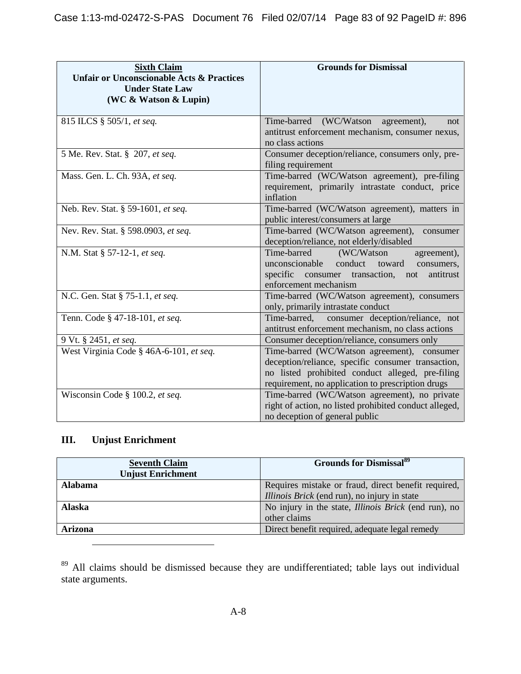| <b>Sixth Claim</b><br><b>Unfair or Unconscionable Acts &amp; Practices</b><br><b>Under State Law</b><br>(WC & Watson & Lupin) | <b>Grounds for Dismissal</b>                                                                                                                                                                               |
|-------------------------------------------------------------------------------------------------------------------------------|------------------------------------------------------------------------------------------------------------------------------------------------------------------------------------------------------------|
| 815 ILCS § 505/1, et seq.                                                                                                     | Time-barred (WC/Watson agreement),<br>not<br>antitrust enforcement mechanism, consumer nexus,<br>no class actions                                                                                          |
| 5 Me. Rev. Stat. § 207, et seq.                                                                                               | Consumer deception/reliance, consumers only, pre-<br>filing requirement                                                                                                                                    |
| Mass. Gen. L. Ch. 93A, et seq.                                                                                                | Time-barred (WC/Watson agreement), pre-filing<br>requirement, primarily intrastate conduct, price<br>inflation                                                                                             |
| Neb. Rev. Stat. § 59-1601, et seq.                                                                                            | Time-barred (WC/Watson agreement), matters in<br>public interest/consumers at large                                                                                                                        |
| Nev. Rev. Stat. § 598.0903, et seq.                                                                                           | Time-barred (WC/Watson agreement),<br>consumer<br>deception/reliance, not elderly/disabled                                                                                                                 |
| N.M. Stat § 57-12-1, et seq.                                                                                                  | Time-barred<br>(WC/Watson<br>agreement),<br>unconscionable<br>conduct toward<br>consumers,<br>specific consumer transaction,<br>antitrust<br>not<br>enforcement mechanism                                  |
| N.C. Gen. Stat § 75-1.1, et seq.                                                                                              | Time-barred (WC/Watson agreement), consumers<br>only, primarily intrastate conduct                                                                                                                         |
| Tenn. Code § 47-18-101, et seq.                                                                                               | Time-barred,<br>consumer deception/reliance, not<br>antitrust enforcement mechanism, no class actions                                                                                                      |
| 9 Vt. § 2451, et seq.                                                                                                         | Consumer deception/reliance, consumers only                                                                                                                                                                |
| West Virginia Code § 46A-6-101, et seq.                                                                                       | Time-barred (WC/Watson agreement), consumer<br>deception/reliance, specific consumer transaction,<br>no listed prohibited conduct alleged, pre-filing<br>requirement, no application to prescription drugs |
| Wisconsin Code § 100.2, et seq.                                                                                               | Time-barred (WC/Watson agreement), no private<br>right of action, no listed prohibited conduct alleged,<br>no deception of general public                                                                  |

# **III. Unjust Enrichment**

| <b>Seventh Claim</b><br><b>Unjust Enrichment</b> | <b>Grounds for Dismissal</b> <sup>89</sup>                  |
|--------------------------------------------------|-------------------------------------------------------------|
| <b>Alabama</b>                                   | Requires mistake or fraud, direct benefit required,         |
|                                                  | <i>Illinois Brick</i> (end run), no injury in state         |
| <b>Alaska</b>                                    | No injury in the state, <i>Illinois Brick</i> (end run), no |
|                                                  | other claims                                                |
| <b>Arizona</b>                                   | Direct benefit required, adequate legal remedy              |

<span id="page-82-0"></span><sup>89</sup> All claims should be dismissed because they are undifferentiated; table lays out individual state arguments.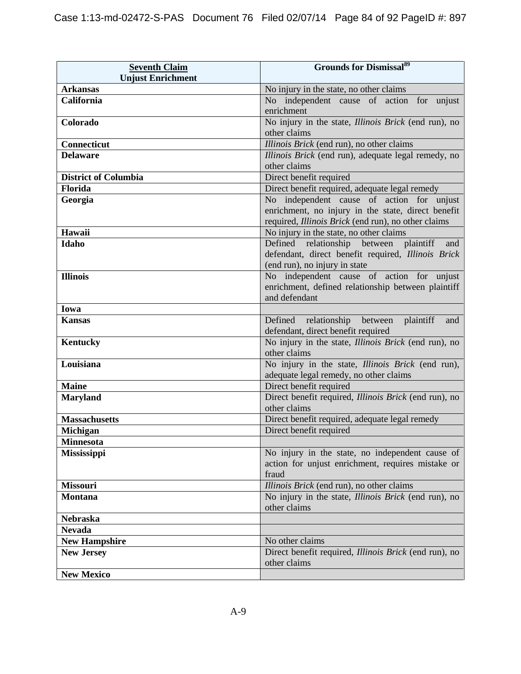| <b>Seventh Claim</b><br><b>Unjust Enrichment</b> | <b>Grounds for Dismissal</b> <sup>89</sup>                                                                                                             |
|--------------------------------------------------|--------------------------------------------------------------------------------------------------------------------------------------------------------|
| <b>Arkansas</b>                                  | No injury in the state, no other claims                                                                                                                |
| California                                       | No independent cause of action for unjust                                                                                                              |
|                                                  | enrichment                                                                                                                                             |
| Colorado                                         | No injury in the state, <i>Illinois Brick</i> (end run), no<br>other claims                                                                            |
| Connecticut                                      | Illinois Brick (end run), no other claims                                                                                                              |
| <b>Delaware</b>                                  | Illinois Brick (end run), adequate legal remedy, no                                                                                                    |
|                                                  | other claims                                                                                                                                           |
| <b>District of Columbia</b>                      | Direct benefit required                                                                                                                                |
| Florida                                          | Direct benefit required, adequate legal remedy                                                                                                         |
| Georgia                                          | No independent cause of action for unjust<br>enrichment, no injury in the state, direct benefit<br>required, Illinois Brick (end run), no other claims |
| Hawaii                                           | No injury in the state, no other claims                                                                                                                |
| Idaho                                            | Defined relationship<br>between plaintiff<br>and<br>defendant, direct benefit required, Illinois Brick<br>(end run), no injury in state                |
| <b>Illinois</b>                                  | No independent cause of action for unjust<br>enrichment, defined relationship between plaintiff<br>and defendant                                       |
| Iowa                                             |                                                                                                                                                        |
| <b>Kansas</b>                                    | Defined relationship between<br>plaintiff<br>and<br>defendant, direct benefit required                                                                 |
| <b>Kentucky</b>                                  | No injury in the state, <i>Illinois Brick</i> (end run), no<br>other claims                                                                            |
| Louisiana                                        | No injury in the state, <i>Illinois Brick</i> (end run),<br>adequate legal remedy, no other claims                                                     |
| <b>Maine</b>                                     | Direct benefit required                                                                                                                                |
| <b>Maryland</b>                                  | Direct benefit required, <i>Illinois Brick</i> (end run), no<br>other claims                                                                           |
| <b>Massachusetts</b>                             | Direct benefit required, adequate legal remedy                                                                                                         |
| <b>Michigan</b>                                  | Direct benefit required                                                                                                                                |
| <b>Minnesota</b>                                 |                                                                                                                                                        |
| <b>Mississippi</b>                               | No injury in the state, no independent cause of<br>action for unjust enrichment, requires mistake or<br>fraud                                          |
| <b>Missouri</b>                                  | Illinois Brick (end run), no other claims                                                                                                              |
| <b>Montana</b>                                   | No injury in the state, <i>Illinois Brick</i> (end run), no<br>other claims                                                                            |
| <b>Nebraska</b>                                  |                                                                                                                                                        |
| <b>Nevada</b>                                    |                                                                                                                                                        |
| <b>New Hampshire</b>                             | No other claims                                                                                                                                        |
| <b>New Jersey</b>                                | Direct benefit required, <i>Illinois Brick</i> (end run), no<br>other claims                                                                           |
| <b>New Mexico</b>                                |                                                                                                                                                        |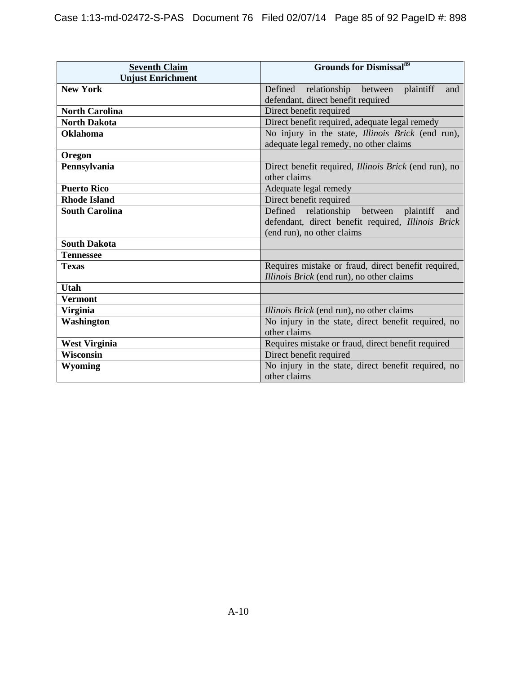| <b>Seventh Claim</b>     | <b>Grounds for Dismissal</b> <sup>89</sup>                                                         |
|--------------------------|----------------------------------------------------------------------------------------------------|
| <b>Unjust Enrichment</b> |                                                                                                    |
| <b>New York</b>          | Defined relationship between<br>plaintiff<br>and                                                   |
|                          | defendant, direct benefit required                                                                 |
| <b>North Carolina</b>    | Direct benefit required                                                                            |
| <b>North Dakota</b>      | Direct benefit required, adequate legal remedy                                                     |
| <b>Oklahoma</b>          | No injury in the state, <i>Illinois Brick</i> (end run),<br>adequate legal remedy, no other claims |
| Oregon                   |                                                                                                    |
| Pennsylvania             | Direct benefit required, <i>Illinois Brick</i> (end run), no<br>other claims                       |
| <b>Puerto Rico</b>       | Adequate legal remedy                                                                              |
| <b>Rhode Island</b>      | Direct benefit required                                                                            |
| <b>South Carolina</b>    | Defined relationship between plaintiff<br>and                                                      |
|                          | defendant, direct benefit required, Illinois Brick                                                 |
|                          | (end run), no other claims                                                                         |
| <b>South Dakota</b>      |                                                                                                    |
| <b>Tennessee</b>         |                                                                                                    |
| <b>Texas</b>             | Requires mistake or fraud, direct benefit required,                                                |
|                          | Illinois Brick (end run), no other claims                                                          |
| <b>Utah</b>              |                                                                                                    |
| <b>Vermont</b>           |                                                                                                    |
| Virginia                 | Illinois Brick (end run), no other claims                                                          |
| Washington               | No injury in the state, direct benefit required, no                                                |
|                          | other claims                                                                                       |
| <b>West Virginia</b>     | Requires mistake or fraud, direct benefit required                                                 |
| <b>Wisconsin</b>         | Direct benefit required                                                                            |
| Wyoming                  | No injury in the state, direct benefit required, no                                                |
|                          | other claims                                                                                       |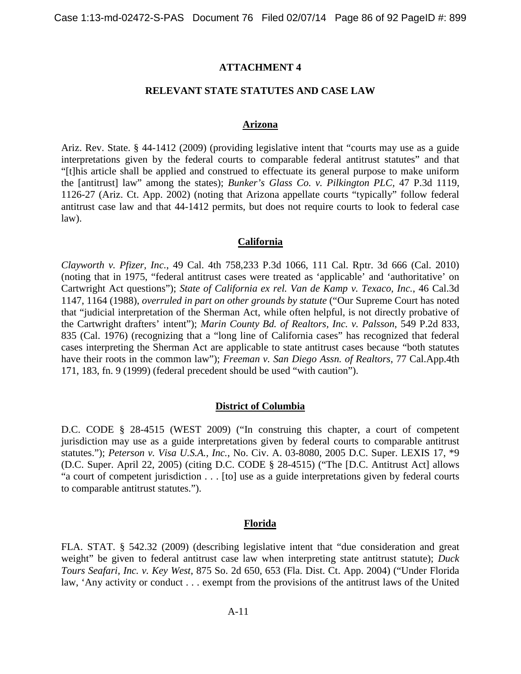### **ATTACHMENT 4**

### **RELEVANT STATE STATUTES AND CASE LAW**

### **Arizona**

Ariz. Rev. State. § 44-1412 (2009) (providing legislative intent that "courts may use as a guide interpretations given by the federal courts to comparable federal antitrust statutes" and that "[t]his article shall be applied and construed to effectuate its general purpose to make uniform the [antitrust] law" among the states); *Bunker's Glass Co. v. Pilkington PLC,* 47 P.3d 1119, 1126-27 (Ariz. Ct. App. 2002) (noting that Arizona appellate courts "typically" follow federal antitrust case law and that 44-1412 permits, but does not require courts to look to federal case law).

### **California**

*Clayworth v. Pfizer, Inc.*, 49 Cal. 4th 758,233 P.3d 1066, 111 Cal. Rptr. 3d 666 (Cal. 2010) (noting that in 1975, "federal antitrust cases were treated as 'applicable' and 'authoritative' on Cartwright Act questions"); *State of California ex rel. Van de Kamp v. Texaco, Inc.*, 46 Cal.3d 1147, 1164 (1988), *overruled in part on other grounds by statute* ("Our Supreme Court has noted that "judicial interpretation of the Sherman Act, while often helpful, is not directly probative of the Cartwright drafters' intent"); *Marin County Bd. of Realtors, Inc. v. Palsson*, 549 P.2d 833, 835 (Cal. 1976) (recognizing that a "long line of California cases" has recognized that federal cases interpreting the Sherman Act are applicable to state antitrust cases because "both statutes have their roots in the common law"); *Freeman v. San Diego Assn. of Realtors*, 77 Cal.App.4th 171, 183, fn. 9 (1999) (federal precedent should be used "with caution").

### **District of Columbia**

D.C. CODE § 28-4515 (WEST 2009) ("In construing this chapter, a court of competent jurisdiction may use as a guide interpretations given by federal courts to comparable antitrust statutes."); *Peterson v. Visa U.S.A., Inc.*, No. Civ. A. 03-8080, 2005 D.C. Super. LEXIS 17, \*9 (D.C. Super. April 22, 2005) (citing D.C. CODE § 28-4515) ("The [D.C. Antitrust Act] allows "a court of competent jurisdiction . . . [to] use as a guide interpretations given by federal courts to comparable antitrust statutes.").

### **Florida**

FLA. STAT. § 542.32 (2009) (describing legislative intent that "due consideration and great weight" be given to federal antitrust case law when interpreting state antitrust statute); *Duck Tours Seafari, Inc. v. Key West*, 875 So. 2d 650, 653 (Fla. Dist. Ct. App. 2004) ("Under Florida law, 'Any activity or conduct . . . exempt from the provisions of the antitrust laws of the United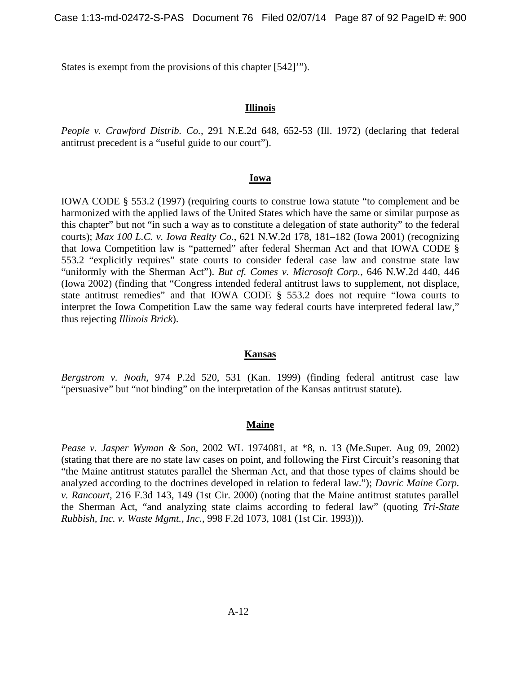States is exempt from the provisions of this chapter [542]'").

### **Illinois**

*People v. Crawford Distrib. Co.*, 291 N.E.2d 648, 652-53 (Ill. 1972) (declaring that federal antitrust precedent is a "useful guide to our court").

### **Iowa**

IOWA CODE § 553.2 (1997) (requiring courts to construe Iowa statute "to complement and be harmonized with the applied laws of the United States which have the same or similar purpose as this chapter" but not "in such a way as to constitute a delegation of state authority" to the federal courts); *Max 100 L.C. v. Iowa Realty Co.*, 621 N.W.2d 178, 181–182 (Iowa 2001) (recognizing that Iowa Competition law is "patterned" after federal Sherman Act and that IOWA CODE § 553.2 "explicitly requires" state courts to consider federal case law and construe state law "uniformly with the Sherman Act"). *But cf. Comes v. Microsoft Corp.*, 646 N.W.2d 440, 446 (Iowa 2002) (finding that "Congress intended federal antitrust laws to supplement, not displace, state antitrust remedies" and that IOWA CODE § 553.2 does not require "Iowa courts to interpret the Iowa Competition Law the same way federal courts have interpreted federal law," thus rejecting *Illinois Brick*).

### **Kansas**

*Bergstrom v. Noah*, 974 P.2d 520, 531 (Kan. 1999) (finding federal antitrust case law "persuasive" but "not binding" on the interpretation of the Kansas antitrust statute).

### **Maine**

*Pease v. Jasper Wyman & Son*, 2002 WL 1974081, at \*8, n. 13 (Me.Super. Aug 09, 2002) (stating that there are no state law cases on point, and following the First Circuit's reasoning that "the Maine antitrust statutes parallel the Sherman Act, and that those types of claims should be analyzed according to the doctrines developed in relation to federal law."); *Davric Maine Corp. v. Rancourt*, 216 F.3d 143, 149 (1st Cir. 2000) (noting that the Maine antitrust statutes parallel the Sherman Act, "and analyzing state claims according to federal law" (quoting *Tri-State Rubbish, Inc. v. Waste Mgmt., Inc.*, 998 F.2d 1073, 1081 (1st Cir. 1993))).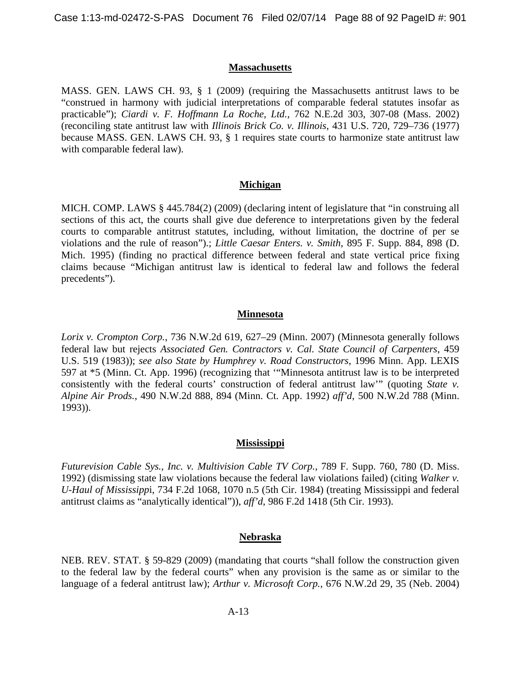### **Massachusetts**

MASS. GEN. LAWS CH. 93, § 1 (2009) (requiring the Massachusetts antitrust laws to be "construed in harmony with judicial interpretations of comparable federal statutes insofar as practicable"); *Ciardi v. F. Hoffmann La Roche, Ltd.*, 762 N.E.2d 303, 307-08 (Mass. 2002) (reconciling state antitrust law with *Illinois Brick Co. v. Illinois*, 431 U.S. 720, 729–736 (1977) because MASS. GEN. LAWS CH. 93, § 1 requires state courts to harmonize state antitrust law with comparable federal law).

### **Michigan**

MICH. COMP. LAWS § 445.784(2) (2009) (declaring intent of legislature that "in construing all sections of this act, the courts shall give due deference to interpretations given by the federal courts to comparable antitrust statutes, including, without limitation, the doctrine of per se violations and the rule of reason").; *Little Caesar Enters. v. Smith*, 895 F. Supp. 884, 898 (D. Mich. 1995) (finding no practical difference between federal and state vertical price fixing claims because "Michigan antitrust law is identical to federal law and follows the federal precedents").

### **Minnesota**

*Lorix v. Crompton Corp.*, 736 N.W.2d 619, 627–29 (Minn. 2007) (Minnesota generally follows federal law but rejects *Associated Gen. Contractors v. Cal. State Council of Carpenters*, 459 U.S. 519 (1983)); *see also State by Humphrey v. Road Constructors*, 1996 Minn. App. LEXIS 597 at \*5 (Minn. Ct. App. 1996) (recognizing that '"Minnesota antitrust law is to be interpreted consistently with the federal courts' construction of federal antitrust law'" (quoting *State v. Alpine Air Prods.*, 490 N.W.2d 888, 894 (Minn. Ct. App. 1992) *aff'd*, 500 N.W.2d 788 (Minn. 1993)).

### **Mississippi**

*Futurevision Cable Sys., Inc. v. Multivision Cable TV Corp.*, 789 F. Supp. 760, 780 (D. Miss. 1992) (dismissing state law violations because the federal law violations failed) (citing *Walker v. U-Haul of Mississipp*i, 734 F.2d 1068, 1070 n.5 (5th Cir. 1984) (treating Mississippi and federal antitrust claims as "analytically identical")), *aff'd*, 986 F.2d 1418 (5th Cir. 1993).

### **Nebraska**

NEB. REV. STAT. § 59-829 (2009) (mandating that courts "shall follow the construction given to the federal law by the federal courts" when any provision is the same as or similar to the language of a federal antitrust law); *Arthur v. Microsoft Corp.*, 676 N.W.2d 29, 35 (Neb. 2004)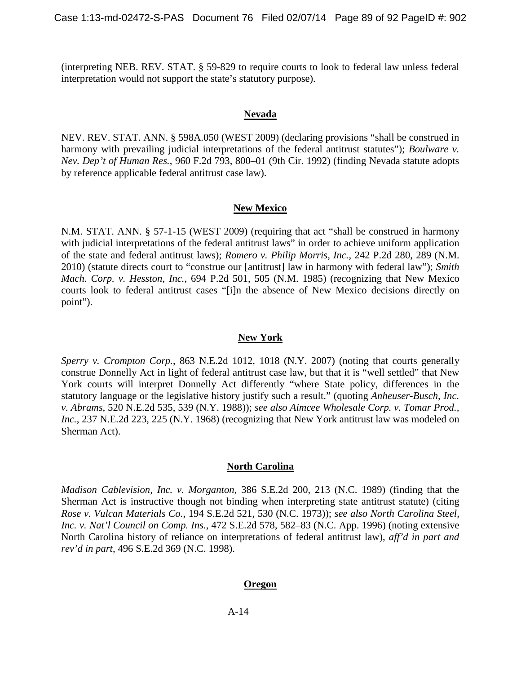(interpreting NEB. REV. STAT. § 59-829 to require courts to look to federal law unless federal interpretation would not support the state's statutory purpose).

### **Nevada**

NEV. REV. STAT. ANN. § 598A.050 (WEST 2009) (declaring provisions "shall be construed in harmony with prevailing judicial interpretations of the federal antitrust statutes"); *Boulware v. Nev. Dep't of Human Res.*, 960 F.2d 793, 800–01 (9th Cir. 1992) (finding Nevada statute adopts by reference applicable federal antitrust case law).

## **New Mexico**

N.M. STAT. ANN. § 57-1-15 (WEST 2009) (requiring that act "shall be construed in harmony with judicial interpretations of the federal antitrust laws" in order to achieve uniform application of the state and federal antitrust laws); *Romero v. Philip Morris, Inc.*, 242 P.2d 280, 289 (N.M. 2010) (statute directs court to "construe our [antitrust] law in harmony with federal law"); *Smith Mach. Corp. v. Hesston, Inc.*, 694 P.2d 501, 505 (N.M. 1985) (recognizing that New Mexico courts look to federal antitrust cases "[i]n the absence of New Mexico decisions directly on point").

### **New York**

*Sperry v. Crompton Corp.*, 863 N.E.2d 1012, 1018 (N.Y. 2007) (noting that courts generally construe Donnelly Act in light of federal antitrust case law, but that it is "well settled" that New York courts will interpret Donnelly Act differently "where State policy, differences in the statutory language or the legislative history justify such a result." (quoting *Anheuser-Busch, Inc. v. Abrams*, 520 N.E.2d 535, 539 (N.Y. 1988)); *see also Aimcee Wholesale Corp. v. Tomar Prod., Inc.*, 237 N.E.2d 223, 225 (N.Y. 1968) (recognizing that New York antitrust law was modeled on Sherman Act).

### **North Carolina**

*Madison Cablevision, Inc. v. Morganton*, 386 S.E.2d 200, 213 (N.C. 1989) (finding that the Sherman Act is instructive though not binding when interpreting state antitrust statute) (citing *Rose v. Vulcan Materials Co.*, 194 S.E.2d 521, 530 (N.C. 1973)); *see also North Carolina Steel, Inc. v. Nat'l Council on Comp. Ins.*, 472 S.E.2d 578, 582–83 (N.C. App. 1996) (noting extensive North Carolina history of reliance on interpretations of federal antitrust law), *aff'd in part and rev'd in part*, 496 S.E.2d 369 (N.C. 1998).

### **Oregon**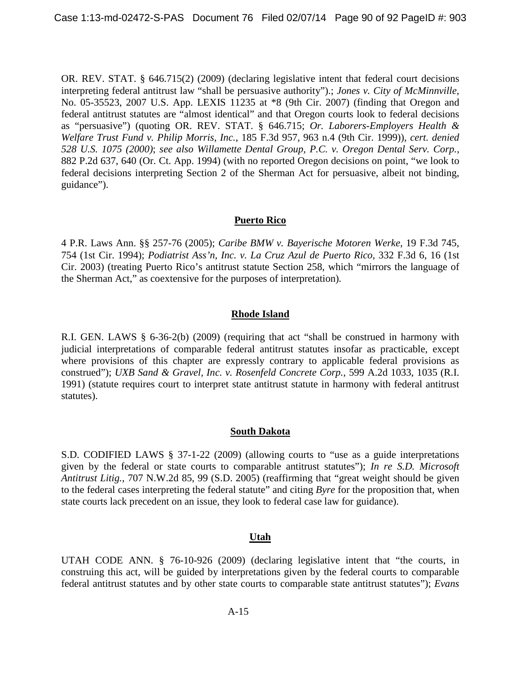OR. REV. STAT. § 646.715(2) (2009) (declaring legislative intent that federal court decisions interpreting federal antitrust law "shall be persuasive authority").; *Jones v. City of McMinnville*, No. 05-35523, 2007 U.S. App. LEXIS 11235 at \*8 (9th Cir. 2007) (finding that Oregon and federal antitrust statutes are "almost identical" and that Oregon courts look to federal decisions as "persuasive") (quoting OR. REV. STAT. § 646.715; *Or. Laborers-Employers Health & Welfare Trust Fund v. Philip Morris, Inc.*, 185 F.3d 957, 963 n.4 (9th Cir. 1999)), *cert. denied 528 U.S. 1075 (2000)*; *see also Willamette Dental Group, P.C. v. Oregon Dental Serv. Corp.*, 882 P.2d 637, 640 (Or. Ct. App. 1994) (with no reported Oregon decisions on point, "we look to federal decisions interpreting Section 2 of the Sherman Act for persuasive, albeit not binding, guidance").

### **Puerto Rico**

4 P.R. Laws Ann. §§ 257-76 (2005); *Caribe BMW v. Bayerische Motoren Werke*, 19 F.3d 745, 754 (1st Cir. 1994); *Podiatrist Ass'n, Inc. v. La Cruz Azul de Puerto Rico*, 332 F.3d 6, 16 (1st Cir. 2003) (treating Puerto Rico's antitrust statute Section 258, which "mirrors the language of the Sherman Act," as coextensive for the purposes of interpretation)*.*

# **Rhode Island**

R.I. GEN. LAWS § 6-36-2(b) (2009) (requiring that act "shall be construed in harmony with judicial interpretations of comparable federal antitrust statutes insofar as practicable, except where provisions of this chapter are expressly contrary to applicable federal provisions as construed"); *UXB Sand & Gravel, Inc. v. Rosenfeld Concrete Corp.*, 599 A.2d 1033, 1035 (R.I. 1991) (statute requires court to interpret state antitrust statute in harmony with federal antitrust statutes).

# **South Dakota**

S.D. CODIFIED LAWS § 37-1-22 (2009) (allowing courts to "use as a guide interpretations given by the federal or state courts to comparable antitrust statutes"); *In re S.D. Microsoft Antitrust Litig.*, 707 N.W.2d 85, 99 (S.D. 2005) (reaffirming that "great weight should be given to the federal cases interpreting the federal statute" and citing *Byre* for the proposition that, when state courts lack precedent on an issue, they look to federal case law for guidance).

### **Utah**

UTAH CODE ANN. § 76-10-926 (2009) (declaring legislative intent that "the courts, in construing this act, will be guided by interpretations given by the federal courts to comparable federal antitrust statutes and by other state courts to comparable state antitrust statutes"); *Evans*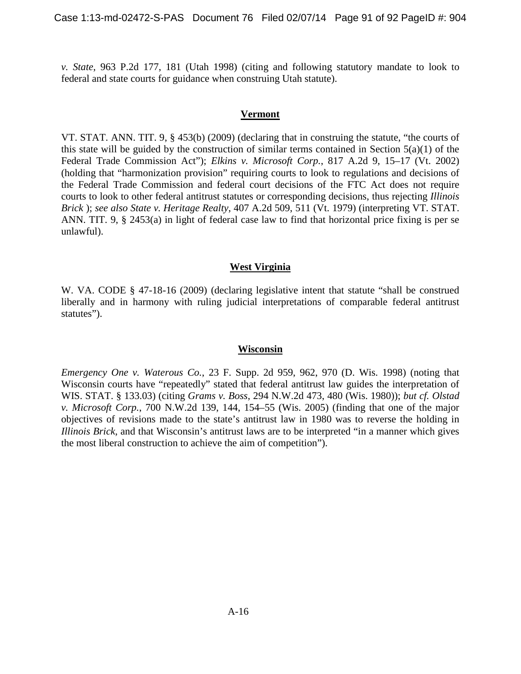*v. State*, 963 P.2d 177, 181 (Utah 1998) (citing and following statutory mandate to look to federal and state courts for guidance when construing Utah statute).

### **Vermont**

VT. STAT. ANN. TIT. 9, § 453(b) (2009) (declaring that in construing the statute, "the courts of this state will be guided by the construction of similar terms contained in Section 5(a)(1) of the Federal Trade Commission Act"); *Elkins v. Microsoft Corp.*, 817 A.2d 9, 15–17 (Vt. 2002) (holding that "harmonization provision" requiring courts to look to regulations and decisions of the Federal Trade Commission and federal court decisions of the FTC Act does not require courts to look to other federal antitrust statutes or corresponding decisions, thus rejecting *Illinois Brick* ); *see also State v. Heritage Realty*, 407 A.2d 509, 511 (Vt. 1979) (interpreting VT. STAT. ANN. TIT. 9, § 2453(a) in light of federal case law to find that horizontal price fixing is per se unlawful).

### **West Virginia**

W. VA. CODE § 47-18-16 (2009) (declaring legislative intent that statute "shall be construed liberally and in harmony with ruling judicial interpretations of comparable federal antitrust statutes").

### **Wisconsin**

*Emergency One v. Waterous Co.*, 23 F. Supp. 2d 959, 962, 970 (D. Wis. 1998) (noting that Wisconsin courts have "repeatedly" stated that federal antitrust law guides the interpretation of WIS. STAT. § 133.03) (citing *Grams v. Boss*, 294 N.W.2d 473, 480 (Wis. 1980)); *but cf. Olstad v. Microsoft Corp.*, 700 N.W.2d 139, 144, 154–55 (Wis. 2005) (finding that one of the major objectives of revisions made to the state's antitrust law in 1980 was to reverse the holding in *Illinois Brick*, and that Wisconsin's antitrust laws are to be interpreted "in a manner which gives the most liberal construction to achieve the aim of competition").